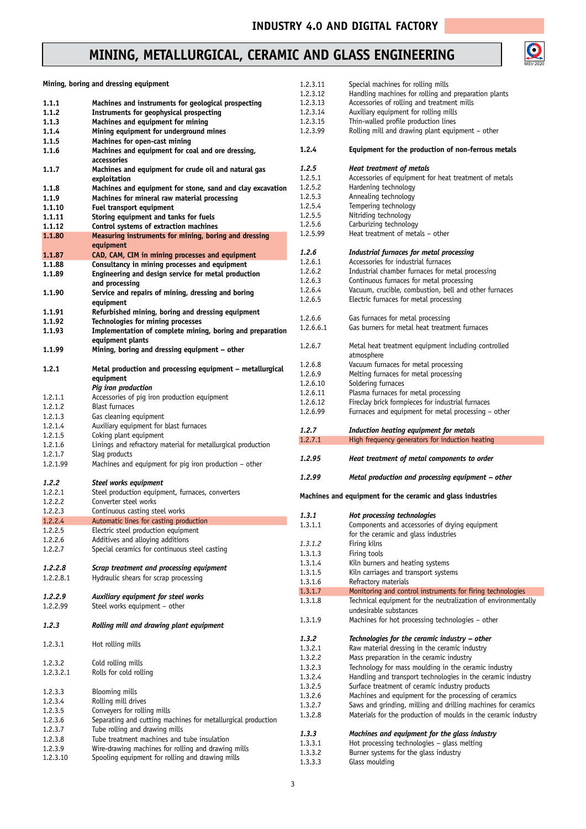## **MINING, METALLURGICAL, CERAMIC AND GLASS ENGINEERING**



|           | Mining, boring and dressing equipment                        | 1.2.3.11  | Special machines for rolling mills                             |
|-----------|--------------------------------------------------------------|-----------|----------------------------------------------------------------|
|           |                                                              | 1.2.3.12  | Handling machines for rolling and preparation plants           |
| 1.1.1     | Machines and instruments for geological prospecting          | 1.2.3.13  | Accessories of rolling and treatment mills                     |
| 1.1.2     | Instruments for geophysical prospecting                      | 1.2.3.14  | Auxiliary equipment for rolling mills                          |
| 1.1.3     | Machines and equipment for mining                            | 1.2.3.15  | Thin-walled profile production lines                           |
| 1.1.4     | Mining equipment for underground mines                       | 1.2.3.99  | Rolling mill and drawing plant equipment - other               |
| 1.1.5     | Machines for open-cast mining                                |           |                                                                |
| 1.1.6     | Machines and equipment for coal and ore dressing,            | 1.2.4     | Equipment for the production of non-ferrous metals             |
|           |                                                              |           |                                                                |
|           | accessories                                                  |           |                                                                |
| 1.1.7     | Machines and equipment for crude oil and natural gas         | 1.2.5     | <b>Heat treatment of metals</b>                                |
|           | exploitation                                                 | 1.2.5.1   | Accessories of equipment for heat treatment of metals          |
| 1.1.8     | Machines and equipment for stone, sand and clay excavation   | 1.2.5.2   | Hardening technology                                           |
| 1.1.9     | Machines for mineral raw material processing                 | 1.2.5.3   | Annealing technology                                           |
| 1.1.10    | Fuel transport equipment                                     | 1.2.5.4   | Tempering technology                                           |
| 1.1.11    | Storing equipment and tanks for fuels                        | 1.2.5.5   | Nitriding technology                                           |
| 1.1.12    | Control systems of extraction machines                       | 1.2.5.6   | Carburizing technology                                         |
| 1.1.80    | Measuring instruments for mining, boring and dressing        | 1.2.5.99  | Heat treatment of metals - other                               |
|           |                                                              |           |                                                                |
|           | equipment                                                    | 1.2.6     | Industrial furnaces for metal processing                       |
| 1.1.87    | CAD, CAM, CIM in mining processes and equipment              |           |                                                                |
| 1.1.88    | Consultancy in mining processes and equipment                | 1.2.6.1   | Accessories for industrial furnaces                            |
| 1.1.89    | Engineering and design service for metal production          | 1.2.6.2   | Industrial chamber furnaces for metal processing               |
|           | and processing                                               | 1.2.6.3   | Continuous furnaces for metal processing                       |
| 1.1.90    | Service and repairs of mining, dressing and boring           | 1.2.6.4   | Vacuum, crucible, combustion, bell and other furnaces          |
|           | equipment                                                    | 1.2.6.5   | Electric furnaces for metal processing                         |
| 1.1.91    | Refurbished mining, boring and dressing equipment            |           |                                                                |
|           |                                                              | 1.2.6.6   | Gas furnaces for metal processing                              |
| 1.1.92    | Technologies for mining processes                            | 1.2.6.6.1 | Gas burners for metal heat treatment furnaces                  |
| 1.1.93    | Implementation of complete mining, boring and preparation    |           |                                                                |
|           | equipment plants                                             | 1.2.6.7   | Metal heat treatment equipment including controlled            |
| 1.1.99    | Mining, boring and dressing equipment - other                |           |                                                                |
|           |                                                              |           | atmosphere                                                     |
| 1.2.1     | Metal production and processing equipment - metallurgical    | 1.2.6.8   | Vacuum furnaces for metal processing                           |
|           | equipment                                                    | 1.2.6.9   | Melting furnaces for metal processing                          |
|           | Pig iron production                                          | 1.2.6.10  | Soldering furnaces                                             |
|           |                                                              | 1.2.6.11  | Plasma furnaces for metal processing                           |
| 1.2.1.1   | Accessories of pig iron production equipment                 | 1.2.6.12  | Fireclay brick formpieces for industrial furnaces              |
| 1.2.1.2   | <b>Blast furnaces</b>                                        | 1.2.6.99  | Furnaces and equipment for metal processing - other            |
| 1.2.1.3   | Gas cleaning equipment                                       |           |                                                                |
|           | Auxiliary equipment for blast furnaces                       |           |                                                                |
| 1.2.1.4   |                                                              |           |                                                                |
| 1.2.1.5   | Coking plant equipment                                       | 1.2.7     | Induction heating equipment for metals                         |
| 1.2.1.6   |                                                              | 1.2.7.1   | High frequency generators for induction heating                |
|           | Linings and refractory material for metallurgical production |           |                                                                |
| 1.2.1.7   | Slag products                                                | 1.2.95    | Heat treatment of metal components to order                    |
| 1.2.1.99  | Machines and equipment for piq iron production - other       |           |                                                                |
|           |                                                              | 1.2.99    | Metal production and processing equipment - other              |
| 1.2.2     | Steel works equipment                                        |           |                                                                |
| 1.2.2.1   | Steel production equipment, furnaces, converters             |           | Machines and equipment for the ceramic and glass industries    |
| 1.2.2.2   | Converter steel works                                        |           |                                                                |
| 1.2.2.3   | Continuous casting steel works                               | 1, 3, 1   |                                                                |
| 1.2.2.4   | Automatic lines for casting production                       |           | Hot processing technologies                                    |
| 1.2.2.5   | Electric steel production equipment                          | 1.3.1.1   | Components and accessories of drying equipment                 |
| 1.2.2.6   | Additives and alloying additions                             |           | for the ceramic and glass industries                           |
|           |                                                              | 1.3.1.2   | Firing kilns                                                   |
| 1.2.2.7   | Special ceramics for continuous steel casting                | 1.3.1.3   | Firing tools                                                   |
|           |                                                              | 1.3.1.4   | Kiln burners and heating systems                               |
| 1.2.2.8   | Scrap treatment and processing equipment                     | 1.3.1.5   | Kiln carriages and transport systems                           |
| 1.2.2.8.1 | Hydraulic shears for scrap processing                        | 1.3.1.6   | Refractory materials                                           |
|           |                                                              | 1.3.1.7   |                                                                |
| 1.2.2.9   | Auxiliary equipment for steel works                          |           | Monitoring and control instruments for firing technologies     |
| 1.2.2.99  | Steel works equipment - other                                | 1.3.1.8   | Technical equipment for the neutralization of environmentally  |
|           |                                                              |           | undesirable substances                                         |
| 1.2.3     | Rolling mill and drawing plant equipment                     | 1.3.1.9   | Machines for hot processing technologies - other               |
|           |                                                              |           |                                                                |
|           |                                                              | 1.3.2     | Technologies for the ceramic industry - other                  |
| 1.2.3.1   | Hot rolling mills                                            | 1.3.2.1   | Raw material dressing in the ceramic industry                  |
|           |                                                              | 1.3.2.2   | Mass preparation in the ceramic industry                       |
| 1.2.3.2   | Cold rolling mills                                           | 1.3.2.3   | Technology for mass moulding in the ceramic industry           |
| 1.2.3.2.1 | Rolls for cold rolling                                       | 1.3.2.4   |                                                                |
|           |                                                              |           | Handling and transport technologies in the ceramic industry    |
| 1.2.3.3   | <b>Blooming mills</b>                                        | 1.3.2.5   | Surface treatment of ceramic industry products                 |
| 1.2.3.4   | Rolling mill drives                                          | 1.3.2.6   | Machines and equipment for the processing of ceramics          |
| 1.2.3.5   | Conveyers for rolling mills                                  | 1.3.2.7   | Saws and grinding, milling and drilling machines for ceramics  |
|           |                                                              | 1.3.2.8   | Materials for the production of moulds in the ceramic industry |
| 1.2.3.6   | Separating and cutting machines for metallurgical production |           |                                                                |
| 1.2.3.7   | Tube rolling and drawing mills                               | 1.3.3     | Machines and equipment for the glass industry                  |
| 1.2.3.8   | Tube treatment machines and tube insulation                  | 1.3.3.1   | Hot processing technologies - glass melting                    |
| 1.2.3.9   | Wire-drawing machines for rolling and drawing mills          | 1.3.3.2   | Burner systems for the glass industry                          |
| 1.2.3.10  | Spooling equipment for rolling and drawing mills             | 1.3.3.3   | Glass moulding                                                 |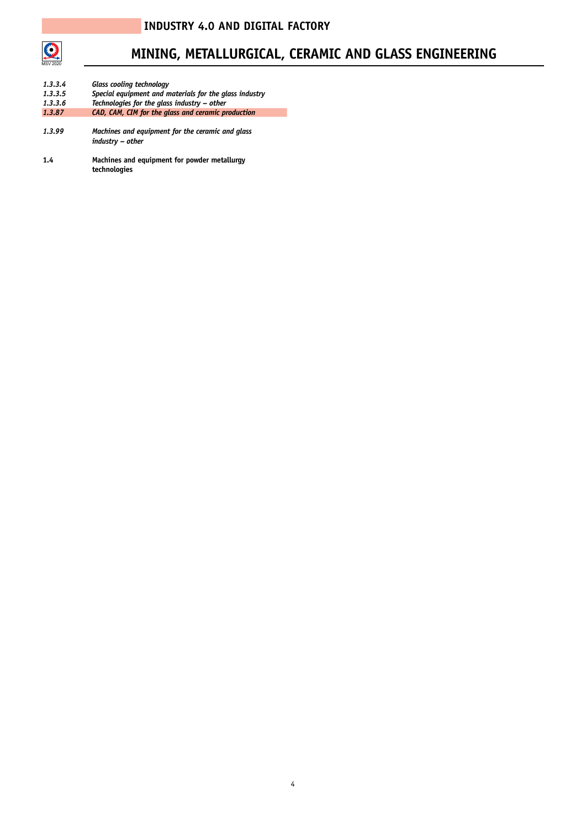

## **MINING, METALLURGICAL, CERAMIC AND GLASS ENGINEERING**

| 1, 3, 3, 4<br>1.3.3.5 | <b>Glass cooling technology</b><br>Special equipment and materials for the glass industry |
|-----------------------|-------------------------------------------------------------------------------------------|
| 1.3.3.6               | Technologies for the glass industry - other                                               |
| 1.3.87                | CAD, CAM, CIM for the glass and ceramic production                                        |
| 1.3.99                | Machines and equipment for the ceramic and glass<br>industry - other                      |

**1.4 Machines and equipment for powder metallurgy technologies**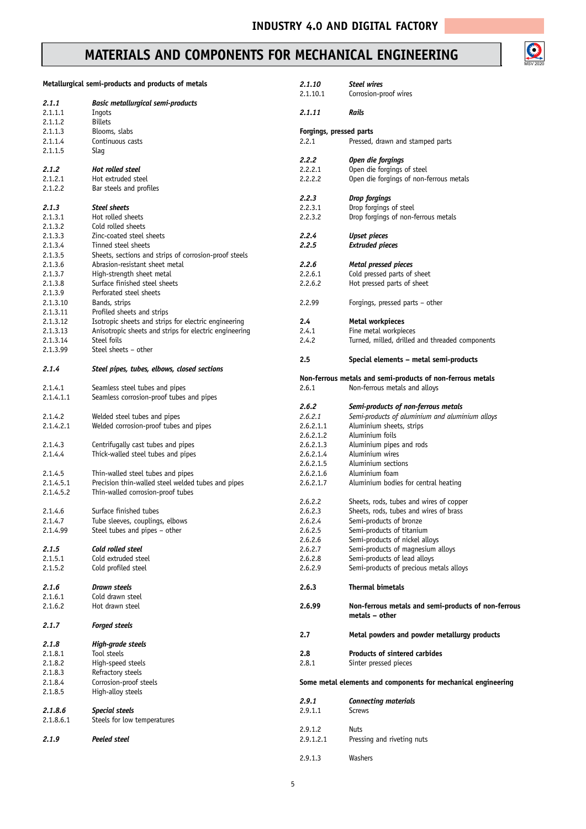### **MATERIALS AND COMPONENTS FOR MECHANICAL ENGINEERING**

|           | Metallurgical semi-products and products of metals                                      | 2.1.10                  | <b>Steel wires</b>                                            |
|-----------|-----------------------------------------------------------------------------------------|-------------------------|---------------------------------------------------------------|
|           |                                                                                         | 2.1.10.1                | Corrosion-proof wires                                         |
| 2.1.1     | <b>Basic metallurgical semi-products</b>                                                |                         |                                                               |
| 2.1.1.1   | Ingots                                                                                  | 2.1.11                  | Rails                                                         |
| 2.1.1.2   | <b>Billets</b>                                                                          |                         |                                                               |
| 2.1.1.3   | Blooms, slabs                                                                           | Forgings, pressed parts |                                                               |
| 2.1.1.4   | Continuous casts                                                                        | 2.2.1                   | Pressed, drawn and stamped parts                              |
| 2.1.1.5   | Slag                                                                                    |                         |                                                               |
|           |                                                                                         | 2.2.2                   | Open die forgings                                             |
| 2.1.2     | Hot rolled steel                                                                        | 2.2.2.1                 | Open die forgings of steel                                    |
| 2.1.2.1   | Hot extruded steel                                                                      | 2.2.2.2                 | Open die forgings of non-ferrous metals                       |
| 2.1.2.2   | Bar steels and profiles                                                                 |                         |                                                               |
|           |                                                                                         | 2.2.3                   | <b>Drop forgings</b>                                          |
| 2.1.3     | <b>Steel sheets</b>                                                                     | 2.2.3.1                 | Drop forgings of steel                                        |
| 2.1.3.1   | Hot rolled sheets                                                                       | 2.2.3.2                 | Drop forgings of non-ferrous metals                           |
| 2.1.3.2   | Cold rolled sheets                                                                      |                         |                                                               |
| 2.1.3.3   | Zinc-coated steel sheets                                                                | 2.2.4                   | <b>Upset pieces</b>                                           |
| 2.1.3.4   | Tinned steel sheets                                                                     | 2.2.5                   | <b>Extruded pieces</b>                                        |
| 2.1.3.5   | Sheets, sections and strips of corrosion-proof steels                                   |                         |                                                               |
|           |                                                                                         | 2.2.6                   |                                                               |
| 2.1.3.6   | Abrasion-resistant sheet metal                                                          |                         | Metal pressed pieces                                          |
| 2.1.3.7   | High-strength sheet metal                                                               | 2.2.6.1                 | Cold pressed parts of sheet                                   |
| 2.1.3.8   | Surface finished steel sheets                                                           | 2.2.6.2                 | Hot pressed parts of sheet                                    |
| 2.1.3.9   | Perforated steel sheets                                                                 |                         |                                                               |
| 2.1.3.10  | Bands, strips                                                                           | 2.2.99                  | Forgings, pressed parts - other                               |
| 2.1.3.11  | Profiled sheets and strips                                                              |                         |                                                               |
| 2.1.3.12  | Isotropic sheets and strips for electric engineering                                    | 2.4                     | Metal workpieces                                              |
| 2.1.3.13  | Anisotropic sheets and strips for electric engineering                                  | 2.4.1                   | Fine metal workpieces                                         |
| 2.1.3.14  | Steel foils                                                                             | 2.4.2                   | Turned, milled, drilled and threaded components               |
| 2.1.3.99  | Steel sheets - other                                                                    |                         |                                                               |
|           |                                                                                         | 2.5                     | Special elements - metal semi-products                        |
| 2.1.4     | Steel pipes, tubes, elbows, closed sections                                             |                         |                                                               |
|           |                                                                                         |                         | Non-ferrous metals and semi-products of non-ferrous metals    |
| 2.1.4.1   | Seamless steel tubes and pipes                                                          | 2.6.1                   | Non-ferrous metals and alloys                                 |
| 2.1.4.1.1 | Seamless corrosion-proof tubes and pipes                                                |                         |                                                               |
|           |                                                                                         | 2.6.2                   | Semi-products of non-ferrous metals                           |
| 2.1.4.2   | Welded steel tubes and pipes                                                            | 2, 6, 2, 1              | Semi-products of aluminium and aluminium alloys               |
| 2.1.4.2.1 | Welded corrosion-proof tubes and pipes                                                  | 2.6.2.1.1               | Aluminium sheets, strips                                      |
|           |                                                                                         | 2.6.2.1.2               | Aluminium foils                                               |
| 2.1.4.3   | Centrifugally cast tubes and pipes                                                      | 2.6.2.1.3               | Aluminium pipes and rods                                      |
| 2.1.4.4   | Thick-walled steel tubes and pipes                                                      | 2.6.2.1.4               | Aluminium wires                                               |
|           |                                                                                         | 2.6.2.1.5               | Aluminium sections                                            |
|           |                                                                                         |                         |                                                               |
| 2.1.4.5   | Thin-walled steel tubes and pipes<br>Precision thin-walled steel welded tubes and pipes | 2.6.2.1.6               | Aluminium foam                                                |
| 2.1.4.5.1 |                                                                                         | 2.6.2.1.7               | Aluminium bodies for central heating                          |
| 2.1.4.5.2 | Thin-walled corrosion-proof tubes                                                       |                         |                                                               |
|           |                                                                                         | 2.6.2.2                 | Sheets, rods, tubes and wires of copper                       |
| 2.1.4.6   | Surface finished tubes                                                                  | 2.6.2.3                 | Sheets, rods, tubes and wires of brass                        |
| 2.1.4.7   | Tube sleeves, couplings, elbows                                                         | 2.6.2.4                 | Semi-products of bronze                                       |
| 2.1.4.99  | Steel tubes and pipes – other                                                           | 2.6.2.5                 | Semi-products of titanium                                     |
|           |                                                                                         | 2.6.2.6                 | Semi-products of nickel alloys                                |
| 2.1.5     | Cold rolled steel                                                                       | 2.6.2.7                 | Semi-products of magnesium alloys                             |
| 2.1.5.1   | Cold extruded steel                                                                     | 2.6.2.8                 | Semi-products of lead alloys                                  |
| 2.1.5.2   | Cold profiled steel                                                                     | 2.6.2.9                 | Semi-products of precious metals alloys                       |
|           |                                                                                         |                         |                                                               |
| 2.1.6     | <b>Drawn steels</b>                                                                     | 2.6.3                   | <b>Thermal bimetals</b>                                       |
| 2.1.6.1   | Cold drawn steel                                                                        |                         |                                                               |
| 2.1.6.2   | Hot drawn steel                                                                         | 2.6.99                  | Non-ferrous metals and semi-products of non-ferrous           |
|           |                                                                                         |                         | metals – other                                                |
| 2.1.7     | <b>Forged steels</b>                                                                    |                         |                                                               |
|           |                                                                                         | 2.7                     | Metal powders and powder metallurgy products                  |
| 2.1.8     | High-grade steels                                                                       |                         |                                                               |
| 2.1.8.1   | Tool steels                                                                             | 2.8                     | Products of sintered carbides                                 |
|           |                                                                                         |                         |                                                               |
| 2.1.8.2   | High-speed steels                                                                       | 2.8.1                   | Sinter pressed pieces                                         |
| 2.1.8.3   | Refractory steels                                                                       |                         |                                                               |
| 2.1.8.4   | Corrosion-proof steels                                                                  |                         | Some metal elements and components for mechanical engineering |
| 2.1.8.5   | High-alloy steels                                                                       |                         |                                                               |
|           |                                                                                         | 2.9.1                   | <b>Connecting materials</b>                                   |
| 2.1.8.6   | <b>Special steels</b>                                                                   | 2.9.1.1                 | Screws                                                        |
| 2.1.8.6.1 | Steels for low temperatures                                                             |                         |                                                               |
|           |                                                                                         | 2.9.1.2                 | <b>Nuts</b>                                                   |
| 2.1.9     | Peeled steel                                                                            | 2.9.1.2.1               | Pressing and riveting nuts                                    |
|           |                                                                                         |                         |                                                               |
|           |                                                                                         | 2.9.1.3                 | Washers                                                       |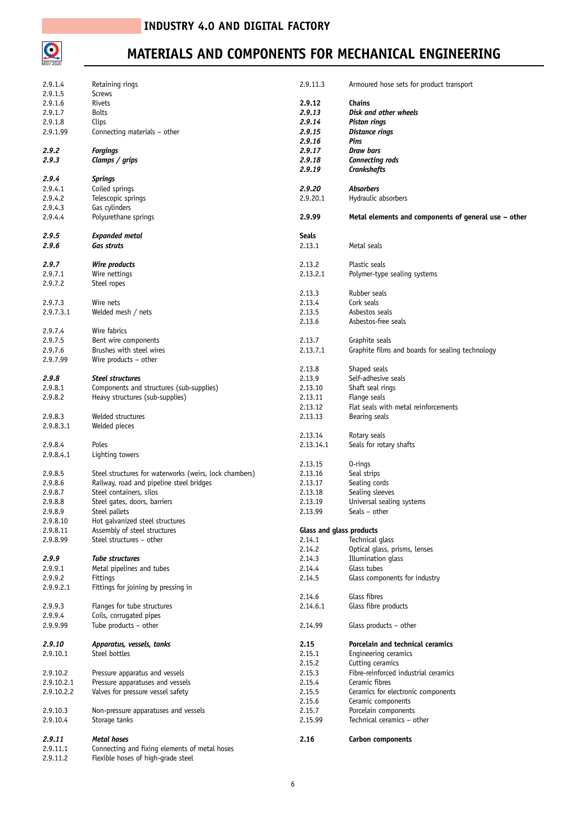

## **MATERIALS AND COMPONENTS FOR MECHANICAL ENGINEERING**

| 2.9.1.4    | Retaining rings                                        | 2.9.11.3                 | Armoured hose sets for product transport             |
|------------|--------------------------------------------------------|--------------------------|------------------------------------------------------|
| 2.9.1.5    | <b>Screws</b>                                          |                          |                                                      |
|            |                                                        |                          |                                                      |
| 2.9.1.6    | Rivets                                                 | 2.9.12                   | <b>Chains</b>                                        |
| 2.9.1.7    | <b>Bolts</b>                                           | 2.9.13                   | Disk and other wheels                                |
| 2.9.1.8    | Clips                                                  | 2.9.14                   | Piston rings                                         |
|            |                                                        |                          |                                                      |
| 2.9.1.99   | Connecting materials – other                           | 2.9.15                   | Distance rings                                       |
|            |                                                        | 2.9.16                   | Pins                                                 |
|            |                                                        |                          |                                                      |
| 2.9.2      | <b>Forgings</b>                                        | 2.9.17                   | Draw bars                                            |
| 2.9.3      | Clamps / grips                                         | 2.9.18                   | Connecting rods                                      |
|            |                                                        |                          |                                                      |
|            |                                                        | 2.9.19                   | <b>Crankshafts</b>                                   |
| 2.9.4      | <b>Springs</b>                                         |                          |                                                      |
|            | Coiled springs                                         |                          |                                                      |
| 2.9.4.1    |                                                        | 2.9.20                   | <b>Absorbers</b>                                     |
| 2.9.4.2    | Telescopic springs                                     | 2.9.20.1                 | Hydraulic absorbers                                  |
| 2.9.4.3    | Gas cylinders                                          |                          |                                                      |
|            |                                                        |                          |                                                      |
| 2.9.4.4    | Polyurethane springs                                   | 2.9.99                   | Metal elements and components of general use - other |
|            |                                                        |                          |                                                      |
|            |                                                        |                          |                                                      |
| 2.9.5      | <b>Expanded metal</b>                                  | Seals                    |                                                      |
| 2.9.6      | <b>Gas struts</b>                                      | 2.13.1                   | Metal seals                                          |
|            |                                                        |                          |                                                      |
|            |                                                        |                          |                                                      |
| 2.9.7      | Wire products                                          | 2.13.2                   | Plastic seals                                        |
| 2.9.7.1    | Wire nettings                                          | 2.13.2.1                 | Polymer-type sealing systems                         |
|            |                                                        |                          |                                                      |
| 2.9.7.2    | Steel ropes                                            |                          |                                                      |
|            |                                                        | 2.13.3                   | Rubber seals                                         |
|            |                                                        |                          |                                                      |
| 2.9.7.3    | Wire nets                                              | 2.13.4                   | Cork seals                                           |
| 2.9.7.3.1  | Welded mesh / nets                                     | 2.13.5                   | Asbestos seals                                       |
|            |                                                        |                          |                                                      |
|            |                                                        | 2.13.6                   | Asbestos-free seals                                  |
| 2.9.7.4    | Wire fabrics                                           |                          |                                                      |
|            |                                                        |                          |                                                      |
| 2.9.7.5    | Bent wire components                                   | 2.13.7                   | Graphite seals                                       |
| 2.9.7.6    | Brushes with steel wires                               | 2.13.7.1                 | Graphite films and boards for sealing technology     |
| 2.9.7.99   | Wire products $-$ other                                |                          |                                                      |
|            |                                                        |                          |                                                      |
|            |                                                        | 2.13.8                   | Shaped seals                                         |
| 2.9.8      | <b>Steel structures</b>                                | 2.13.9                   | Self-adhesive seals                                  |
|            |                                                        |                          |                                                      |
| 2.9.8.1    | Components and structures (sub-supplies)               | 2.13.10                  | Shaft seal rings                                     |
| 2.9.8.2    | Heavy structures (sub-supplies)                        | 2.13.11                  | Flange seals                                         |
|            |                                                        |                          |                                                      |
|            |                                                        | 2.13.12                  | Flat seals with metal reinforcements                 |
| 2.9.8.3    | Welded structures                                      | 2.13.13                  | Bearing seals                                        |
|            |                                                        |                          |                                                      |
| 2.9.8.3.1  | Welded pieces                                          |                          |                                                      |
|            |                                                        | 2.13.14                  | Rotary seals                                         |
|            | Poles                                                  |                          |                                                      |
| 2.9.8.4    |                                                        | 2.13.14.1                | Seals for rotary shafts                              |
| 2.9.8.4.1  | Lighting towers                                        |                          |                                                      |
|            |                                                        | 2.13.15                  | $0$ -rings                                           |
|            |                                                        |                          |                                                      |
| 2.9.8.5    | Steel structures for waterworks (weirs, lock chambers) | 2.13.16                  | Seal strips                                          |
| 2.9.8.6    | Railway, road and pipeline steel bridges               | 2.13.17                  | Sealing cords                                        |
|            |                                                        |                          |                                                      |
| 2.9.8.7    | Steel containers, silos                                | 2.13.18                  | Sealing sleeves                                      |
| 2.9.8.8    | Steel gates, doors, barriers                           | 2.13.19                  | Universal sealing systems                            |
|            |                                                        |                          | Seals - other                                        |
| 2.9.8.9    | Steel pallets                                          | 2.13.99                  |                                                      |
| 2.9.8.10   | Hot galvanized steel structures                        |                          |                                                      |
| 2.9.8.11   | Assembly of steel structures                           | Glass and glass products |                                                      |
|            |                                                        |                          |                                                      |
| 2.9.8.99   | Steel structures - other                               | 2.14.1                   | Technical glass                                      |
|            |                                                        | 2.14.2                   | Optical glass, prisms, lenses                        |
|            |                                                        |                          |                                                      |
| 2.9.9      | <b>Tube structures</b>                                 | 2.14.3                   | Illumination glass                                   |
| 2.9.9.1    | Metal pipelines and tubes                              | 2.14.4                   | Glass tubes                                          |
| 2.9.9.2    | <b>Fittings</b>                                        | 2.14.5                   | Glass components for industry                        |
|            |                                                        |                          |                                                      |
| 2.9.9.2.1  | Fittings for joining by pressing in                    |                          |                                                      |
|            |                                                        | 2.14.6                   | Glass fibres                                         |
|            |                                                        |                          |                                                      |
| 2.9.9.3    | Flanges for tube structures                            | 2.14.6.1                 | Glass fibre products                                 |
| 2.9.9.4    | Coils, corrugated pipes                                |                          |                                                      |
|            |                                                        |                          |                                                      |
| 2.9.9.99   | Tube products - other                                  | 2.14.99                  | Glass products $-$ other                             |
|            |                                                        |                          |                                                      |
| 2.9.10     | Apparatus, vessels, tanks                              | 2.15                     | Porcelain and technical ceramics                     |
|            |                                                        |                          |                                                      |
| 2.9.10.1   | Steel bottles                                          | 2.15.1                   | Engineering ceramics                                 |
|            |                                                        | 2.15.2                   | Cutting ceramics                                     |
|            |                                                        |                          |                                                      |
| 2.9.10.2   | Pressure apparatus and vessels                         | 2.15.3                   | Fibre-reinforced industrial ceramics                 |
| 2.9.10.2.1 | Pressure apparatuses and vessels                       | 2.15.4                   | Ceramic fibres                                       |
|            |                                                        |                          |                                                      |
| 2.9.10.2.2 | Valves for pressure vessel safety                      | 2.15.5                   | Ceramics for electronic components                   |
|            |                                                        | 2.15.6                   | Ceramic components                                   |
| 2.9.10.3   | Non-pressure apparatuses and vessels                   | 2.15.7                   | Porcelain components                                 |
|            |                                                        |                          |                                                      |
| 2.9.10.4   | Storage tanks                                          | 2.15.99                  | Technical ceramics - other                           |
|            |                                                        |                          |                                                      |
|            |                                                        |                          |                                                      |
| 2.9.11     | <b>Metal hoses</b>                                     | 2.16                     | Carbon components                                    |
| 2.9.11.1   | Connecting and fixing elements of metal hoses          |                          |                                                      |
|            |                                                        |                          |                                                      |
| 2.9.11.2   | Flexible hoses of high-grade steel                     |                          |                                                      |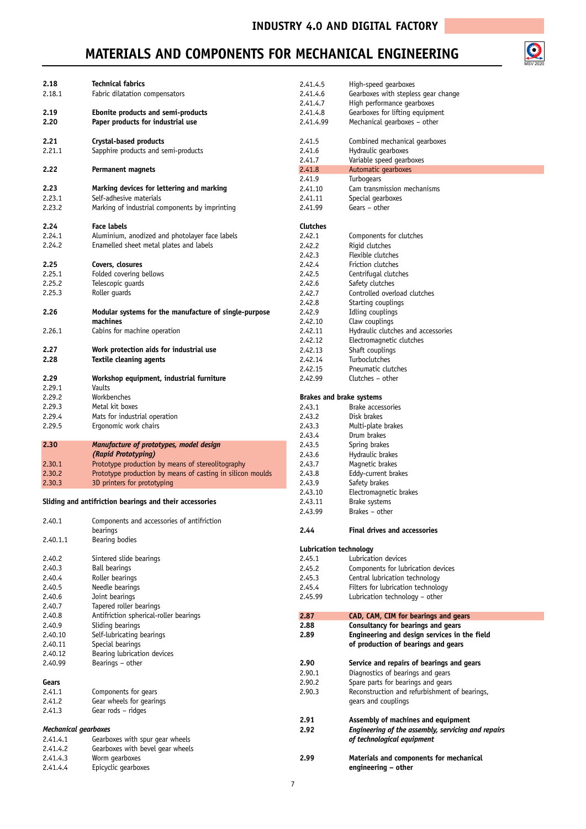$\bigodot$ <br>MSV 2020

## **MATERIALS AND COMPONENTS FOR MECHANICAL ENGINEERING**

| 2.18                 | <b>Technical fabrics</b>                                   | 2.41.4.5        | High-speed gearboxes                               |
|----------------------|------------------------------------------------------------|-----------------|----------------------------------------------------|
| 2.18.1               | Fabric dilatation compensators                             | 2.41.4.6        | Gearboxes with stepless gear change                |
|                      |                                                            |                 |                                                    |
|                      |                                                            | 2.41.4.7        | High performance gearboxes                         |
| 2.19                 | Ebonite products and semi-products                         | 2.41.4.8        | Gearboxes for lifting equipment                    |
| 2.20                 | Paper products for industrial use                          | 2.41.4.99       | Mechanical gearboxes - other                       |
| 2.21                 | Crystal-based products                                     | 2.41.5          | Combined mechanical gearboxes                      |
|                      | Sapphire products and semi-products                        |                 | Hydraulic gearboxes                                |
| 2.21.1               |                                                            | 2.41.6          |                                                    |
|                      |                                                            | 2.41.7          | Variable speed gearboxes                           |
| 2.22                 | <b>Permanent magnets</b>                                   | 2.41.8          | Automatic gearboxes                                |
|                      |                                                            | 2.41.9          | Turbogears                                         |
| 2.23                 | Marking devices for lettering and marking                  | 2.41.10         | Cam transmission mechanisms                        |
| 2.23.1               | Self-adhesive materials                                    | 2.41.11         | Special gearboxes                                  |
| 2.23.2               | Marking of industrial components by imprinting             | 2.41.99         | Gears - other                                      |
|                      |                                                            |                 |                                                    |
| 2.24                 | Face labels                                                | <b>Clutches</b> |                                                    |
| 2.24.1               | Aluminium, anodized and photolayer face labels             | 2.42.1          | Components for clutches                            |
| 2.24.2               | Enamelled sheet metal plates and labels                    | 2.42.2          | Rigid clutches                                     |
|                      |                                                            | 2.42.3          | Flexible clutches                                  |
| 2.25                 | Covers, closures                                           | 2.42.4          | Friction clutches                                  |
| 2.25.1               | Folded covering bellows                                    | 2.42.5          | Centrifugal clutches                               |
| 2.25.2               | Telescopic guards                                          | 2.42.6          | Safety clutches                                    |
| 2.25.3               | Roller guards                                              | 2.42.7          | Controlled overload clutches                       |
|                      |                                                            |                 |                                                    |
|                      |                                                            | 2.42.8          | Starting couplings                                 |
| 2.26                 | Modular systems for the manufacture of single-purpose      | 2.42.9          | Idling couplings                                   |
|                      | machines                                                   | 2.42.10         | Claw couplings                                     |
| 2.26.1               | Cabins for machine operation                               | 2.42.11         | Hydraulic clutches and accessories                 |
|                      |                                                            | 2.42.12         | Electromagnetic clutches                           |
| 2.27                 | Work protection aids for industrial use                    | 2.42.13         | Shaft couplings                                    |
| 2.28                 | Textile cleaning agents                                    | 2.42.14         | Turboclutches                                      |
|                      |                                                            |                 | Pneumatic clutches                                 |
|                      |                                                            | 2.42.15         |                                                    |
| 2.29                 | Workshop equipment, industrial furniture                   | 2.42.99         | Clutches - other                                   |
| 2.29.1               | Vaults                                                     |                 |                                                    |
| 2.29.2               | Workbenches                                                |                 | <b>Brakes and brake systems</b>                    |
| 2.29.3               | Metal kit boxes                                            | 2.43.1          | Brake accessories                                  |
| 2.29.4               | Mats for industrial operation                              | 2.43.2          | Disk brakes                                        |
| 2.29.5               | Ergonomic work chairs                                      | 2.43.3          | Multi-plate brakes                                 |
|                      |                                                            | 2.43.4          | Drum brakes                                        |
|                      |                                                            |                 |                                                    |
| 2.30                 | Manufacture of prototypes, model design                    | 2.43.5          | Spring brakes                                      |
|                      | (Rapid Prototyping)                                        | 2.43.6          | Hydraulic brakes                                   |
| 2.30.1               | Prototype production by means of stereolitography          | 2.43.7          | Magnetic brakes                                    |
| 2.30.2               | Prototype production by means of casting in silicon moulds | 2.43.8          | Eddy-current brakes                                |
| 2.30.3               | 3D printers for prototyping                                | 2.43.9          | Safety brakes                                      |
|                      |                                                            | 2.43.10         | Electromagnetic brakes                             |
|                      | Sliding and antifriction bearings and their accessories    | 2.43.11         | Brake systems                                      |
|                      |                                                            | 2.43.99         | Brakes – other                                     |
| 2.40.1               | Components and accessories of antifriction                 |                 |                                                    |
|                      | bearings                                                   | 2.44            | <b>Final drives and accessories</b>                |
| 2.40.1.1             | Bearing bodies                                             |                 |                                                    |
|                      |                                                            |                 | Lubrication technology                             |
| 2.40.2               | Sintered slide bearings                                    | 2.45.1          | Lubrication devices                                |
| 2.40.3               | <b>Ball bearings</b>                                       | 2.45.2          | Components for lubrication devices                 |
| 2.40.4               | Roller bearings                                            | 2.45.3          | Central lubrication technology                     |
| 2.40.5               | Needle bearings                                            | 2.45.4          | Filters for lubrication technology                 |
| 2.40.6               | Joint bearings                                             | 2.45.99         | Lubrication technology - other                     |
| 2.40.7               | Tapered roller bearings                                    |                 |                                                    |
| 2.40.8               |                                                            |                 |                                                    |
|                      | Antifriction spherical-roller bearings                     | 2.87            | CAD, CAM, CIM for bearings and gears               |
| 2.40.9               | Sliding bearings                                           | 2.88            | Consultancy for bearings and gears                 |
| 2.40.10              | Self-lubricating bearings                                  | 2.89            | Engineering and design services in the field       |
| 2.40.11              | Special bearings                                           |                 | of production of bearings and gears                |
| 2.40.12              | Bearing lubrication devices                                |                 |                                                    |
| 2.40.99              | Bearings - other                                           | 2.90            | Service and repairs of bearings and gears          |
|                      |                                                            | 2.90.1          | Diagnostics of bearings and gears                  |
| Gears                |                                                            | 2.90.2          | Spare parts for bearings and gears                 |
| 2.41.1               | Components for gears                                       | 2.90.3          | Reconstruction and refurbishment of bearings,      |
|                      |                                                            |                 |                                                    |
| 2.41.2               | Gear wheels for gearings                                   |                 | gears and couplings                                |
| 2.41.3               | Gear rods - ridges                                         |                 |                                                    |
|                      |                                                            | 2.91            | Assembly of machines and equipment                 |
| Mechanical gearboxes |                                                            | 2.92            | Engineering of the assembly, servicing and repairs |
| 2.41.4.1             | Gearboxes with spur gear wheels                            |                 | of technological equipment                         |
| 2.41.4.2             | Gearboxes with bevel gear wheels                           |                 |                                                    |
| 2.41.4.3             | Worm gearboxes                                             | 2.99            | Materials and components for mechanical            |
| 2.41.4.4             | Epicyclic gearboxes                                        |                 | engineering - other                                |
|                      |                                                            |                 |                                                    |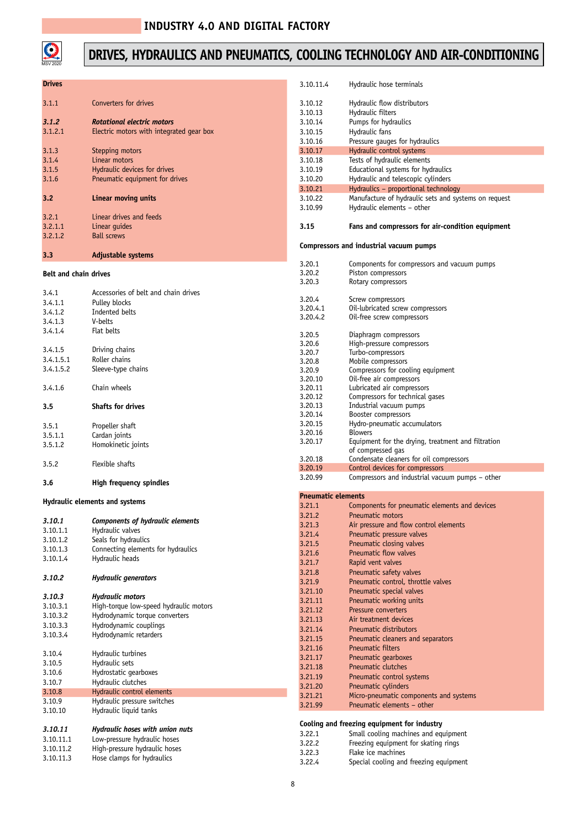

## **DRIVES, HYDRAULICS AND PNEUMATICS, COOLING TECHNOLOGY AND AIR-CONDITIONING**

| <b>Drives</b>                |                                          | 3.10.11.4                 | Hydraulic hose terminals                                                   |
|------------------------------|------------------------------------------|---------------------------|----------------------------------------------------------------------------|
| 3.1.1                        | Converters for drives                    | 3.10.12                   | Hydraulic flow distributors                                                |
|                              |                                          | 3.10.13                   | Hydraulic filters                                                          |
| 3.1.2                        | Rotational electric motors               | 3.10.14                   | Pumps for hydraulics                                                       |
| 3.1.2.1                      | Electric motors with integrated gear box | 3.10.15                   | Hydraulic fans                                                             |
|                              |                                          | 3.10.16                   | Pressure gauges for hydraulics                                             |
| 3.1.3                        | Stepping motors                          | 3.10.17                   | Hydraulic control systems                                                  |
| 3.1.4                        | Linear motors                            | 3.10.18                   | Tests of hydraulic elements                                                |
| 3.1.5                        | Hydraulic devices for drives             | 3.10.19                   | Educational systems for hydraulics                                         |
| 3.1.6                        | Pneumatic equipment for drives           | 3.10.20                   | Hydraulic and telescopic cylinders                                         |
|                              |                                          | 3.10.21                   | Hydraulics - proportional technology                                       |
| 3.2                          | Linear moving units                      | 3.10.22                   | Manufacture of hydraulic sets and systems on request                       |
|                              |                                          | 3.10.99                   | Hydraulic elements - other                                                 |
| 3.2.1                        | Linear drives and feeds                  |                           |                                                                            |
| 3.2.1.1                      | Linear quides                            | 3.15                      | Fans and compressors for air-condition equipment                           |
| 3.2.1.2                      | <b>Ball screws</b>                       |                           |                                                                            |
| 3.3                          | Adjustable systems                       |                           | Compressors and industrial vacuum pumps                                    |
|                              |                                          | 3.20.1                    | Components for compressors and vacuum pumps                                |
| <b>Belt and chain drives</b> |                                          | 3.20.2                    | Piston compressors                                                         |
|                              |                                          | 3.20.3                    | Rotary compressors                                                         |
| 3.4.1                        | Accessories of belt and chain drives     |                           |                                                                            |
| 3.4.1.1                      | Pulley blocks                            | 3.20.4                    | Screw compressors                                                          |
| 3.4.1.2                      | Indented belts                           | 3.20.4.1                  | Oil-lubricated screw compressors                                           |
| 3.4.1.3                      | V-belts                                  | 3.20.4.2                  | Oil-free screw compressors                                                 |
| 3.4.1.4                      | Flat belts                               |                           |                                                                            |
|                              |                                          | 3.20.5                    | Diaphragm compressors                                                      |
|                              |                                          | 3.20.6                    | High-pressure compressors                                                  |
| 3.4.1.5                      | Driving chains                           | 3.20.7                    | Turbo-compressors                                                          |
| 3.4.1.5.1                    | Roller chains                            | 3.20.8                    | Mobile compressors                                                         |
| 3.4.1.5.2                    | Sleeve-type chains                       | 3.20.9                    | Compressors for cooling equipment                                          |
|                              |                                          | 3.20.10                   | Oil-free air compressors                                                   |
| 3.4.1.6                      | Chain wheels                             | 3.20.11                   | Lubricated air compressors                                                 |
|                              |                                          | 3.20.12                   | Compressors for technical gases                                            |
| 3.5                          | <b>Shafts for drives</b>                 | 3.20.13                   | Industrial vacuum pumps                                                    |
|                              |                                          | 3.20.14                   | Booster compressors                                                        |
| 3.5.1                        | Propeller shaft                          | 3.20.15                   | Hydro-pneumatic accumulators                                               |
| 3.5.1.1                      | Cardan joints                            | 3.20.16                   | <b>Blowers</b>                                                             |
| 3.5.1.2                      | Homokinetic joints                       | 3.20.17                   | Equipment for the drying, treatment and filtration                         |
|                              |                                          |                           | of compressed gas                                                          |
| 3.5.2                        | Flexible shafts                          | 3.20.18                   | Condensate cleaners for oil compressors<br>Control devices for compressors |
|                              |                                          | 3.20.19                   |                                                                            |
| 3.6                          | High frequency spindles                  | 3.20.99                   | Compressors and industrial vacuum pumps - other                            |
|                              | Hydraulic elements and systems           | <b>Pneumatic elements</b> |                                                                            |
|                              |                                          | 3.21.1                    | Components for pneumatic elements and devices                              |
| 3.10.1                       | Components of hydraulic elements         | 3.21.2                    | Pneumatic motors                                                           |
|                              |                                          | 3.21.3                    | Air pressure and flow control elements                                     |
| 3.10.1.1<br>3.10.1.2         | Hydraulic valves<br>Seals for hydraulics | 3.21.4                    | Pneumatic pressure valves                                                  |
|                              |                                          | 3.21.5                    | Pneumatic closing valves                                                   |
| 3.10.1.3                     | Connecting elements for hydraulics       | 3.21.6                    | Pneumatic flow valves                                                      |
| 3.10.1.4                     | Hydraulic heads                          | 3.21.7                    | Rapid vent valves                                                          |
|                              |                                          | 3.21.8                    | Pneumatic safety valves                                                    |
| 3.10.2                       | <b>Hydraulic generators</b>              | 3.21.9                    | Pneumatic control, throttle valves                                         |
|                              |                                          | 3.21.10                   | Pneumatic special valves                                                   |
| 3.10.3                       | <b>Hydraulic motors</b>                  | 3.21.11                   | Pneumatic working units                                                    |
| 3.10.3.1                     | High-torque low-speed hydraulic motors   | 3.21.12                   | Pressure converters                                                        |
| 3.10.3.2                     | Hydrodynamic torque converters           | 3.21.13                   | Air treatment devices                                                      |
| 3.10.3.3                     | Hydrodynamic couplings                   |                           |                                                                            |
| 3.10.3.4                     | Hydrodynamic retarders                   | 3.21.14                   | Pneumatic distributors                                                     |
|                              |                                          | 3.21.15                   | Pneumatic cleaners and separators                                          |
| 3.10.4                       | Hydraulic turbines                       | 3.21.16                   | <b>Pneumatic filters</b>                                                   |
| 3.10.5                       | Hydraulic sets                           | 3.21.17                   | Pneumatic gearboxes                                                        |
| 3.10.6                       | Hydrostatic gearboxes                    | 3.21.18                   | Pneumatic clutches                                                         |
| 3.10.7                       | Hydraulic clutches                       | 3.21.19                   | Pneumatic control systems                                                  |
| 3.10.8                       | Hydraulic control elements               | 3.21.20                   | Pneumatic cylinders                                                        |
|                              |                                          | 3.21.21                   | Micro-pneumatic components and systems                                     |
| 3.10.9                       | Hydraulic pressure switches              | 3.21.99                   | Pneumatic elements - other                                                 |
| 3.10.10                      | Hydraulic liquid tanks                   |                           |                                                                            |
|                              |                                          |                           | Cooling and freezing equipment for industry                                |
| 3.10.11                      | Hydraulic hoses with union nuts          | 3.22.1                    | Small cooling machines and equipment                                       |
| 3.10.11.1                    | Low-pressure hydraulic hoses             | 3.22.2                    | Freezing equipment for skating rings                                       |
| 3.10.11.2                    | High-pressure hydraulic hoses            | 3.22.3                    | Flake ice machines                                                         |
| 3.10.11.3                    | Hose clamps for hydraulics               | 3.22.4                    | Special cooling and freezing equipment                                     |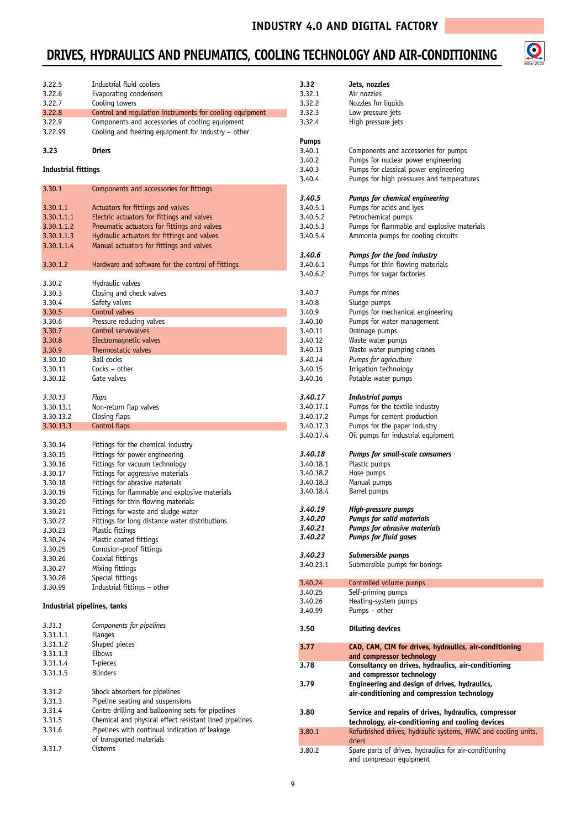## **DRIVES, HYDRAULICS AND PNEUMATICS, COOLING TECHNOLOGY AND AIR-CONDITIONING**



| 3.22.5                      | Industrial fluid coolers                                 | 3.32      | Jets, nozzles                                                  |
|-----------------------------|----------------------------------------------------------|-----------|----------------------------------------------------------------|
| 3.22.6                      | Evaporating condensers                                   | 3.32.1    | Air nozzles                                                    |
| 3.22.7                      | Cooling towers                                           | 3.32.2    | Nozzles for liquids                                            |
| 3.22.8                      | Control and regulation instruments for cooling equipment | 3.32.3    | Low pressure jets                                              |
| 3.22.9                      | Components and accessories of cooling equipment          | 3.32.4    | High pressure jets                                             |
| 3.22.99                     | Cooling and freezing equipment for industry - other      |           |                                                                |
|                             |                                                          | Pumps     |                                                                |
| 3.23                        | <b>Driers</b>                                            | 3.40.1    | Components and accessories for pumps                           |
|                             |                                                          | 3.40.2    | Pumps for nuclear power engineering                            |
| <b>Industrial fittings</b>  |                                                          | 3.40.3    | Pumps for classical power engineering                          |
|                             |                                                          | 3.40.4    | Pumps for high pressures and temperatures                      |
| 3.30.1                      | Components and accessories for fittings                  |           |                                                                |
|                             |                                                          | 3.40.5    | <b>Pumps for chemical engineering</b>                          |
| 3.30.1.1                    | Actuators for fittings and valves                        | 3.40.5.1  | Pumps for acids and lyes                                       |
| 3.30.1.1.1                  | Electric actuators for fittings and valves               | 3.40.5.2  | Petrochemical pumps                                            |
| 3.30.1.1.2                  | Pneumatic actuators for fittings and valves              | 3.40.5.3  | Pumps for flammable and explosive materials                    |
| 3.30.1.1.3                  | Hydraulic actuators for fittings and valves              | 3.40.5.4  | Ammonia pumps for cooling circuits                             |
| 3.30.1.1.4                  | Manual actuators for fittings and valves                 |           |                                                                |
|                             |                                                          | 3.40.6    | Pumps for the food industry                                    |
| 3.30.1.2                    | Hardware and software for the control of fittings        | 3.40.6.1  | Pumps for thin flowing materials                               |
|                             |                                                          | 3.40.6.2  | Pumps for sugar factories                                      |
| 3.30.2                      | Hydraulic valves                                         |           |                                                                |
| 3.30.3                      | Closing and check valves                                 | 3.40.7    | Pumps for mines                                                |
| 3.30.4                      | Safety valves                                            | 3.40.8    | Sludge pumps                                                   |
|                             |                                                          |           | Pumps for mechanical engineering                               |
| 3.30.5                      | Control valves                                           | 3.40.9    |                                                                |
| 3.30.6                      | Pressure reducing valves                                 | 3.40.10   | Pumps for water management                                     |
| 3.30.7                      | Control servovalves                                      | 3.40.11   | Drainage pumps                                                 |
| 3.30.8                      | Electromagnetic valves                                   | 3.40.12   | Waste water pumps                                              |
| 3.30.9                      | Thermostatic valves                                      | 3.40.13   | Waste water pumping cranes                                     |
| 3.30.10                     | <b>Ball cocks</b>                                        | 3.40.14   | Pumps for agriculture                                          |
| 3.30.11                     | Cocks - other                                            | 3.40.15   | Irrigation technology                                          |
| 3.30.12                     | Gate valves                                              | 3.40.16   | Potable water pumps                                            |
|                             |                                                          |           |                                                                |
| 3.30.13                     | Flaps                                                    | 3.40.17   | Industrial pumps                                               |
| 3.30.13.1                   | Non-return flap valves                                   | 3.40.17.1 | Pumps for the textile industry                                 |
| 3.30.13.2                   | Closing flaps                                            | 3.40.17.2 | Pumps for cement production                                    |
| 3.30.13.3                   | Control flaps                                            | 3.40.17.3 | Pumps for the paper industry                                   |
|                             |                                                          | 3.40.17.4 | Oil pumps for industrial equipment                             |
| 3.30.14                     | Fittings for the chemical industry                       |           |                                                                |
| 3.30.15                     | Fittings for power engineering                           | 3.40.18   | Pumps for small-scale consumers                                |
| 3.30.16                     | Fittings for vacuum technology                           | 3.40.18.1 | Plastic pumps                                                  |
| 3.30.17                     | Fittings for aggressive materials                        | 3.40.18.2 | Hose pumps                                                     |
| 3.30.18                     | Fittings for abrasive materials                          | 3.40.18.3 | Manual pumps                                                   |
| 3.30.19                     | Fittings for flammable and explosive materials           | 3.40.18.4 | Barrel pumps                                                   |
| 3.30.20                     | Fittings for thin flowing materials                      |           |                                                                |
| 3.30.21                     | Fittings for waste and sludge water                      | 3.40.19   | High-pressure pumps                                            |
| 3.30.22                     | Fittings for long distance water distributions           | 3.40.20   | <b>Pumps for solid materials</b>                               |
| 3.30.23                     | Plastic fittings                                         | 3.40.21   | Pumps for abrasive materials                                   |
| 3.30.24                     | Plastic coated fittings                                  | 3.40.22   | <b>Pumps for fluid gases</b>                                   |
| 3.30.25                     | Corrosion-proof fittings                                 |           |                                                                |
| 3.30.26                     | Coaxial fittings                                         | 3.40.23   | Submersible pumps                                              |
|                             |                                                          | 3.40.23.1 | Submersible pumps for borings                                  |
| 3.30.27                     | Mixing fittings                                          |           |                                                                |
| 3.30.28                     | Special fittings                                         | 3.40.24   | Controlled volume pumps                                        |
| 3.30.99                     | Industrial fittings - other                              | 3.40.25   | Self-priming pumps                                             |
|                             |                                                          | 3.40.26   | Heating-system pumps                                           |
| Industrial pipelines, tanks |                                                          | 3.40.99   | Pumps - other                                                  |
|                             |                                                          |           |                                                                |
| 3.31.1                      | Components for pipelines                                 | 3.50      | <b>Diluting devices</b>                                        |
| 3.31.1.1                    | <b>Flanges</b>                                           |           |                                                                |
| 3.31.1.2                    | Shaped pieces                                            | 3.77      | CAD, CAM, CIM for drives, hydraulics, air-conditioning         |
| 3.31.1.3                    | <b>Elbows</b>                                            |           | and compressor technology                                      |
| 3.31.1.4                    | T-pieces                                                 | 3.78      | Consultancy on drives, hydraulics, air-conditioning            |
| 3.31.1.5                    | <b>Blinders</b>                                          |           | and compressor technology                                      |
|                             |                                                          | 3.79      | Engineering and design of drives, hydraulics,                  |
| 3.31.2                      | Shock absorbers for pipelines                            |           | air-conditioning and compression technology                    |
| 3.31.3                      | Pipeline seating and suspensions                         |           |                                                                |
| 3.31.4                      | Centre drilling and ballooning sets for pipelines        | 3.80      | Service and repairs of drives, hydraulics, compressor          |
| 3.31.5                      | Chemical and physical effect resistant lined pipelines   |           | technology, air-conditioning and cooling devices               |
| 3.31.6                      | Pipelines with continual indication of leakage           | 3.80.1    | Refurbished drives, hydraulic systems, HVAC and cooling units, |
|                             | of transported materials                                 |           | driers                                                         |
| 3.31.7                      | Cisterns                                                 | 3.80.2    | Spare parts of drives, hydraulics for air-conditioning         |
|                             |                                                          |           | and compressor equipment                                       |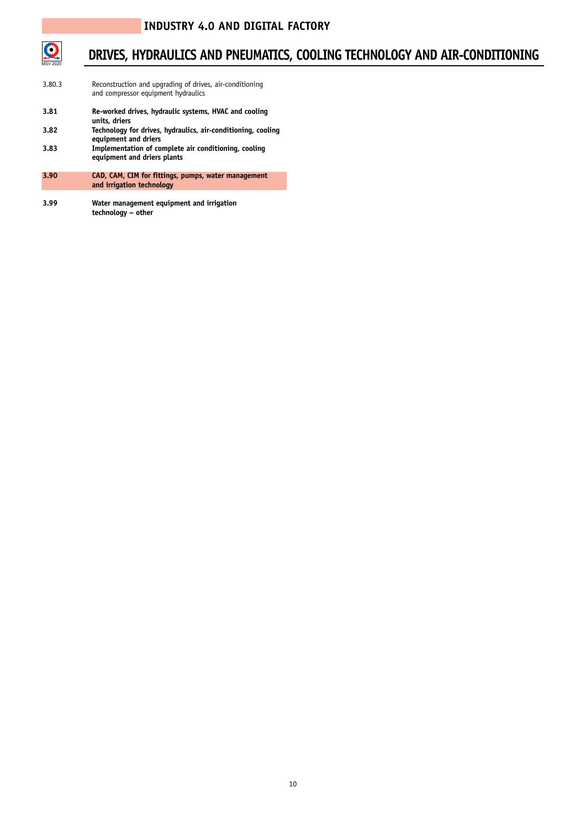

#### **DRIVES, HYDRAULICS AND PNEUMATICS, COOLING TECHNOLOGY AND AIR-CONDITIONING**

- 3.80.3 Reconstruction and upgrading of drives, air-conditioning and compressor equipment hydraulics
- **3.81 Re-worked drives, hydraulic systems, HVAC and cooling units, driers**
- **3.82 Technology for drives, hydraulics, air-conditioning, cooling equipment and driers**
- **3.83 Implementation of complete air conditioning, cooling equipment and driers plants**
- **3.90 CAD, CAM, CIM for fittings, pumps, water management and irrigation technology**
- **3.99 Water management equipment and irrigation technology – other**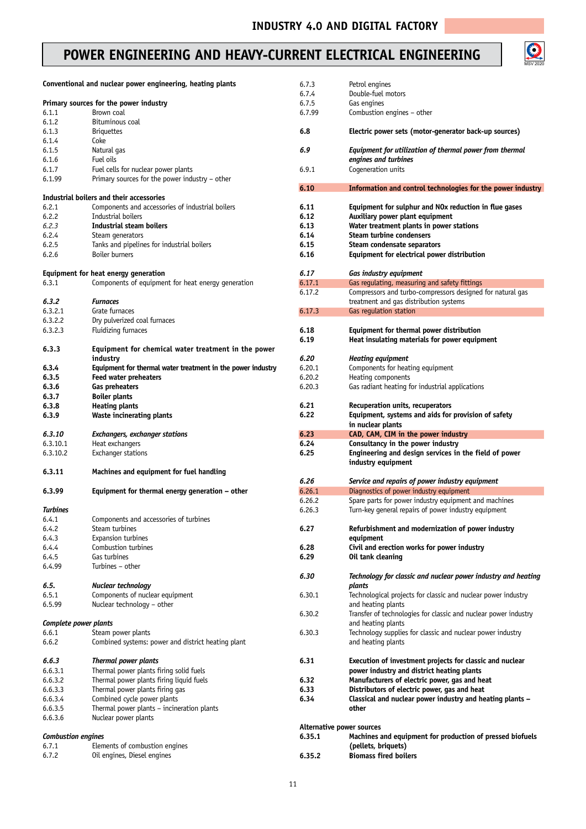#### POWER ENGINEERING AND HEAVY-CURRENT ELECTRICAL ENGINEERING



|                           | Conventional and nuclear power engineering, heating plants  | 6.7.3<br>6.7.4 | Petrol engines<br>Double-fuel motors                            |
|---------------------------|-------------------------------------------------------------|----------------|-----------------------------------------------------------------|
|                           |                                                             |                |                                                                 |
|                           | Primary sources for the power industry                      | 6.7.5          | Gas engines                                                     |
| 6.1.1                     | Brown coal                                                  | 6.7.99         | Combustion engines - other                                      |
| 6.1.2                     | Bituminous coal                                             |                |                                                                 |
| 6.1.3                     | <b>Briguettes</b>                                           | 6.8            | Electric power sets (motor-generator back-up sources)           |
| 6.1.4                     | Coke                                                        |                |                                                                 |
| 6.1.5                     | Natural gas                                                 | 6.9            | Equipment for utilization of thermal power from thermal         |
| 6.1.6                     | Fuel oils                                                   |                | engines and turbines                                            |
|                           |                                                             |                |                                                                 |
| 6.1.7                     | Fuel cells for nuclear power plants                         | 6.9.1          | Cogeneration units                                              |
| 6.1.99                    | Primary sources for the power industry - other              |                |                                                                 |
|                           |                                                             | 6.10           | Information and control technologies for the power industry     |
|                           | Industrial boilers and their accessories                    |                |                                                                 |
| 6.2.1                     | Components and accessories of industrial boilers            | 6.11           | Equipment for sulphur and NOx reduction in flue gases           |
|                           |                                                             |                |                                                                 |
| 6.2.2                     | Industrial boilers                                          | 6.12           | Auxiliary power plant equipment                                 |
| 6.2.3                     | <b>Industrial steam boilers</b>                             | 6.13           | Water treatment plants in power stations                        |
| 6.2.4                     | Steam generators                                            | 6.14           | <b>Steam turbine condensers</b>                                 |
| 6.2.5                     | Tanks and pipelines for industrial boilers                  | 6.15           | Steam condensate separators                                     |
| 6.2.6                     | <b>Boiler burners</b>                                       | 6.16           | Equipment for electrical power distribution                     |
|                           |                                                             |                |                                                                 |
|                           |                                                             |                |                                                                 |
|                           | Equipment for heat energy generation                        | 6.17           | Gas industry equipment                                          |
| 6.3.1                     | Components of equipment for heat energy generation          | 6.17.1         | Gas regulating, measuring and safety fittings                   |
|                           |                                                             | 6.17.2         | Compressors and turbo-compressors designed for natural gas      |
| 6.3.2                     | <b>Furnaces</b>                                             |                | treatment and gas distribution systems                          |
|                           |                                                             |                |                                                                 |
| 6.3.2.1                   | Grate furnaces                                              | 6.17.3         | Gas regulation station                                          |
| 6.3.2.2                   | Dry pulverized coal furnaces                                |                |                                                                 |
| 6.3.2.3                   | <b>Fluidizing furnaces</b>                                  | 6.18           | Equipment for thermal power distribution                        |
|                           |                                                             | 6.19           | Heat insulating materials for power equipment                   |
| 6.3.3                     | Equipment for chemical water treatment in the power         |                |                                                                 |
|                           |                                                             |                |                                                                 |
|                           | industry                                                    | 6.20           | <b>Heating equipment</b>                                        |
| 6.3.4                     | Equipment for thermal water treatment in the power industry | 6.20.1         | Components for heating equipment                                |
| 6.3.5                     | <b>Feed water preheaters</b>                                | 6.20.2         | Heating components                                              |
| 6.3.6                     | Gas preheaters                                              | 6.20.3         | Gas radiant heating for industrial applications                 |
| 6.3.7                     | <b>Boiler plants</b>                                        |                |                                                                 |
|                           |                                                             |                |                                                                 |
| 6.3.8                     | <b>Heating plants</b>                                       | 6.21           | Recuperation units, recuperators                                |
| 6.3.9                     | <b>Waste incinerating plants</b>                            | 6.22           | Equipment, systems and aids for provision of safety             |
|                           |                                                             |                |                                                                 |
|                           |                                                             |                |                                                                 |
|                           |                                                             |                | in nuclear plants                                               |
| 6.3.10                    | <b>Exchangers, exchanger stations</b>                       | 6.23           | CAD, CAM, CIM in the power industry                             |
| 6.3.10.1                  | Heat exchangers                                             | 6.24           | Consultancy in the power industry                               |
| 6.3.10.2                  | <b>Exchanger stations</b>                                   | 6.25           | Engineering and design services in the field of power           |
|                           |                                                             |                | industry equipment                                              |
| 6.3.11                    | Machines and equipment for fuel handling                    |                |                                                                 |
|                           |                                                             |                |                                                                 |
|                           |                                                             | 6.26           | Service and repairs of power industry equipment                 |
| 6.3.99                    | Equipment for thermal energy generation - other             | 6.26.1         | Diagnostics of power industry equipment                         |
|                           |                                                             | 6.26.2         | Spare parts for power industry equipment and machines           |
| <b>Turbines</b>           |                                                             | 6.26.3         | Turn-key general repairs of power industry equipment            |
| 6.4.1                     | Components and accessories of turbines                      |                |                                                                 |
|                           |                                                             |                |                                                                 |
| 6.4.2                     | Steam turbines                                              | 6.27           | Refurbishment and modernization of power industry               |
| 6.4.3                     | Expansion turbines                                          |                | equipment                                                       |
| 6.4.4                     | Combustion turbines                                         | 6.28           | Civil and erection works for power industry                     |
| 6.4.5                     | Gas turbines                                                | 6.29           | Oil tank cleaning                                               |
| 6.4.99                    | Turbines - other                                            |                |                                                                 |
|                           |                                                             |                |                                                                 |
|                           |                                                             | 6.30           | Technology for classic and nuclear power industry and heating   |
| 6.5.                      | Nuclear technology                                          |                | plants                                                          |
| 6.5.1                     | Components of nuclear equipment                             | 6.30.1         | Technological projects for classic and nuclear power industry   |
| 6.5.99                    | Nuclear technology - other                                  |                | and heating plants                                              |
|                           |                                                             | 6.30.2         |                                                                 |
|                           |                                                             |                | Transfer of technologies for classic and nuclear power industry |
| Complete power plants     |                                                             |                | and heating plants                                              |
| 6.6.1                     | Steam power plants                                          | 6.30.3         | Technology supplies for classic and nuclear power industry      |
| 6.6.2                     | Combined systems: power and district heating plant          |                | and heating plants                                              |
|                           |                                                             |                |                                                                 |
| 6.6.3                     |                                                             | 6.31           | Execution of investment projects for classic and nuclear        |
|                           | Thermal power plants                                        |                |                                                                 |
| 6.6.3.1                   | Thermal power plants firing solid fuels                     |                | power industry and district heating plants                      |
| 6.6.3.2                   | Thermal power plants firing liquid fuels                    | 6.32           | Manufacturers of electric power, gas and heat                   |
| 6.6.3.3                   | Thermal power plants firing gas                             | 6.33           | Distributors of electric power, gas and heat                    |
| 6.6.3.4                   | Combined cycle power plants                                 | 6.34           | Classical and nuclear power industry and heating plants -       |
|                           |                                                             |                | other                                                           |
| 6.6.3.5                   | Thermal power plants - incineration plants                  |                |                                                                 |
| 6.6.3.6                   | Nuclear power plants                                        |                |                                                                 |
|                           |                                                             |                | Alternative power sources                                       |
| <b>Combustion engines</b> |                                                             | 6.35.1         | Machines and equipment for production of pressed biofuels       |
| 6.7.1                     | Elements of combustion engines                              |                | (pellets, briquets)<br><b>Biomass fired boilers</b>             |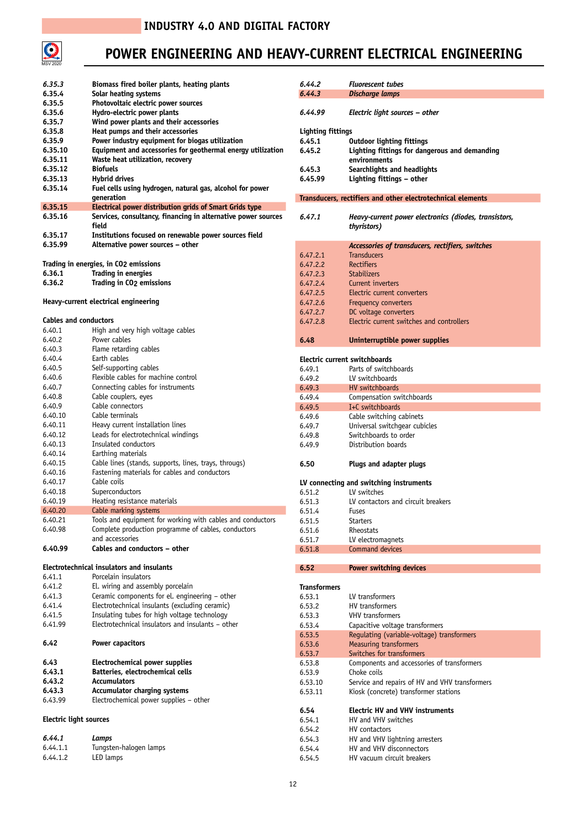

## **POWER ENGINEERING AND HEAVY-CURRENT ELECTRICAL ENGINEERING**

| 6.35.3                        | Biomass fired boiler plants, heating plants                           | 6.44.2                   | <b>Fluorescent tubes</b>                                    |
|-------------------------------|-----------------------------------------------------------------------|--------------------------|-------------------------------------------------------------|
| 6.35.4                        | Solar heating systems                                                 | 6,44,3                   | Discharge lamps                                             |
| 6.35.5                        | Photovoltaic electric power sources                                   |                          |                                                             |
| 6.35.6                        | Hydro-electric power plants                                           | 6.44.99                  | Electric light sources – other                              |
| 6.35.7                        | Wind power plants and their accessories                               |                          |                                                             |
| 6.35.8                        | Heat pumps and their accessories                                      | <b>Lighting fittings</b> |                                                             |
| 6.35.9                        | Power industry equipment for biogas utilization                       | 6.45.1                   | <b>Outdoor lighting fittings</b>                            |
| 6.35.10                       | Equipment and accessories for geothermal energy utilization           | 6.45.2                   | Lighting fittings for dangerous and demanding               |
| 6.35.11                       | Waste heat utilization, recovery                                      |                          | environments                                                |
| 6.35.12                       | <b>Biofuels</b>                                                       | 6.45.3                   | Searchlights and headlights                                 |
| 6.35.13                       | <b>Hybrid drives</b>                                                  | 6.45.99                  | Lighting fittings - other                                   |
| 6.35.14                       | Fuel cells using hydrogen, natural gas, alcohol for power             |                          |                                                             |
| 6.35.15                       | generation<br>Electrical power distribution grids of Smart Grids type |                          | Transducers, rectifiers and other electrotechnical elements |
| 6.35.16                       | Services, consultancy, financing in alternative power sources         | 6.47.1                   | Heavy-current power electronics (diodes, transistors,       |
|                               | field                                                                 |                          | thyristors)                                                 |
| 6.35.17                       | Institutions focused on renewable power sources field                 |                          |                                                             |
| 6.35.99                       | Alternative power sources - other                                     |                          | Accessories of transducers, rectifiers, switches            |
|                               |                                                                       | 6.47.2.1                 | <b>Transducers</b>                                          |
|                               | Trading in energies, in CO2 emissions                                 | 6.47.2.2                 | <b>Rectifiers</b>                                           |
| 6.36.1                        | <b>Trading in energies</b>                                            | 6.47.2.3                 | <b>Stabilizers</b>                                          |
| 6.36.2                        | <b>Trading in CO<sub>2</sub></b> emissions                            | 6.47.2.4                 | Current inverters                                           |
|                               |                                                                       | 6.47.2.5                 | Electric current converters                                 |
|                               | Heavy-current electrical engineering                                  | 6.47.2.6                 | Frequency converters                                        |
|                               |                                                                       | 6.47.2.7                 | DC voltage converters                                       |
| <b>Cables and conductors</b>  |                                                                       | 6.47.2.8                 | Electric current switches and controllers                   |
| 6.40.1                        | High and very high voltage cables                                     |                          |                                                             |
| 6.40.2                        | Power cables                                                          | 6.48                     | Uninterruptible power supplies                              |
| 6.40.3                        | Flame retarding cables                                                |                          |                                                             |
| 6.40.4                        | Earth cables                                                          |                          | Electric current switchboards                               |
| 6.40.5<br>6.40.6              | Self-supporting cables<br>Flexible cables for machine control         | 6.49.1                   | Parts of switchboards                                       |
| 6.40.7                        | Connecting cables for instruments                                     | 6.49.2                   | LV switchboards                                             |
| 6.40.8                        | Cable couplers, eyes                                                  | 6.49.3<br>6.49.4         | HV switchboards                                             |
| 6.40.9                        | Cable connectors                                                      | 6.49.5                   | Compensation switchboards<br>I+C switchboards               |
| 6.40.10                       | Cable terminals                                                       | 6.49.6                   | Cable switching cabinets                                    |
| 6.40.11                       | Heavy current installation lines                                      | 6.49.7                   | Universal switchgear cubicles                               |
| 6.40.12                       | Leads for electrotechnical windings                                   | 6.49.8                   | Switchboards to order                                       |
| 6.40.13                       | Insulated conductors                                                  | 6.49.9                   | Distribution boards                                         |
| 6.40.14                       | Earthing materials                                                    |                          |                                                             |
| 6.40.15                       | Cable lines (stands, supports, lines, trays, througs)                 | 6.50                     | Plugs and adapter plugs                                     |
| 6.40.16                       | Fastening materials for cables and conductors                         |                          |                                                             |
| 6.40.17                       | Cable coils                                                           |                          | LV connecting and switching instruments                     |
| 6.40.18                       | Superconductors                                                       | 6.51.2                   | LV switches                                                 |
| 6.40.19                       | Heating resistance materials                                          | 6.51.3                   | LV contactors and circuit breakers                          |
| 6.40.20                       | Cable marking systems                                                 | 6.51.4                   | Fuses                                                       |
| 6.40.21                       | Tools and equipment for working with cables and conductors            | 6.51.5                   | <b>Starters</b>                                             |
| 6.40.98                       | Complete production programme of cables, conductors                   | 6.51.6                   | Rheostats                                                   |
|                               | and accessories                                                       | 6.51.7                   | LV electromagnets                                           |
| 6.40.99                       | Cables and conductors - other                                         | 6.51.8                   | Command devices                                             |
|                               | <b>Electrotechnical insulators and insulants</b>                      |                          |                                                             |
| 6.41.1                        | Porcelain insulators                                                  | 6.52                     | Power switching devices                                     |
| 6.41.2                        | El. wiring and assembly porcelain                                     | <b>Transformers</b>      |                                                             |
| 6.41.3                        | Ceramic components for el. engineering - other                        | 6.53.1                   | LV transformers                                             |
| 6.41.4                        | Electrotechnical insulants (excluding ceramic)                        | 6.53.2                   | HV transformers                                             |
| 6.41.5                        | Insulating tubes for high voltage technology                          | 6.53.3                   | <b>VHV</b> transformers                                     |
| 6.41.99                       | Electrotechnical insulators and insulants – other                     | 6.53.4                   | Capacitive voltage transformers                             |
|                               |                                                                       | 6.53.5                   | Requlating (variable-voltage) transformers                  |
| 6.42                          | Power capacitors                                                      | 6.53.6                   | <b>Measuring transformers</b>                               |
|                               |                                                                       | 6.53.7                   | Switches for transformers                                   |
| 6.43                          | Electrochemical power supplies                                        | 6.53.8                   | Components and accessories of transformers                  |
| 6.43.1                        | Batteries, electrochemical cells                                      | 6.53.9                   | Choke coils                                                 |
| 6.43.2                        | <b>Accumulators</b>                                                   | 6.53.10                  | Service and repairs of HV and VHV transformers              |
| 6.43.3                        | <b>Accumulator charging systems</b>                                   | 6.53.11                  | Kiosk (concrete) transformer stations                       |
| 6.43.99                       | Electrochemical power supplies - other                                |                          |                                                             |
|                               |                                                                       | 6.54                     | <b>Electric HV and VHV instruments</b>                      |
| <b>Electric light sources</b> |                                                                       | 6.54.1                   | HV and VHV switches                                         |
|                               |                                                                       | 6.54.2                   | HV contactors                                               |
| 6.44.1                        | Lamps                                                                 | 6.54.3                   | HV and VHV lightning arresters                              |
| 6.44.1.1                      | Tungsten-halogen lamps                                                | 6.54.4                   | HV and VHV disconnectors                                    |
| 6.44.1.2                      | LED lamps                                                             | 6.54.5                   | HV vacuum circuit breakers                                  |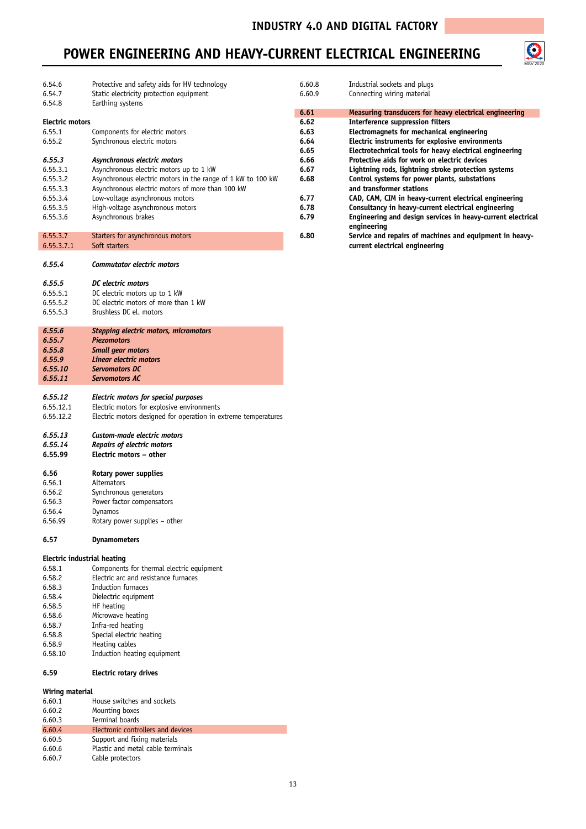MSV 2020

O

#### **POWER ENGINEERING AND HEAVY-CURRENT ELECTRICAL ENGINEERING**

| 6.54.6          | Protective and safety aids for HV technology                   | 6.60.8 | Industrial sockets and plugs                                               |
|-----------------|----------------------------------------------------------------|--------|----------------------------------------------------------------------------|
| 6.54.7          | Static electricity protection equipment                        | 6.60.9 | Connecting wiring material                                                 |
| 6.54.8          | Earthing systems                                               |        |                                                                            |
|                 |                                                                | 6.61   | Measuring transducers for heavy electrical engineering                     |
| Electric motors |                                                                | 6.62   | <b>Interference suppression filters</b>                                    |
| 6.55.1          | Components for electric motors                                 | 6.63   | Electromagnets for mechanical engineering                                  |
| 6.55.2          | Synchronous electric motors                                    | 6.64   | Electric instruments for explosive environments                            |
|                 |                                                                | 6.65   | Electrotechnical tools for heavy electrical engineering                    |
| 6.55.3          | Asynchronous electric motors                                   | 6.66   | Protective aids for work on electric devices                               |
| 6.55.3.1        | Asynchronous electric motors up to 1 kW                        | 6.67   | Lightning rods, lightning stroke protection systems                        |
| 6.55.3.2        | Asynchronous electric motors in the range of 1 kW to 100 kW    | 6.68   | Control systems for power plants, substations                              |
| 6.55.3.3        | Asynchronous electric motors of more than 100 kW               |        | and transformer stations                                                   |
| 6.55.3.4        | Low-voltage asynchronous motors                                | 6.77   | CAD, CAM, CIM in heavy-current electrical engineering                      |
| 6.55.3.5        | High-voltage asynchronous motors                               | 6.78   | Consultancy in heavy-current electrical engineering                        |
| 6.55.3.6        | Asynchronous brakes                                            | 6.79   | Engineering and design services in heavy-current electrical<br>engineering |
| 6.55.3.7        | Starters for asynchronous motors                               | 6.80   | Service and repairs of machines and equipment in heavy-                    |
| 6.55.3.7.1      | Soft starters                                                  |        | current electrical engineering                                             |
|                 |                                                                |        |                                                                            |
| 6.55.4          | <b>Commutator electric motors</b>                              |        |                                                                            |
| 6.55.5          | DC electric motors                                             |        |                                                                            |
| 6.55.5.1        | DC electric motors up to 1 kW                                  |        |                                                                            |
| 6.55.5.2        | DC electric motors of more than 1 kW                           |        |                                                                            |
| 6.55.5.3        | Brushless DC el. motors                                        |        |                                                                            |
|                 |                                                                |        |                                                                            |
| 6.55.6          | Stepping electric motors, micromotors                          |        |                                                                            |
| 6.55.7          | <b>Piezomotors</b>                                             |        |                                                                            |
| 6.55.8          | <b>Small gear motors</b>                                       |        |                                                                            |
| 6.55.9          | Linear electric motors                                         |        |                                                                            |
| 6.55.10         | Servomotors DC                                                 |        |                                                                            |
| 6.55.11         | <b>Servomotors AC</b>                                          |        |                                                                            |
| 6.55.12         | Electric motors for special purposes                           |        |                                                                            |
| 6.55.12.1       | Electric motors for explosive environments                     |        |                                                                            |
| 6.55.12.2       | Electric motors designed for operation in extreme temperatures |        |                                                                            |
|                 |                                                                |        |                                                                            |
| 6.55.13         | Custom-made electric motors                                    |        |                                                                            |
| 6.55.14         | Repairs of electric motors                                     |        |                                                                            |
| 6.55.99         | Electric motors - other                                        |        |                                                                            |
|                 |                                                                |        |                                                                            |
| 6.56            | Rotary power supplies                                          |        |                                                                            |
| 6.56.1          | Alternators                                                    |        |                                                                            |

- 6.56.2 Synchronous generators 6.56.3 Power factor compensators<br>6.56.4 Dynamos 6.56.4 Dynamos
- $Rotary power supplies other$
- **6.57 Dynamometers**

## **Electric industrial heating**<br>6.58.1 Component:

6.58.1 Components for thermal electric equipment<br>6.58.2 Electric arc and resistance furnaces 6.58.2 Electric arc and resistance furnaces<br>6.58.3 Induction furnaces 6.58.3 Induction furnaces<br>6.58.4 Dielectric equipmer Dielectric equipment 6.58.5 HF heating 6.58.6 Microwave heating<br>6.58.7 Infra-red heating Infra-red heating 6.58.8 Special electric heating<br>6.58.9 Heating cables 6.58.9 Heating cables<br>6.58.10 Induction heat Induction heating equipment

#### **6.59 Electric rotary drives**

#### **Wiring material**

| 6.60.1 | House switches and sockets         |
|--------|------------------------------------|
| 6.60.2 | Mounting boxes                     |
| 6.60.3 | Terminal boards                    |
| 6.60.4 | Electronic controllers and devices |
| 6.60.5 | Support and fixing materials       |
| 6.60.6 | Plastic and metal cable terminals  |
| 6.60.7 | Cable protectors                   |
|        |                                    |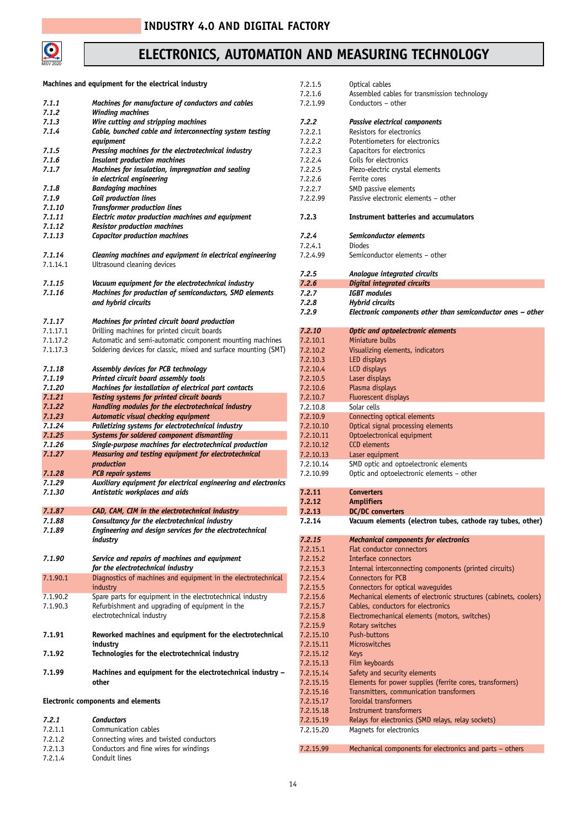

## **ELECTRONICS, AUTOMATION**

|                | Machines and equipment for the electrical industry                                | 7.:        |
|----------------|-----------------------------------------------------------------------------------|------------|
| 7.1.1<br>7.1.2 | Machines for manufacture of conductors and cables<br><b>Winding machines</b>      | 7.:<br>7.: |
|                |                                                                                   |            |
| 7.1.3          | Wire cutting and stripping machines                                               | 7.         |
| 7.1.4          | Cable, bunched cable and interconnecting system testing                           | 7.:        |
|                | equipment                                                                         | 7.:        |
| 7.1.5          | Pressing machines for the electrotechnical industry                               | 7.:        |
| 7.1.6          | <b>Insulant production machines</b>                                               | 7.:        |
| 7.1.7          | Machines for insulation, impregnation and sealing                                 | 7.:        |
|                | in electrical engineering                                                         | 7.:        |
| 7.1.8          | <b>Bandaging machines</b>                                                         | 7.:        |
| 7.1.9          | Coil production lines                                                             | 7.:        |
| 7.1.10         | <b>Transformer production lines</b>                                               |            |
| 7.1.11         |                                                                                   |            |
|                | Electric motor production machines and equipment                                  | 7.         |
| 7.1.12         | <b>Resistor production machines</b>                                               |            |
| 7.1.13         | <b>Capacitor production machines</b>                                              | 7.         |
|                |                                                                                   | 7.:        |
| 7.1.14         | Cleaning machines and equipment in electrical engineering                         | 7.:        |
| 7.1.14.1       | Ultrasound cleaning devices                                                       |            |
|                |                                                                                   | 7.         |
| 7.1.15         | Vacuum equipment for the electrotechnical industry                                | 7.         |
| 7.1.16         | Machines for production of semiconductors, SMD elements                           | 7.         |
|                |                                                                                   |            |
|                | and hybrid circuits                                                               | 7.         |
|                |                                                                                   | 7.         |
| 7.1.17         | Machines for printed circuit board production                                     |            |
| 7.1.17.1       | Drilling machines for printed circuit boards                                      | 7.         |
| 7.1.17.2       | Automatic and semi-automatic component mounting machines                          | 7.3        |
| 7.1.17.3       | Soldering devices for classic, mixed and surface mounting (SMT)                   | 7.         |
|                |                                                                                   | 7.         |
|                |                                                                                   |            |
| 7.1.18         | Assembly devices for PCB technology                                               | 7.         |
| 7.1.19         | Printed circuit board assembly tools                                              | 7.:        |
| 7.1.20         | Machines for installation of electrical part contacts                             | 7.         |
| 7.1.21         | Testing systems for printed circuit boards                                        | 7.         |
| 7.1.22         | Handling modules for the electrotechnical industry                                | 7.:        |
| 7.1.23         | Automatic visual checking equipment                                               | 7.:        |
| 7.1.24         | Palletizing systems for electrotechnical industry                                 | 7.         |
|                |                                                                                   |            |
| 7.1.25         | Systems for soldered component dismantling                                        | 7.         |
| 7.1.26         | Single-purpose machines for electrotechnical production                           | 7.:        |
| 7.1.27         | Measuring and testing equipment for electrotechnical                              | 7.         |
|                | production                                                                        | 7.:        |
| 7.1.28         | <b>PCB</b> repair systems                                                         | 7.         |
| 7.1.29         | Auxiliary equipment for electrical engineering and electronics                    |            |
| 7.1.30         | Antistatic workplaces and aids                                                    | 7.         |
|                |                                                                                   | 7.         |
| 7.1.87         | CAD, CAM, CIM in the electrotechnical industry                                    |            |
|                |                                                                                   | 7.         |
| 7.1.88         | Consultancy for the electrotechnical industry                                     | 7.         |
| 7.1.89         | Engineering and design services for the electrotechnical                          |            |
|                | industry                                                                          | 7.         |
|                |                                                                                   | 7.         |
| 7.1.90         | Service and repairs of machines and equipment                                     | 7.:        |
|                | for the electrotechnical industry                                                 | 7.         |
| 7.1.90.1       | Diagnostics of machines and equipment in the electrotechnical                     | 7.:        |
|                | industry                                                                          |            |
|                |                                                                                   | 7.:        |
| 7.1.90.2       | Spare parts for equipment in the electrotechnical industry                        | 7.         |
| 7.1.90.3       | Refurbishment and upgrading of equipment in the                                   | 7.         |
|                | electrotechnical industry                                                         | 7.:        |
|                |                                                                                   | 7.:        |
| 7.1.91         | Reworked machines and equipment for the electrotechnical                          | 7.         |
|                | industry                                                                          | 7.         |
| 7.1.92         | Technologies for the electrotechnical industry                                    | 7.         |
|                |                                                                                   |            |
|                |                                                                                   | 7.         |
| 7.1.99         | Machines and equipment for the electrotechnical industry -                        | 7.         |
|                | other                                                                             | 7.         |
|                |                                                                                   | 7.:        |
|                | Electronic components and elements                                                | 7.3        |
|                |                                                                                   | 7.:        |
| 7.2.1          | <b>Conductors</b>                                                                 | 7.:        |
| 7.2.1.1        | Communication cables                                                              | 7.:        |
|                |                                                                                   |            |
| 7.2.1.2        | Connecting wires and twisted conductors<br>Conductors and fine wires for windings |            |
| 7.2.1.3        |                                                                                   | 7.3        |

|                      | AND MEASURING TECHNOLOGY                                                            |
|----------------------|-------------------------------------------------------------------------------------|
|                      |                                                                                     |
| 7.2.1.5              | Optical cables                                                                      |
| 7.2.1.6<br>7.2.1.99  | Assembled cables for transmission technology<br>Conductors - other                  |
|                      |                                                                                     |
| 7.2.2                | Passive electrical components                                                       |
| 7.2.2.1              | Resistors for electronics                                                           |
| 7.2.2.2              | Potentiometers for electronics                                                      |
| 7.2.2.3              | Capacitors for electronics                                                          |
| 7.2.2.4              | Coils for electronics                                                               |
| 7.2.2.5<br>7.2.2.6   | Piezo-electric crystal elements<br>Ferrite cores                                    |
| 7.2.2.7              | SMD passive elements                                                                |
| 7.2.2.99             | Passive electronic elements - other                                                 |
| 7.2.3                | <b>Instrument batteries and accumulators</b>                                        |
| 7.2.4                | Semiconductor elements                                                              |
| 7.2.4.1              | Diodes                                                                              |
| 7.2.4.99             | Semiconductor elements - other                                                      |
|                      |                                                                                     |
| 7.2.5<br>7.2.6       | Analogue integrated circuits<br><b>Digital integrated circuits</b>                  |
| 7.2.7                | <b>IGBT</b> modules                                                                 |
| 7.2.8                | Hybrid circuits                                                                     |
| 7.2.9                | Electronic components other than semiconductor ones - other                         |
| 7.2.10               | <b>Optic and optoelectronic elements</b>                                            |
| 7.2.10.1             | Miniature bulbs                                                                     |
| 7.2.10.2             | Visualizing elements, indicators                                                    |
| 7.2.10.3             | LED displays                                                                        |
| 7.2.10.4             | LCD displays                                                                        |
| 7.2.10.5             | Laser displays                                                                      |
| 7.2.10.6             | Plasma displays                                                                     |
| 7.2.10.7             | Fluorescent displays                                                                |
| 7.2.10.8<br>7.2.10.9 | Solar cells<br>Connecting optical elements                                          |
| 7.2.10.10            | Optical signal processing elements                                                  |
| 7.2.10.11            | Optoelectronical equipment                                                          |
| 7.2.10.12            | <b>CCD</b> elements                                                                 |
| 7.2.10.13            | Laser equipment                                                                     |
| 7.2.10.14            | SMD optic and optoelectronic elements                                               |
| 7.2.10.99            | Optic and optoelectronic elements - other                                           |
| 7.2.11               | <b>Converters</b>                                                                   |
| 7.2.12               | <b>Amplifiers</b>                                                                   |
| 7.2.13               | <b>DC/DC</b> converters                                                             |
| 7.2.14               | Vacuum elements (electron tubes, cathode ray tubes, other)                          |
| 7.2.15               | <b>Mechanical components for electronics</b>                                        |
| 7.2.15.1             | Flat conductor connectors                                                           |
| 7.2.15.2             | Interface connectors                                                                |
| 7.2.15.3             | Internal interconnecting components (printed circuits)                              |
| 7.2.15.4             | <b>Connectors for PCB</b>                                                           |
| 7.2.15.5             | Connectors for optical waveguides                                                   |
| 7.2.15.6             | Mechanical elements of electronic structures (cabinets, coolers)                    |
| 7.2.15.7<br>7.2.15.8 | Cables, conductors for electronics<br>Electromechanical elements (motors, switches) |
| 7.2.15.9             | Rotary switches                                                                     |
| 7.2.15.10            | <b>Push-buttons</b>                                                                 |
| 7.2.15.11            | Microswitches                                                                       |
| 7.2.15.12            | Keys                                                                                |
| 7.2.15.13            | Film keyboards                                                                      |
| 7.2.15.14            | Safety and security elements                                                        |
| 7.2.15.15            | Elements for power supplies (ferrite cores, transformers)                           |
| 7.2.15.16            | Transmitters, communication transformers                                            |
| 7.2.15.17            | Toroidal transformers                                                               |
| 7.2.15.18            | <b>Instrument transformers</b>                                                      |
| 7.2.15.19            | Relays for electronics (SMD relays, relay sockets)                                  |
| 7.2.15.20            | Magnets for electronics                                                             |

7.2.15.99 Mechanical components for electronics and parts – others

7.2.1.3 Conductors and fine wires for windings<br>7.2.1.4 Conduit lines Conduit lines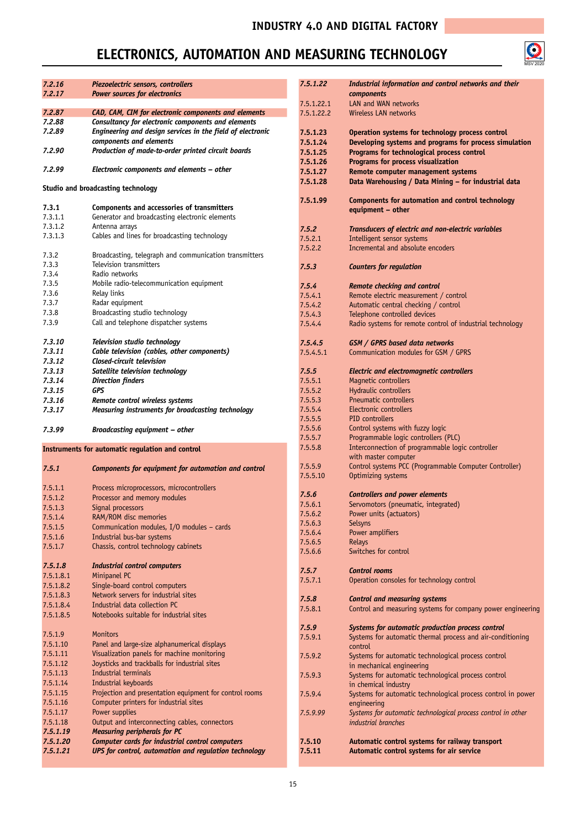

| 7.2.16<br>7.2.17 | Piezoelectric sensors, controllers<br><b>Power sources for electronics</b> | 7.5.1.22   | Industrial information and control networks and their<br><b>components</b> |
|------------------|----------------------------------------------------------------------------|------------|----------------------------------------------------------------------------|
|                  |                                                                            | 7.5.1.22.1 | LAN and WAN networks                                                       |
| 7.2.87           | CAD, CAM, CIM for electronic components and elements                       | 7.5.1.22.2 | Wireless LAN networks                                                      |
| 7.2.88           | Consultancy for electronic components and elements                         |            |                                                                            |
| 7.2.89           | Engineering and design services in the field of electronic                 | 7.5.1.23   | Operation systems for technology process control                           |
|                  | components and elements                                                    | 7.5.1.24   | Developing systems and programs for process simulation                     |
| 7.2.90           | Production of made-to-order printed circuit boards                         | 7.5.1.25   | Programs for technological process control                                 |
|                  |                                                                            | 7.5.1.26   | Programs for process visualization                                         |
| 7.2.99           | Electronic components and elements - other                                 |            |                                                                            |
|                  |                                                                            | 7.5.1.27   | Remote computer management systems                                         |
|                  | Studio and broadcasting technology                                         | 7.5.1.28   | Data Warehousing / Data Mining - for industrial data                       |
|                  |                                                                            |            |                                                                            |
|                  |                                                                            | 7.5.1.99   | Components for automation and control technology                           |
| 7.3.1            | Components and accessories of transmitters                                 |            | equipment - other                                                          |
| 7.3.1.1          | Generator and broadcasting electronic elements                             |            |                                                                            |
| 7.3.1.2          | Antenna arrays                                                             | 7.5.2      | Transducers of electric and non-electric variables                         |
| 7.3.1.3          | Cables and lines for broadcasting technology                               | 7.5.2.1    | Intelligent sensor systems                                                 |
|                  |                                                                            | 7.5.2.2    | Incremental and absolute encoders                                          |
| 7.3.2            | Broadcasting, telegraph and communication transmitters                     |            |                                                                            |
| 7.3.3            | Television transmitters                                                    | 7.5.3      | <b>Counters for regulation</b>                                             |
| 7.3.4            | Radio networks                                                             |            |                                                                            |
| 7.3.5            | Mobile radio-telecommunication equipment                                   | 7.5.4      | <b>Remote checking and control</b>                                         |
| 7.3.6            | Relay links                                                                | 7.5.4.1    | Remote electric measurement / control                                      |
| 7.3.7            | Radar equipment                                                            | 7.5.4.2    | Automatic central checking / control                                       |
| 7.3.8            | Broadcasting studio technology                                             | 7.5.4.3    | Telephone controlled devices                                               |
| 7.3.9            | Call and telephone dispatcher systems                                      | 7.5.4.4    | Radio systems for remote control of industrial technology                  |
|                  |                                                                            |            |                                                                            |
| 7.3.10           | Television studio technology                                               | 7.5.4.5    | GSM / GPRS based data networks                                             |
| 7.3.11           | Cable television (cables, other components)                                | 7.5.4.5.1  | Communication modules for GSM / GPRS                                       |
| 7.3.12           | Closed-circuit television                                                  |            |                                                                            |
| 7.3.13           | Satellite television technology                                            | 7.5.5      | <b>Electric and electromagnetic controllers</b>                            |
| 7.3.14           | <b>Direction finders</b>                                                   | 7.5.5.1    | Magnetic controllers                                                       |
| 7.3.15           | GPS                                                                        | 7.5.5.2    | Hydraulic controllers                                                      |
|                  |                                                                            | 7.5.5.3    | Pneumatic controllers                                                      |
| 7.3.16           | Remote control wireless systems                                            | 7.5.5.4    | Electronic controllers                                                     |
| 7.3.17           | Measuring instruments for broadcasting technology                          |            |                                                                            |
|                  |                                                                            | 7.5.5.5    | PID controllers                                                            |
| 7.3.99           | <b>Broadcasting equipment - other</b>                                      | 7.5.5.6    | Control systems with fuzzy logic                                           |
|                  |                                                                            | 7.5.5.7    | Programmable logic controllers (PLC)                                       |
|                  | Instruments for automatic regulation and control                           | 7.5.5.8    | Interconnection of programmable logic controller                           |
|                  |                                                                            |            | with master computer                                                       |
| 7.5.1            | Components for equipment for automation and control                        | 7.5.5.9    | Control systems PCC (Programmable Computer Controller)                     |
|                  |                                                                            | 7.5.5.10   | Optimizing systems                                                         |
| 7.5.1.1          | Process microprocessors, microcontrollers                                  |            |                                                                            |
| 7.5.1.2          | Processor and memory modules                                               | 7.5.6      | <b>Controllers and power elements</b>                                      |
| 7.5.1.3          | Signal processors                                                          | 7.5.6.1    | Servomotors (pneumatic, integrated)                                        |
| 7.5.1.4          | RAM/ROM disc memories                                                      | 7.5.6.2    | Power units (actuators)                                                    |
| 7.5.1.5          | Communication modules, I/O modules - cards                                 | 7.5.6.3    | <b>Selsyns</b>                                                             |
| 7.5.1.6          | Industrial bus-bar systems                                                 | 7.5.6.4    | Power amplifiers                                                           |
| 7.5.1.7          | Chassis, control technology cabinets                                       | 7.5.6.5    | <b>Relays</b>                                                              |
|                  |                                                                            | 7.5.6.6    | Switches for control                                                       |
| 7.5.1.8          | <b>Industrial control computers</b>                                        |            |                                                                            |
|                  | Minipanel PC                                                               | 7.5.7      | <b>Control rooms</b>                                                       |
| 7.5.1.8.1        |                                                                            | 7.5.7.1    | Operation consoles for technology control                                  |
| 7.5.1.8.2        | Single-board control computers                                             |            |                                                                            |
| 7.5.1.8.3        | Network servers for industrial sites                                       | 7.5.8      | <b>Control and measuring systems</b>                                       |
| 7.5.1.8.4        | Industrial data collection PC                                              | 7.5.8.1    | Control and measuring systems for company power engineering                |
| 7.5.1.8.5        | Notebooks suitable for industrial sites                                    |            |                                                                            |
|                  |                                                                            | 7.5.9      | Systems for automatic production process control                           |
| 7.5.1.9          | <b>Monitors</b>                                                            | 7.5.9.1    | Systems for automatic thermal process and air-conditioning                 |
| 7.5.1.10         | Panel and large-size alphanumerical displays                               |            | control                                                                    |
| 7.5.1.11         | Visualization panels for machine monitoring                                | 7.5.9.2    | Systems for automatic technological process control                        |
| 7.5.1.12         | Joysticks and trackballs for industrial sites                              |            | in mechanical engineering                                                  |
| 7.5.1.13         | Industrial terminals                                                       | 7.5.9.3    | Systems for automatic technological process control                        |
| 7.5.1.14         | Industrial keyboards                                                       |            | in chemical industry                                                       |
| 7.5.1.15         | Projection and presentation equipment for control rooms                    |            |                                                                            |
| 7.5.1.16         | Computer printers for industrial sites                                     | 7.5.9.4    | Systems for automatic technological process control in power               |
|                  | Power supplies                                                             |            | engineering                                                                |
| 7.5.1.17         |                                                                            | 7.5.9.99   | Systems for automatic technological process control in other               |
| 7.5.1.18         | Output and interconnecting cables, connectors                              |            | industrial branches                                                        |
| 7.5.1.19         | <b>Measuring peripherals for PC</b>                                        |            |                                                                            |
| 7.5.1.20         | Computer cards for industrial control computers                            | 7.5.10     | Automatic control systems for railway transport                            |
| 7.5.1.21         | UPS for control, automation and regulation technology                      | 7.5.11     | Automatic control systems for air service                                  |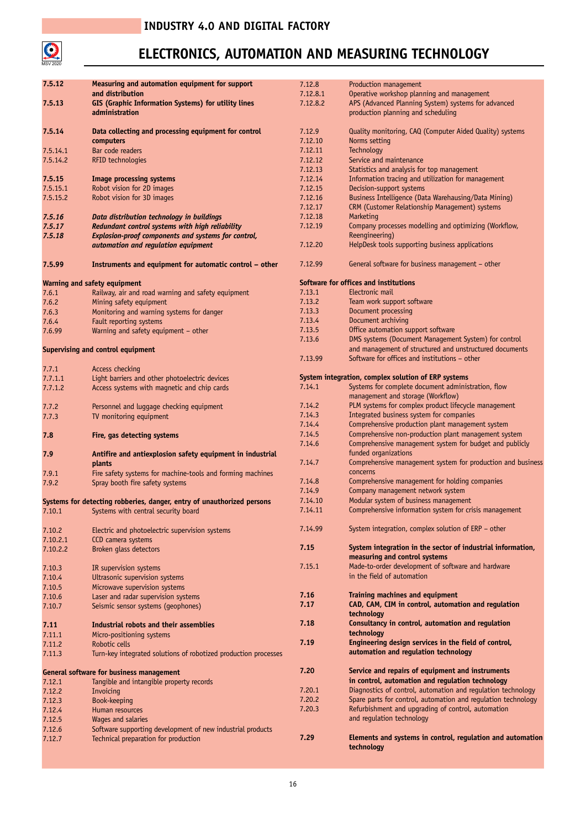

| 7.5.12   | Measuring and automation equipment for support                         | 7.12.8   | Production management                                                                                           |
|----------|------------------------------------------------------------------------|----------|-----------------------------------------------------------------------------------------------------------------|
|          | and distribution                                                       | 7.12.8.1 | Operative workshop planning and management                                                                      |
| 7.5.13   | GIS (Graphic Information Systems) for utility lines                    | 7.12.8.2 | APS (Advanced Planning System) systems for advanced                                                             |
|          | administration                                                         |          | production planning and scheduling                                                                              |
|          |                                                                        |          |                                                                                                                 |
| 7.5.14   | Data collecting and processing equipment for control                   | 7.12.9   | Quality monitoring, CAQ (Computer Aided Quality) systems                                                        |
|          | computers                                                              | 7.12.10  | Norms setting                                                                                                   |
|          |                                                                        |          |                                                                                                                 |
| 7.5.14.1 | Bar code readers                                                       | 7.12.11  | Technology                                                                                                      |
| 7.5.14.2 | RFID technologies                                                      | 7.12.12  | Service and maintenance                                                                                         |
|          |                                                                        | 7.12.13  | Statistics and analysis for top management                                                                      |
| 7.5.15   | <b>Image processing systems</b>                                        | 7.12.14  | Information tracing and utilization for management                                                              |
| 7.5.15.1 | Robot vision for 2D images                                             | 7.12.15  | Decision-support systems                                                                                        |
| 7.5.15.2 | Robot vision for 3D images                                             | 7.12.16  | Business Intelligence (Data Warehausing/Data Mining)                                                            |
|          |                                                                        | 7.12.17  | CRM (Customer Relationship Management) systems                                                                  |
| 7.5.16   | Data distribution technology in buildings                              | 7.12.18  | Marketing                                                                                                       |
| 7.5.17   | Redundant control systems with high reliability                        | 7.12.19  | Company processes modelling and optimizing (Workflow,                                                           |
| 7.5.18   | Explosion-proof components and systems for control,                    |          | Reengineering)                                                                                                  |
|          | automation and regulation equipment                                    | 7.12.20  | HelpDesk tools supporting business applications                                                                 |
|          |                                                                        |          |                                                                                                                 |
| 7.5.99   | Instruments and equipment for automatic control - other                | 7.12.99  | General software for business management - other                                                                |
|          | Warning and safety equipment                                           |          | Software for offices and institutions                                                                           |
| 7.6.1    | Railway, air and road warning and safety equipment                     | 7.13.1   | Electronic mail                                                                                                 |
| 7.6.2    | Mining safety equipment                                                | 7.13.2   | Team work support software                                                                                      |
| 7.6.3    | Monitoring and warning systems for danger                              | 7.13.3   | Document processing                                                                                             |
| 7.6.4    | Fault reporting systems                                                | 7.13.4   | Document archiving                                                                                              |
|          |                                                                        | 7.13.5   | Office automation support software                                                                              |
| 7.6.99   | Warning and safety equipment - other                                   | 7.13.6   |                                                                                                                 |
|          |                                                                        |          | DMS systems (Document Management System) for control<br>and management of structured and unstructured documents |
|          | Supervising and control equipment                                      |          |                                                                                                                 |
|          |                                                                        | 7.13.99  | Software for offices and institutions – other                                                                   |
| 7.7.1    | Access checking                                                        |          |                                                                                                                 |
| 7.7.1.1  | Light barriers and other photoelectric devices                         |          | System integration, complex solution of ERP systems                                                             |
| 7.7.1.2  | Access systems with magnetic and chip cards                            | 7.14.1   | Systems for complete document administration, flow<br>management and storage (Workflow)                         |
| 7.7.2    | Personnel and luggage checking equipment                               | 7.14.2   | PLM systems for complex product lifecycle management                                                            |
| 7.7.3    | TV monitoring equipment                                                | 7.14.3   | Integrated business system for companies                                                                        |
|          |                                                                        | 7.14.4   | Comprehensive production plant management system                                                                |
| 7.8      | Fire, gas detecting systems                                            | 7.14.5   | Comprehensive non-production plant management system                                                            |
|          |                                                                        | 7.14.6   | Comprehensive management system for budget and publicly                                                         |
|          |                                                                        |          | funded organizations                                                                                            |
| 7.9      | Antifire and antiexplosion safety equipment in industrial              | 7.14.7   | Comprehensive management system for production and business                                                     |
|          | plants                                                                 |          | concerns                                                                                                        |
| 7.9.1    | Fire safety systems for machine-tools and forming machines             |          |                                                                                                                 |
| 7.9.2    | Spray booth fire safety systems                                        | 7.14.8   | Comprehensive management for holding companies                                                                  |
|          |                                                                        | 7.14.9   | Company management network system                                                                               |
|          | Systems for detecting robberies, danger, entry of unauthorized persons | 7.14.10  | Modular system of business management                                                                           |
| 7.10.1   | Systems with central security board                                    | 7.14.11  | Comprehensive information system for crisis management                                                          |
|          |                                                                        |          |                                                                                                                 |
| 7.10.2   | Electric and photoelectric supervision systems                         | 7.14.99  | System integration, complex solution of ERP - other                                                             |
| 7.10.2.1 | CCD camera systems                                                     |          |                                                                                                                 |
| 7.10.2.2 | Broken glass detectors                                                 | 7.15     | System integration in the sector of industrial information,                                                     |
|          |                                                                        |          | measuring and control systems                                                                                   |
| 7.10.3   | IR supervision systems                                                 | 7.15.1   | Made-to-order development of software and hardware                                                              |
| 7.10.4   | Ultrasonic supervision systems                                         |          | in the field of automation                                                                                      |
| 7.10.5   | Microwave supervision systems                                          |          |                                                                                                                 |
| 7.10.6   | Laser and radar supervision systems                                    | 7.16     | <b>Training machines and equipment</b>                                                                          |
| 7.10.7   | Seismic sensor systems (geophones)                                     | 7.17     | CAD, CAM, CIM in control, automation and regulation                                                             |
|          |                                                                        |          | technology                                                                                                      |
| 7.11     | Industrial robots and their assemblies                                 | 7.18     | Consultancy in control, automation and regulation                                                               |
| 7.11.1   | Micro-positioning systems                                              |          | technology                                                                                                      |
|          |                                                                        | 7.19     | Engineering design services in the field of control,                                                            |
| 7.11.2   | Robotic cells                                                          |          | automation and regulation technology                                                                            |
| 7.11.3   | Turn-key integrated solutions of robotized production processes        |          |                                                                                                                 |
|          |                                                                        | 7.20     | Service and repairs of equipment and instruments                                                                |
|          | General software for business management                               |          |                                                                                                                 |
| 7.12.1   | Tangible and intangible property records                               |          | in control, automation and regulation technology                                                                |
| 7.12.2   | Invoicing                                                              | 7.20.1   | Diagnostics of control, automation and regulation technology                                                    |
| 7.12.3   | Book-keeping                                                           | 7.20.2   | Spare parts for control, automation and regulation technology                                                   |
| 7.12.4   | Human resources                                                        | 7.20.3   | Refurbishment and upgrading of control, automation                                                              |
| 7.12.5   | Wages and salaries                                                     |          | and regulation technology                                                                                       |
| 7.12.6   | Software supporting development of new industrial products             |          |                                                                                                                 |
| 7.12.7   | Technical preparation for production                                   | 7.29     | Elements and systems in control, regulation and automation                                                      |
|          |                                                                        |          | technology                                                                                                      |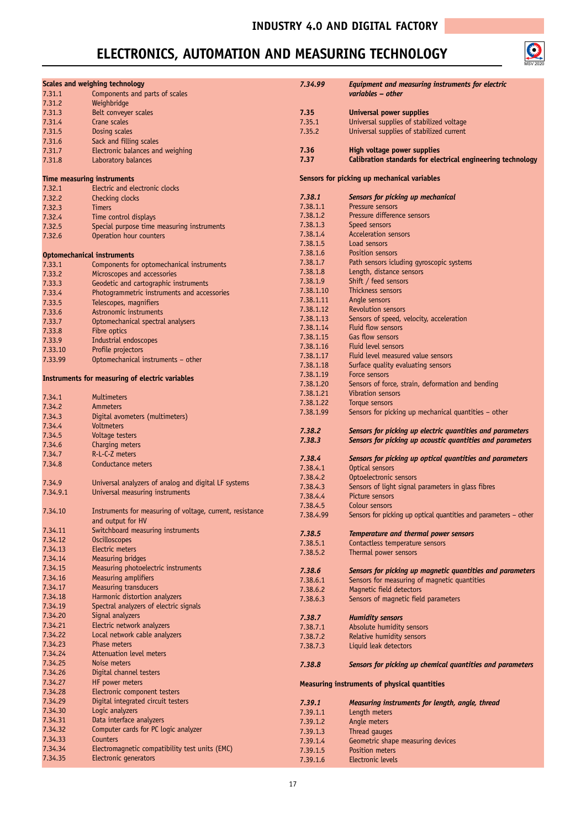

|          | <b>Scales and weighing technology</b>                     | 7.34.99   | Equipment and measuring instruments for electric                 |
|----------|-----------------------------------------------------------|-----------|------------------------------------------------------------------|
| 7.31.1   | Components and parts of scales                            |           | variables - other                                                |
| 7.31.2   | Weighbridge                                               |           |                                                                  |
| 7.31.3   | Belt conveyer scales                                      | 7.35      | <b>Universal power supplies</b>                                  |
| 7.31.4   | Crane scales                                              | 7.35.1    | Universal supplies of stabilized voltage                         |
| 7.31.5   | Dosing scales                                             | 7.35.2    | Universal supplies of stabilized current                         |
| 7.31.6   | Sack and filling scales                                   |           |                                                                  |
|          |                                                           | 7.36      | High voltage power supplies                                      |
| 7.31.7   | Electronic balances and weighing                          | 7.37      | Calibration standards for electrical engineering technology      |
| 7.31.8   | Laboratory balances                                       |           |                                                                  |
|          | Time measuring instruments                                |           | Sensors for picking up mechanical variables                      |
| 7.32.1   | Electric and electronic clocks                            |           |                                                                  |
| 7.32.2   | Checking clocks                                           | 7.38.1    | Sensors for picking up mechanical                                |
|          | <b>Timers</b>                                             | 7.38.1.1  | Pressure sensors                                                 |
| 7.32.3   |                                                           | 7.38.1.2  | Pressure difference sensors                                      |
| 7.32.4   | Time control displays                                     | 7.38.1.3  | Speed sensors                                                    |
| 7.32.5   | Special purpose time measuring instruments                | 7.38.1.4  | <b>Acceleration sensors</b>                                      |
| 7.32.6   | Operation hour counters                                   | 7.38.1.5  | Load sensors                                                     |
|          |                                                           | 7.38.1.6  | Position sensors                                                 |
|          | <b>Optomechanical instruments</b>                         | 7.38.1.7  | Path sensors icluding gyroscopic systems                         |
| 7.33.1   | Components for optomechanical instruments                 |           |                                                                  |
| 7.33.2   | Microscopes and accessories                               | 7.38.1.8  | Length, distance sensors                                         |
| 7.33.3   | Geodetic and cartographic instruments                     | 7.38.1.9  | Shift / feed sensors                                             |
| 7.33.4   | Photogrammetric instruments and accessories               | 7.38.1.10 | Thickness sensors                                                |
| 7.33.5   | Telescopes, magnifiers                                    | 7.38.1.11 | Angle sensors                                                    |
| 7.33.6   | Astronomic instruments                                    | 7.38.1.12 | <b>Revolution sensors</b>                                        |
| 7.33.7   | Optomechanical spectral analysers                         | 7.38.1.13 | Sensors of speed, velocity, acceleration                         |
| 7.33.8   | Fibre optics                                              | 7.38.1.14 | Fluid flow sensors                                               |
| 7.33.9   | Industrial endoscopes                                     | 7.38.1.15 | Gas flow sensors                                                 |
| 7.33.10  | Profile projectors                                        | 7.38.1.16 | Fluid level sensors                                              |
| 7.33.99  | Optomechanical instruments - other                        | 7.38.1.17 | Fluid level measured value sensors                               |
|          |                                                           | 7.38.1.18 | Surface quality evaluating sensors                               |
|          | Instruments for measuring of electric variables           | 7.38.1.19 | Force sensors                                                    |
|          |                                                           | 7.38.1.20 | Sensors of force, strain, deformation and bending                |
| 7.34.1   | <b>Multimeters</b>                                        | 7.38.1.21 | Vibration sensors                                                |
|          |                                                           | 7.38.1.22 | Torque sensors                                                   |
| 7.34.2   | Ammeters                                                  | 7.38.1.99 | Sensors for picking up mechanical quantities - other             |
| 7.34.3   | Digital avometers (multimeters)                           |           |                                                                  |
| 7.34.4   | Voltmeters                                                | 7.38.2    | Sensors for picking up electric quantities and parameters        |
| 7.34.5   | Voltage testers                                           | 7.38.3    | Sensors for picking up acoustic quantities and parameters        |
| 7.34.6   | Charging meters                                           |           |                                                                  |
| 7.34.7   | R-L-C-Z meters                                            | 7.38.4    | Sensors for picking up optical quantities and parameters         |
| 7.34.8   | Conductance meters                                        | 7.38.4.1  | Optical sensors                                                  |
|          |                                                           | 7.38.4.2  | Optoelectronic sensors                                           |
| 7.34.9   | Universal analyzers of analog and digital LF systems      | 7.38.4.3  | Sensors of light signal parameters in glass fibres               |
| 7.34.9.1 | Universal measuring instruments                           | 7.38.4.4  | Picture sensors                                                  |
|          |                                                           | 7.38.4.5  | Colour sensors                                                   |
| 7.34.10  | Instruments for measuring of voltage, current, resistance | 7.38.4.99 | Sensors for picking up optical quantities and parameters - other |
|          | and output for HV                                         |           |                                                                  |
| 7.34.11  | Switchboard measuring instruments                         | 7.38.5    | Temperature and thermal power sensors                            |
| 7.34.12  | <b>Oscilloscopes</b>                                      | 7.38.5.1  | Contactless temperature sensors                                  |
| 7.34.13  | Electric meters                                           | 7.38.5.2  | Thermal power sensors                                            |
| 7.34.14  | Measuring bridges                                         |           |                                                                  |
| 7.34.15  | Measuring photoelectric instruments                       | 7.38.6    |                                                                  |
| 7.34.16  | Measuring amplifiers                                      |           | Sensors for picking up magnetic quantities and parameters        |
| 7.34.17  | Measuring transducers                                     | 7.38.6.1  | Sensors for measuring of magnetic quantities                     |
| 7.34.18  | Harmonic distortion analyzers                             | 7.38.6.2  | Magnetic field detectors                                         |
| 7.34.19  | Spectral analyzers of electric signals                    | 7.38.6.3  | Sensors of magnetic field parameters                             |
| 7.34.20  | Signal analyzers                                          |           |                                                                  |
| 7.34.21  |                                                           | 7.38.7    | <b>Humidity sensors</b>                                          |
|          | Electric network analyzers                                | 7.38.7.1  | Absolute humidity sensors                                        |
| 7.34.22  | Local network cable analyzers                             | 7.38.7.2  | Relative humidity sensors                                        |
| 7.34.23  | Phase meters                                              | 7.38.7.3  | Liquid leak detectors                                            |
| 7.34.24  | Attenuation level meters                                  |           |                                                                  |
| 7.34.25  | Noise meters                                              | 7.38.8    | Sensors for picking up chemical quantities and parameters        |
| 7.34.26  | Digital channel testers                                   |           |                                                                  |
| 7.34.27  | HF power meters                                           |           | Measuring instruments of physical quantities                     |
| 7.34.28  | Electronic component testers                              |           |                                                                  |
| 7.34.29  | Digital integrated circuit testers                        | 7.39.1    | Measuring instruments for length, angle, thread                  |
| 7.34.30  | Logic analyzers                                           | 7.39.1.1  | Length meters                                                    |
| 7.34.31  | Data interface analyzers                                  | 7.39.1.2  | Angle meters                                                     |
| 7.34.32  | Computer cards for PC logic analyzer                      | 7.39.1.3  | Thread gauges                                                    |
| 7.34.33  | Counters                                                  | 7.39.1.4  | Geometric shape measuring devices                                |
| 7.34.34  | Electromagnetic compatibility test units (EMC)            | 7.39.1.5  | Position meters                                                  |
| 7.34.35  | Electronic generators                                     | 7.39.1.6  | Electronic levels                                                |
|          |                                                           |           |                                                                  |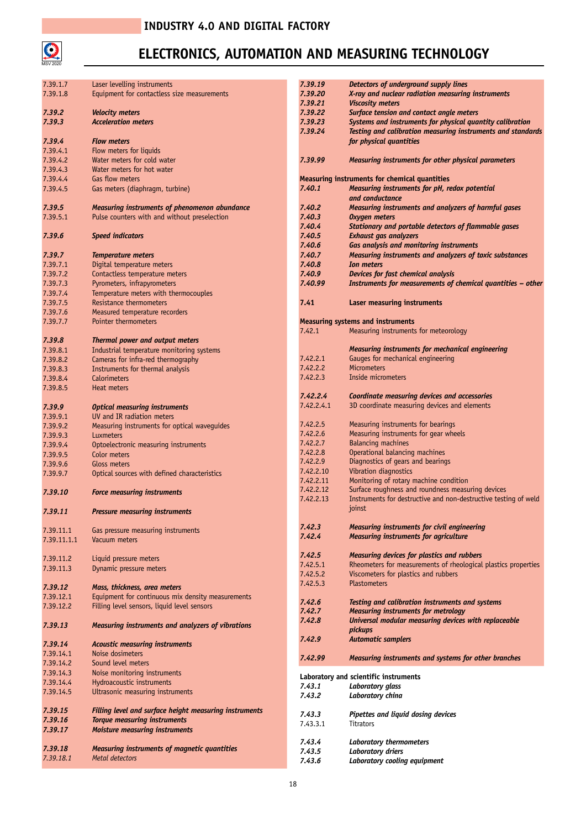

| 7.39.1.7    | Laser levelling instruments                            | 7.39.19    | Detectors of underground supply lines                           |
|-------------|--------------------------------------------------------|------------|-----------------------------------------------------------------|
| 7.39.1.8    | Equipment for contactless size measurements            | 7.39.20    | X-ray and nuclear radiation measuring instruments               |
|             |                                                        |            |                                                                 |
|             |                                                        | 7.39.21    | <b>Viscosity meters</b>                                         |
| 7.39.2      | <b>Velocity meters</b>                                 | 7.39.22    | Surface tension and contact angle meters                        |
| 7.39.3      | <b>Acceleration meters</b>                             | 7.39.23    | Systems and instruments for physical quantity calibration       |
|             |                                                        | 7.39.24    | Testing and calibration measuring instruments and standards     |
| 7.39.4      | <b>Flow meters</b>                                     |            | for physical quantities                                         |
| 7.39.4.1    | Flow meters for liquids                                |            |                                                                 |
|             |                                                        |            |                                                                 |
| 7.39.4.2    | Water meters for cold water                            | 7.39.99    | Measuring instruments for other physical parameters             |
| 7.39.4.3    | Water meters for hot water                             |            |                                                                 |
| 7.39.4.4    | Gas flow meters                                        |            | <b>Measuring instruments for chemical quantities</b>            |
| 7.39.4.5    | Gas meters (diaphragm, turbine)                        | 7.40.1     | Measuring instruments for pH, redox potential                   |
|             |                                                        |            | and conductance                                                 |
|             |                                                        |            |                                                                 |
| 7.39.5      | Measuring instruments of phenomenon abundance          | 7.40.2     | Measuring instruments and analyzers of harmful gases            |
| 7.39.5.1    | Pulse counters with and without preselection           | 7.40.3     | <b>Oxygen meters</b>                                            |
|             |                                                        | 7.40.4     | Stationary and portable detectors of flammable gases            |
| 7.39.6      | <b>Speed indicators</b>                                | 7.40.5     | <b>Exhaust gas analyzers</b>                                    |
|             |                                                        | 7.40.6     | <b>Gas analysis and monitoring instruments</b>                  |
|             |                                                        |            |                                                                 |
| 7.39.7      | <b>Temperature meters</b>                              | 7.40.7     | Measuring instruments and analyzers of toxic substances         |
| 7.39.7.1    | Digital temperature meters                             | 7.40.8     | <b>Ion meters</b>                                               |
| 7.39.7.2    | Contactless temperature meters                         | 7.40.9     | Devices for fast chemical analysis                              |
| 7.39.7.3    | Pyrometers, infrapyrometers                            | 7.40.99    | Instruments for measurements of chemical quantities - other     |
| 7.39.7.4    | Temperature meters with thermocouples                  |            |                                                                 |
|             |                                                        |            |                                                                 |
| 7.39.7.5    | Resistance thermometers                                | 7.41       | <b>Laser measuring instruments</b>                              |
| 7.39.7.6    | Measured temperature recorders                         |            |                                                                 |
| 7.39.7.7    | <b>Pointer thermometers</b>                            |            | <b>Measuring systems and instruments</b>                        |
|             |                                                        | 7.42.1     | Measuring instruments for meteorology                           |
| 7.39.8      | Thermal power and output meters                        |            |                                                                 |
|             | Industrial temperature monitoring systems              |            | <b>Measuring instruments for mechanical engineering</b>         |
| 7.39.8.1    |                                                        |            |                                                                 |
| 7.39.8.2    | Cameras for infra-red thermography                     | 7.42.2.1   | Gauges for mechanical engineering                               |
| 7.39.8.3    | Instruments for thermal analysis                       | 7.42.2.2   | <b>Micrometers</b>                                              |
| 7.39.8.4    | Calorimeters                                           | 7.42.2.3   | Inside micrometers                                              |
| 7.39.8.5    | Heat meters                                            |            |                                                                 |
|             |                                                        | 7.42.2.4   | Coordinate measuring devices and accessories                    |
|             |                                                        | 7.42.2.4.1 | 3D coordinate measuring devices and elements                    |
| 7.39.9      | <b>Optical measuring instruments</b>                   |            |                                                                 |
| 7.39.9.1    | UV and IR radiation meters                             |            |                                                                 |
| 7.39.9.2    | Measuring instruments for optical waveguides           | 7.42.2.5   | Measuring instruments for bearings                              |
| 7.39.9.3    | Luxmeters                                              | 7.42.2.6   | Measuring instruments for gear wheels                           |
| 7.39.9.4    | Optoelectronic measuring instruments                   | 7.42.2.7   | <b>Balancing machines</b>                                       |
|             |                                                        | 7.42.2.8   | Operational balancing machines                                  |
| 7.39.9.5    | Color meters                                           | 7.42.2.9   | Diagnostics of gears and bearings                               |
| 7.39.9.6    | Gloss meters                                           |            |                                                                 |
| 7.39.9.7    | Optical sources with defined characteristics           | 7.42.2.10  | Vibration diagnostics                                           |
|             |                                                        | 7.42.2.11  | Monitoring of rotary machine condition                          |
| 7.39.10     | <b>Force measuring instruments</b>                     | 7.42.2.12  | Surface roughness and roundness measuring devices               |
|             |                                                        | 7.42.2.13  | Instruments for destructive and non-destructive testing of weld |
|             |                                                        |            | joinst                                                          |
| 7.39.11     | <b>Pressure measuring instruments</b>                  |            |                                                                 |
|             |                                                        |            |                                                                 |
| 7.39.11.1   | Gas pressure measuring instruments                     | 7.42.3     | Measuring instruments for civil engineering                     |
| 7.39.11.1.1 | Vacuum meters                                          | 7.42.4     | <b>Measuring instruments for agriculture</b>                    |
|             |                                                        |            |                                                                 |
|             |                                                        | 7.42.5     | Measuring devices for plastics and rubbers                      |
| 7.39.11.2   | Liquid pressure meters                                 | 7.42.5.1   | Rheometers for measurements of rheological plastics properties  |
| 7.39.11.3   | Dynamic pressure meters                                | 7.42.5.2   | Viscometers for plastics and rubbers                            |
|             |                                                        |            |                                                                 |
| 7.39.12     | Mass, thickness, area meters                           | 7.42.5.3   | <b>Plastometers</b>                                             |
| 7.39.12.1   | Equipment for continuous mix density measurements      |            |                                                                 |
| 7.39.12.2   | Filling level sensors, liquid level sensors            | 7.42.6     | Testing and calibration instruments and systems                 |
|             |                                                        | 7.42.7     | <b>Measuring instruments for metrology</b>                      |
|             |                                                        | 7.42.8     | Universal modular measuring devices with replaceable            |
| 7.39.13     | Measuring instruments and analyzers of vibrations      |            | pickups                                                         |
|             |                                                        | 7.42.9     | <b>Automatic samplers</b>                                       |
| 7.39.14     | <b>Acoustic measuring instruments</b>                  |            |                                                                 |
| 7.39.14.1   | Noise dosimeters                                       |            |                                                                 |
| 7.39.14.2   | Sound level meters                                     | 7.42.99    | Measuring instruments and systems for other branches            |
|             |                                                        |            |                                                                 |
| 7.39.14.3   | Noise monitoring instruments                           |            | Laboratory and scientific instruments                           |
| 7.39.14.4   | Hydroacoustic instruments                              | 7.43.1     | Laboratory glass                                                |
| 7.39.14.5   | Ultrasonic measuring instruments                       | 7.43.2     | Laboratory china                                                |
|             |                                                        |            |                                                                 |
| 7.39.15     | Filling level and surface height measuring instruments |            |                                                                 |
|             |                                                        | 7.43.3     | Pipettes and liquid dosing devices                              |
| 7.39.16     | <b>Torque measuring instruments</b>                    | 7.43.3.1   | <b>Titrators</b>                                                |
| 7.39.17     | <b>Moisture measuring instruments</b>                  |            |                                                                 |
|             |                                                        | 7.43.4     | Laboratory thermometers                                         |
| 7.39.18     | Measuring instruments of magnetic quantities           | 7.43.5     | <b>Laboratory driers</b>                                        |
| 7.39.18.1   | Metal detectors                                        |            |                                                                 |
|             |                                                        | 7.43.6     | Laboratory cooling equipment                                    |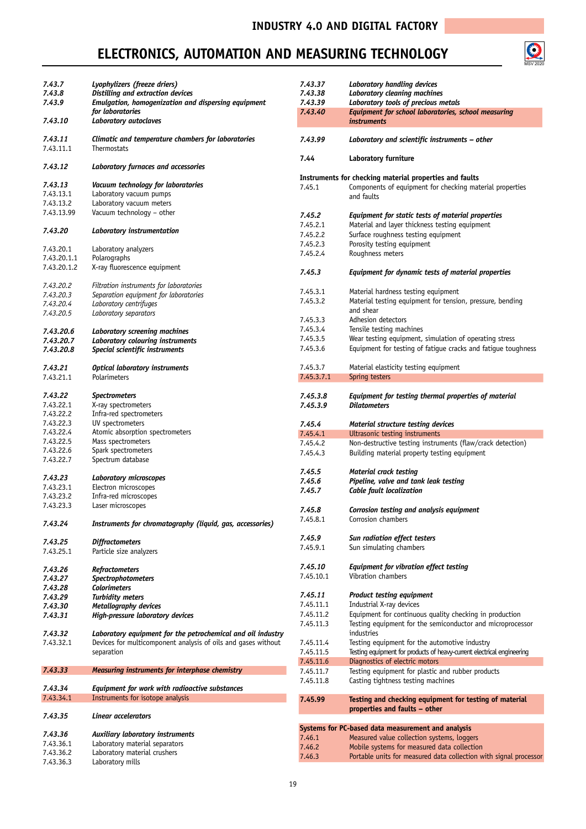

| 7.43.7                 | Lyophylizers (freeze driers)                                  | 7.43.37    | Laboratory handling devices                                            |
|------------------------|---------------------------------------------------------------|------------|------------------------------------------------------------------------|
| 7.43.8                 | Distilling and extraction devices                             | 7.43.38    | <b>Laboratory cleaning machines</b>                                    |
| 7.43.9                 | Emulgation, homogenization and dispersing equipment           | 7.43.39    | Laboratory tools of precious metals                                    |
|                        | for laboratories                                              | 7.43.40    | Equipment for school laboratories, school measuring                    |
| 7.43.10                | Laboratory autoclaves                                         |            | <i>instruments</i>                                                     |
| 7.43.11                | Climatic and temperature chambers for laboratories            | 7.43.99    | Laboratory and scientific instruments – other                          |
| 7.43.11.1              | Thermostats                                                   |            |                                                                        |
| 7.43.12                | Laboratory furnaces and accessories                           | 7.44       | Laboratory furniture                                                   |
|                        |                                                               |            | Instruments for checking material properties and faults                |
| 7.43.13                | Vacuum technology for laboratories                            | 7.45.1     | Components of equipment for checking material properties               |
| 7.43.13.1              | Laboratory vacuum pumps                                       |            | and faults                                                             |
| 7.43.13.2              | Laboratory vacuum meters                                      |            |                                                                        |
| 7.43.13.99             | Vacuum technology - other                                     |            |                                                                        |
|                        |                                                               | 7.45.2     | Equipment for static tests of material properties                      |
| 7.43.20                |                                                               | 7.45.2.1   | Material and layer thickness testing equipment                         |
|                        | Laboratory instrumentation                                    | 7.45.2.2   | Surface roughness testing equipment                                    |
|                        |                                                               | 7.45.2.3   | Porosity testing equipment                                             |
| 7.43.20.1              | Laboratory analyzers                                          | 7.45.2.4   | Roughness meters                                                       |
| 7.43.20.1.1            | Polarographs                                                  |            |                                                                        |
| 7.43.20.1.2            | X-ray fluorescence equipment                                  |            |                                                                        |
|                        |                                                               | 7.45.3     | Equipment for dynamic tests of material properties                     |
| 7.43.20.2              | Filtration instruments for laboratories                       |            |                                                                        |
| 7.43.20.3              | Separation equipment for laboratories                         | 7.45.3.1   | Material hardness testing equipment                                    |
| 7.43.20.4              | Laboratory centrifuges                                        | 7.45.3.2   | Material testing equipment for tension, pressure, bending              |
| 7.43.20.5              | Laboratory separators                                         |            | and shear                                                              |
|                        |                                                               | 7.45.3.3   | Adhesion detectors                                                     |
|                        |                                                               | 7.45.3.4   | Tensile testing machines                                               |
| 7.43.20.6              | Laboratory screening machines                                 |            |                                                                        |
| 7.43.20.7              | Laboratory colouring instruments                              | 7.45.3.5   | Wear testing equipment, simulation of operating stress                 |
| 7.43.20.8              | Special scientific instruments                                | 7.45.3.6   | Equipment for testing of fatigue cracks and fatigue toughness          |
|                        |                                                               | 7.45.3.7   |                                                                        |
| 7.43.21                | <b>Optical laboratory instruments</b>                         |            | Material elasticity testing equipment                                  |
| 7.43.21.1              | Polarimeters                                                  | 7.45.3.7.1 | Spring testers                                                         |
|                        |                                                               |            |                                                                        |
| 7.43.22                | <b>Spectrometers</b>                                          | 7.45.3.8   | Equipment for testing thermal properties of material                   |
| 7.43.22.1              | X-ray spectrometers                                           | 7.45.3.9   | <b>Dilatometers</b>                                                    |
| 7.43.22.2              | Infra-red spectrometers                                       |            |                                                                        |
| 7.43.22.3              | UV spectrometers                                              | 7.45.4     | Material structure testing devices                                     |
| 7.43.22.4              | Atomic absorption spectrometers                               | 7.45.4.1   | Ultrasonic testing instruments                                         |
| 7.43.22.5              | Mass spectrometers                                            | 7.45.4.2   | Non-destructive testing instruments (flaw/crack detection)             |
|                        |                                                               |            |                                                                        |
|                        |                                                               |            |                                                                        |
| 7.43.22.6              | Spark spectrometers                                           | 7.45.4.3   | Building material property testing equipment                           |
| 7.43.22.7              | Spectrum database                                             |            |                                                                        |
|                        |                                                               | 7.45.5     | <b>Material crack testing</b>                                          |
| 7.43.23                | <b>Laboratory microscopes</b>                                 | 7.45.6     | Pipeline, valve and tank leak testing                                  |
| 7.43.23.1              | Electron microscopes                                          | 7.45.7     | Cable fault localization                                               |
| 7.43.23.2              | Infra-red microscopes                                         |            |                                                                        |
| 7.43.23.3              | Laser microscopes                                             | 7.45.8     | Corrosion testing and analysis equipment                               |
|                        |                                                               | 7.45.8.1   |                                                                        |
| 7.43.24                | Instruments for chromatography (liquid, gas, accessories)     |            | Corrosion chambers                                                     |
|                        |                                                               |            |                                                                        |
| 7.43.25                | <b>Diffractometers</b>                                        | 7.45.9     | Sun radiation effect testers                                           |
| 7.43.25.1              | Particle size analyzers                                       | 7.45.9.1   | Sun simulating chambers                                                |
|                        |                                                               |            |                                                                        |
| 7.43.26                | <b>Refractometers</b>                                         | 7.45.10    | Equipment for vibration effect testing                                 |
| 7.43.27                |                                                               | 7.45.10.1  | Vibration chambers                                                     |
|                        | Spectrophotometers                                            |            |                                                                        |
| 7.43.28                | <b>Colorimeters</b>                                           |            |                                                                        |
| 7.43.29                | <b>Turbidity meters</b>                                       | 7.45.11    | <b>Product testing equipment</b>                                       |
| 7.43.30                | Metallography devices                                         | 7.45.11.1  | Industrial X-ray devices                                               |
| 7.43.31                | High-pressure laboratory devices                              | 7.45.11.2  | Equipment for continuous quality checking in production                |
|                        |                                                               | 7.45.11.3  | Testing equipment for the semiconductor and microprocessor             |
| 7.43.32                | Laboratory equipment for the petrochemical and oil industry   |            | industries                                                             |
| 7.43.32.1              | Devices for multicomponent analysis of oils and gases without | 7.45.11.4  | Testing equipment for the automotive industry                          |
|                        | separation                                                    | 7.45.11.5  | Testing equipment for products of heavy-current electrical engineering |
|                        |                                                               | 7.45.11.6  | Diagnostics of electric motors                                         |
|                        |                                                               |            |                                                                        |
| 7.43.33                | Measuring instruments for interphase chemistry                | 7.45.11.7  | Testing equipment for plastic and rubber products                      |
|                        |                                                               | 7.45.11.8  | Casting tightness testing machines                                     |
| 7.43.34                | Equipment for work with radioactive substances                |            |                                                                        |
| 7.43.34.1              | Instruments for isotope analysis                              | 7.45.99    | Testing and checking equipment for testing of material                 |
|                        |                                                               |            | properties and faults – other                                          |
| 7.43.35                | <b>Linear accelerators</b>                                    |            |                                                                        |
|                        |                                                               |            | Systems for PC-based data measurement and analysis                     |
| 7.43.36                | Auxiliary laboratory instruments                              | 7.46.1     | Measured value collection systems, loggers                             |
| 7.43.36.1              | Laboratory material separators                                | 7.46.2     | Mobile systems for measured data collection                            |
| 7.43.36.2<br>7.43.36.3 | Laboratory material crushers<br>Laboratory mills              | 7.46.3     | Portable units for measured data collection with signal processor      |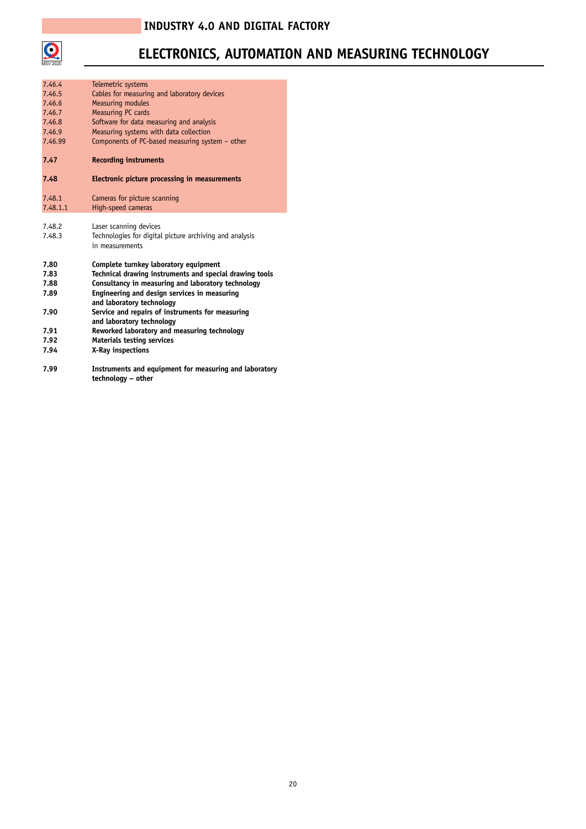

## **ELECTRONICS, AUTOMATION AND MEASURING TECHNOLOGY**

| 7.46.4   | Telemetric systems                                                            |
|----------|-------------------------------------------------------------------------------|
| 7.46.5   | Cables for measuring and laboratory devices                                   |
| 7.46.6   | <b>Measuring modules</b>                                                      |
| 7.46.7   | Measuring PC cards                                                            |
| 7.46.8   | Software for data measuring and analysis                                      |
| 7.46.9   | Measuring systems with data collection                                        |
| 7.46.99  | Components of PC-based measuring system - other                               |
| 7.47     | <b>Recording instruments</b>                                                  |
| 7.48     | Electronic picture processing in measurements                                 |
| 7.48.1   | Cameras for picture scanning                                                  |
| 7.48.1.1 | High-speed cameras                                                            |
|          |                                                                               |
| 7.48.2   | Laser scanning devices                                                        |
| 7.48.3   | Technologies for digital picture archiving and analysis                       |
|          | in measurements                                                               |
| 7.80     | Complete turnkey laboratory equipment                                         |
| 7.83     | Technical drawing instruments and special drawing tools                       |
| 7.88     | Consultancy in measuring and laboratory technology                            |
| 7.89     | Engineering and design services in measuring                                  |
| 7.90     | and laboratory technology<br>Service and repairs of instruments for measuring |
|          | and laboratory technology                                                     |
| 7.91     | Reworked laboratory and measuring technology                                  |
| 7.92     | Materials testing services                                                    |
| 7.94     | X-Ray inspections                                                             |
| 7.99     | Instruments and equipment for measuring and laboratory                        |

**technology – other**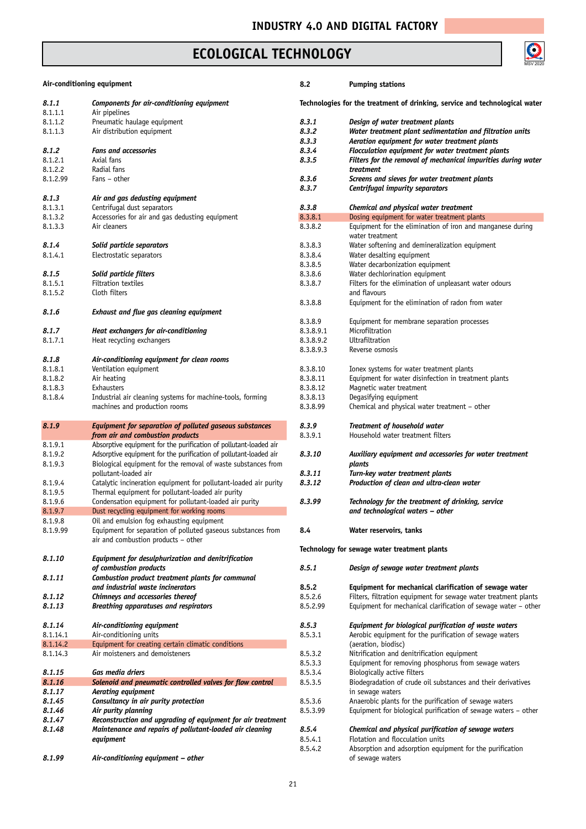## **ECOLOGICAL TECHNOLOGY**

# $\bigodot$ <br>MSV 2020

| Air-conditioning equipment |                                                                   | 8.2       | <b>Pumping stations</b>                                                     |
|----------------------------|-------------------------------------------------------------------|-----------|-----------------------------------------------------------------------------|
| 8.1.1<br>8.1.1.1           | Components for air-conditioning equipment<br>Air pipelines        |           | Technologies for the treatment of drinking, service and technological water |
| 8.1.1.2                    | Pneumatic haulage equipment                                       | 8.3.1     | Design of water treatment plants                                            |
|                            | Air distribution equipment                                        | 8.3.2     | Water treatment plant sedimentation and filtration units                    |
| 8.1.1.3                    |                                                                   |           |                                                                             |
|                            |                                                                   | 8.3.3     | Aeration equipment for water treatment plants                               |
| 8.1.2                      | <b>Fans and accessories</b>                                       | 8.3.4     | Flocculation equipment for water treatment plants                           |
| 8.1.2.1                    | Axial fans                                                        | 8.3.5     | Filters for the removal of mechanical impurities during water               |
| 8.1.2.2                    | Radial fans                                                       |           | treatment                                                                   |
| 8.1.2.99                   | Fans - other                                                      | 8.3.6     | Screens and sieves for water treatment plants                               |
|                            |                                                                   | 8.3.7     | Centrifugal impurity separators                                             |
| 8.1.3                      | Air and gas dedusting equipment                                   |           |                                                                             |
| 8.1.3.1                    | Centrifugal dust separators                                       | 8.3.8     | Chemical and physical water treatment                                       |
| 8.1.3.2                    | Accessories for air and gas dedusting equipment                   | 8.3.8.1   | Dosing equipment for water treatment plants                                 |
| 8.1.3.3                    | Air cleaners                                                      | 8.3.8.2   | Equipment for the elimination of iron and manganese during                  |
|                            |                                                                   |           | water treatment                                                             |
| 8.1.4                      | Solid particle separators                                         | 8.3.8.3   | Water softening and demineralization equipment                              |
| 8.1.4.1                    | Electrostatic separators                                          | 8.3.8.4   | Water desalting equipment                                                   |
|                            |                                                                   | 8.3.8.5   | Water decarbonization equipment                                             |
| 8.1.5                      | Solid particle filters                                            | 8.3.8.6   | Water dechlorination equipment                                              |
| 8.1.5.1                    | Filtration textiles                                               | 8.3.8.7   |                                                                             |
|                            |                                                                   |           | Filters for the elimination of unpleasant water odours                      |
| 8.1.5.2                    | Cloth filters                                                     |           | and flavours                                                                |
|                            |                                                                   | 8.3.8.8   | Equipment for the elimination of radon from water                           |
| 8.1.6                      | Exhaust and flue gas cleaning equipment                           |           |                                                                             |
|                            |                                                                   | 8.3.8.9   | Equipment for membrane separation processes                                 |
| 8.1.7                      | Heat exchangers for air-conditioning                              | 8.3.8.9.1 | Microfiltration                                                             |
| 8.1.7.1                    | Heat recycling exchangers                                         | 8.3.8.9.2 | Ultrafiltration                                                             |
|                            |                                                                   | 8.3.8.9.3 | Reverse osmosis                                                             |
| 8.1.8                      | Air-conditioning equipment for clean rooms                        |           |                                                                             |
| 8.1.8.1                    | Ventilation equipment                                             | 8.3.8.10  | Ionex systems for water treatment plants                                    |
| 8.1.8.2                    | Air heating                                                       | 8.3.8.11  | Equipment for water disinfection in treatment plants                        |
| 8.1.8.3                    | Exhausters                                                        | 8.3.8.12  | Magnetic water treatment                                                    |
| 8.1.8.4                    | Industrial air cleaning systems for machine-tools, forming        | 8.3.8.13  | Degasifying equipment                                                       |
|                            | machines and production rooms                                     | 8.3.8.99  | Chemical and physical water treatment - other                               |
|                            |                                                                   |           |                                                                             |
| 8.1.9                      | Equipment for separation of polluted gaseous substances           | 8.3.9     | Treatment of household water                                                |
|                            | from air and combustion products                                  | 8.3.9.1   | Household water treatment filters                                           |
| 8.1.9.1                    | Absorptive equipment for the purification of pollutant-loaded air |           |                                                                             |
| 8.1.9.2                    | Adsorptive equipment for the purification of pollutant-loaded air | 8.3.10    | Auxiliary equipment and accessories for water treatment                     |
|                            |                                                                   |           |                                                                             |
| 8.1.9.3                    | Biological equipment for the removal of waste substances from     |           | plants                                                                      |
|                            | pollutant-loaded air                                              | 8.3.11    | Turn-key water treatment plants                                             |
| 8.1.9.4                    | Catalytic incineration equipment for pollutant-loaded air purity  | 8.3.12    | Production of clean and ultra-clean water                                   |
| 8.1.9.5                    | Thermal equipment for pollutant-loaded air purity                 |           |                                                                             |
| 8.1.9.6                    | Condensation equipment for pollutant-loaded air purity            | 8.3.99    | Technology for the treatment of drinking, service                           |
| 8.1.9.7                    | Dust recycling equipment for working rooms                        |           | and technological waters – other                                            |
| 8.1.9.8                    | Oil and emulsion fog exhausting equipment                         |           |                                                                             |
| 8.1.9.99                   | Equipment for separation of polluted gaseous substances from      | 8.4       | Water reservoirs, tanks                                                     |
|                            | air and combustion products - other                               |           |                                                                             |
|                            |                                                                   |           | Technology for sewage water treatment plants                                |
| 8.1.10                     | Equipment for desulphurization and denitrification                |           |                                                                             |
|                            | of combustion products                                            | 8.5.1     | Design of sewage water treatment plants                                     |
| 8.1.11                     | Combustion product treatment plants for communal                  |           |                                                                             |
|                            | and industrial waste incinerators                                 | 8.5.2     | Equipment for mechanical clarification of sewage water                      |
| 8.1.12                     | Chimneys and accessories thereof                                  | 8.5.2.6   | Filters, filtration equipment for sewage water treatment plants             |
|                            |                                                                   |           |                                                                             |
| 8.1.13                     | Breathing apparatuses and respirators                             | 8.5.2.99  | Equipment for mechanical clarification of sewage water - other              |
|                            |                                                                   |           |                                                                             |
| 8.1.14                     | Air-conditioning equipment                                        | 8.5.3     | Equipment for biological purification of waste waters                       |
| 8.1.14.1                   | Air-conditioning units                                            | 8.5.3.1   | Aerobic equipment for the purification of sewage waters                     |
| 8.1.14.2                   | Equipment for creating certain climatic conditions                |           | (aeration, biodisc)                                                         |
| 8.1.14.3                   | Air moisteners and demoisteners                                   | 8.5.3.2   | Nitrification and denitrification equipment                                 |
|                            |                                                                   | 8.5.3.3   | Equipment for removing phosphorus from sewage waters                        |
| 8.1.15                     | Gas media driers                                                  | 8.5.3.4   | Biologically active filters                                                 |
| 8.1.16                     | Solenoid and pneumatic controlled valves for flow control         | 8.5.3.5   | Biodegradation of crude oil substances and their derivatives                |
| 8.1.17                     | Aerating equipment                                                |           | in sewage waters                                                            |
| 8.1.45                     | Consultancy in air purity protection                              | 8.5.3.6   | Anaerobic plants for the purification of sewage waters                      |
| 8.1.46                     | Air purity planning                                               | 8.5.3.99  | Equipment for biological purification of sewage waters – other              |
| 8.1.47                     | Reconstruction and upgrading of equipment for air treatment       |           |                                                                             |
|                            | Maintenance and repairs of pollutant-loaded air cleaning          | 8.5.4     |                                                                             |
| 8.1.48                     |                                                                   |           | Chemical and physical purification of sewage waters                         |
|                            | equipment                                                         | 8.5.4.1   | Flotation and flocculation units                                            |
|                            |                                                                   | 8.5.4.2   | Absorption and adsorption equipment for the purification                    |
| 8.1.99                     | Air-conditioning equipment - other                                |           | of sewage waters                                                            |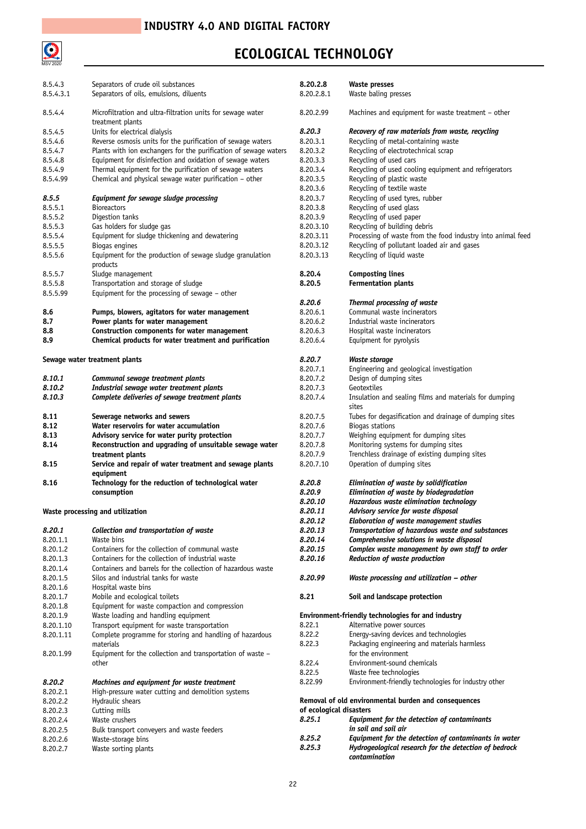

## **ECOLOGICAL TECHNOLOGY**

| 8.5.4.3   | Separators of crude oil substances                                              | 8.20.2.8                | Waste presses                                                          |
|-----------|---------------------------------------------------------------------------------|-------------------------|------------------------------------------------------------------------|
| 8.5.4.3.1 | Separators of oils, emulsions, diluents                                         | 8.20.2.8.1              | Waste baling presses                                                   |
| 8.5.4.4   | Microfiltration and ultra-filtration units for sewage water<br>treatment plants | 8.20.2.99               | Machines and equipment for waste treatment - other                     |
| 8.5.4.5   | Units for electrical dialysis                                                   | 8.20.3                  | Recovery of raw materials from waste, recycling                        |
| 8.5.4.6   | Reverse osmosis units for the purification of sewage waters                     | 8.20.3.1                | Recycling of metal-containing waste                                    |
| 8.5.4.7   | Plants with ion exchangers for the purification of sewage waters                | 8.20.3.2                | Recycling of electrotechnical scrap                                    |
| 8.5.4.8   | Equipment for disinfection and oxidation of sewage waters                       | 8.20.3.3                | Recycling of used cars                                                 |
| 8.5.4.9   | Thermal equipment for the purification of sewage waters                         |                         |                                                                        |
|           |                                                                                 | 8.20.3.4                | Recycling of used cooling equipment and refrigerators                  |
| 8.5.4.99  | Chemical and physical sewage water purification - other                         | 8.20.3.5                | Recycling of plastic waste                                             |
|           |                                                                                 | 8.20.3.6                | Recycling of textile waste                                             |
| 8.5.5     | Equipment for sewage sludge processing                                          | 8.20.3.7                | Recycling of used tyres, rubber                                        |
| 8.5.5.1   | <b>Bioreactors</b>                                                              | 8.20.3.8                | Recycling of used glass                                                |
| 8.5.5.2   | Digestion tanks                                                                 | 8.20.3.9                | Recycling of used paper                                                |
| 8.5.5.3   | Gas holders for sludge gas                                                      | 8.20.3.10               | Recycling of building debris                                           |
| 8.5.5.4   | Equipment for sludge thickening and dewatering                                  | 8.20.3.11               | Processing of waste from the food industry into animal feed            |
| 8.5.5.5   | Biogas engines                                                                  | 8.20.3.12               | Recycling of pollutant loaded air and gases                            |
| 8.5.5.6   | Equipment for the production of sewage sludge granulation<br>products           | 8.20.3.13               | Recycling of liquid waste                                              |
| 8.5.5.7   | Sludge management                                                               | 8.20.4                  | <b>Composting lines</b>                                                |
| 8.5.5.8   | Transportation and storage of sludge                                            | 8.20.5                  | <b>Fermentation plants</b>                                             |
| 8.5.5.99  | Equipment for the processing of sewage $-$ other                                |                         |                                                                        |
|           |                                                                                 | 8.20.6                  | Thermal processing of waste                                            |
| 8.6       | Pumps, blowers, agitators for water management                                  | 8.20.6.1                | Communal waste incinerators                                            |
| 8.7       | Power plants for water management                                               | 8.20.6.2                | Industrial waste incinerators                                          |
| 8.8       | Construction components for water management                                    | 8.20.6.3                | Hospital waste incinerators                                            |
|           |                                                                                 |                         |                                                                        |
| 8.9       | Chemical products for water treatment and purification                          | 8.20.6.4                | Equipment for pyrolysis                                                |
|           | Sewage water treatment plants                                                   | 8.20.7                  | Waste storage                                                          |
|           |                                                                                 | 8.20.7.1                | Engineering and geological investigation                               |
| 8.10.1    | Communal sewage treatment plants                                                | 8.20.7.2                | Design of dumping sites                                                |
| 8.10.2    | Industrial sewage water treatment plants                                        | 8.20.7.3                | Geotextiles                                                            |
| 8.10.3    | Complete deliveries of sewage treatment plants                                  | 8.20.7.4                | Insulation and sealing films and materials for dumping                 |
|           |                                                                                 |                         | sites                                                                  |
| 8.11      | Sewerage networks and sewers                                                    | 8.20.7.5                | Tubes for degasification and drainage of dumping sites                 |
| 8.12      | Water reservoirs for water accumulation                                         | 8.20.7.6                | Biogas stations                                                        |
| 8.13      | Advisory service for water purity protection                                    | 8.20.7.7                | Weighing equipment for dumping sites                                   |
| 8.14      | Reconstruction and upgrading of unsuitable sewage water                         | 8.20.7.8                | Monitoring systems for dumping sites                                   |
|           | treatment plants                                                                | 8.20.7.9                | Trenchless drainage of existing dumping sites                          |
| 8.15      | Service and repair of water treatment and sewage plants<br>equipment            | 8.20.7.10               | Operation of dumping sites                                             |
| 8.16      | Technology for the reduction of technological water                             | 8.20.8                  | Elimination of waste by solidification                                 |
|           |                                                                                 |                         |                                                                        |
|           | consumption                                                                     | 8.20.9                  | Elimination of waste by biodegradation                                 |
|           |                                                                                 | 8.20.10                 | Hazardous waste elimination technology                                 |
|           | Waste processing and utilization                                                | 8.20.11                 | Advisory service for waste disposal                                    |
|           |                                                                                 | 8.20.12                 | <b>Elaboration of waste management studies</b>                         |
| 8.20.1    | Collection and transportation of waste                                          | 8.20.13                 | Transportation of hazardous waste and substances                       |
| 8.20.1.1  | Waste bins                                                                      | 8.20.14                 | Comprehensive solutions in waste disposal                              |
| 8.20.1.2  | Containers for the collection of communal waste                                 | 8.20.15                 | Complex waste management by own staff to order                         |
| 8.20.1.3  | Containers for the collection of industrial waste                               | 8.20.16                 | Reduction of waste production                                          |
| 8.20.1.4  | Containers and barrels for the collection of hazardous waste                    |                         |                                                                        |
| 8.20.1.5  | Silos and industrial tanks for waste                                            | 8.20.99                 | Waste processing and utilization - other                               |
| 8.20.1.6  | Hospital waste bins                                                             |                         |                                                                        |
| 8.20.1.7  | Mobile and ecological toilets                                                   | 8.21                    | Soil and landscape protection                                          |
| 8.20.1.8  | Equipment for waste compaction and compression                                  |                         |                                                                        |
| 8.20.1.9  | Waste loading and handling equipment                                            |                         | Environment-friendly technologies for and industry                     |
| 8.20.1.10 | Transport equipment for waste transportation                                    | 8.22.1                  | Alternative power sources                                              |
|           |                                                                                 |                         |                                                                        |
| 8.20.1.11 | Complete programme for storing and handling of hazardous                        | 8.22.2                  | Energy-saving devices and technologies                                 |
|           | materials                                                                       | 8.22.3                  | Packaging engineering and materials harmless                           |
| 8.20.1.99 | Equipment for the collection and transportation of waste -                      |                         | for the environment                                                    |
|           | other                                                                           | 8.22.4                  | Environment-sound chemicals                                            |
|           |                                                                                 | 8.22.5                  | Waste free technologies                                                |
| 8.20.2    | Machines and equipment for waste treatment                                      | 8.22.99                 | Environment-friendly technologies for industry other                   |
| 8.20.2.1  | High-pressure water cutting and demolition systems                              |                         |                                                                        |
| 8.20.2.2  | Hydraulic shears                                                                |                         | Removal of old environmental burden and consequences                   |
| 8.20.2.3  | Cutting mills                                                                   | of ecological disasters |                                                                        |
| 8.20.2.4  | Waste crushers                                                                  | 8.25.1                  | Equipment for the detection of contaminants                            |
| 8.20.2.5  | Bulk transport conveyers and waste feeders                                      |                         | in soil and soil air                                                   |
| 8.20.2.6  | Waste-storage bins                                                              | 8.25.2                  | Equipment for the detection of contaminants in water                   |
| 8.20.2.7  | Waste sorting plants                                                            | 8.25.3                  | Hydrogeological research for the detection of bedrock<br>contamination |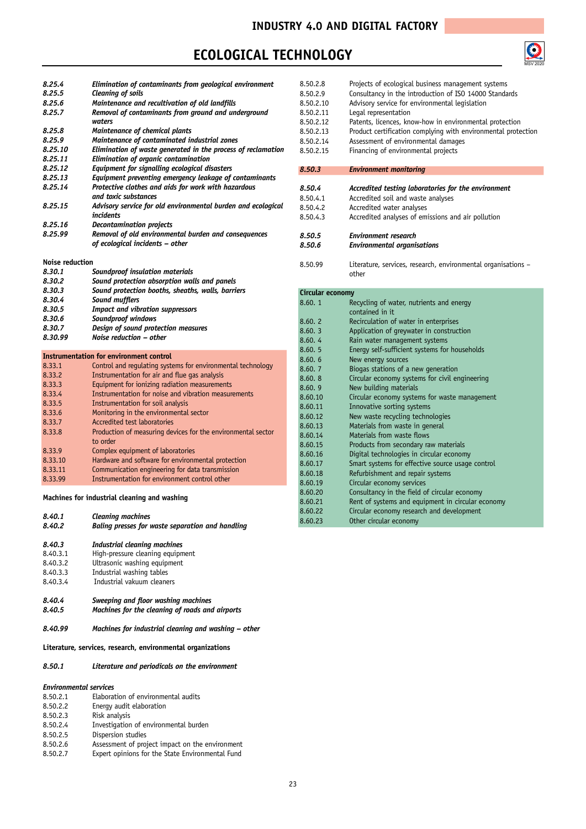#### **ECOLOGICAL TECHNOLOGY**



| 8.25.4             | Elimination of contaminants from geological environment                                          |
|--------------------|--------------------------------------------------------------------------------------------------|
| 8.25.5             | <b>Cleaning of soils</b>                                                                         |
| 8.25.6             | Maintenance and recultivation of old landfills                                                   |
| 8.25.7             | Removal of contaminants from ground and underground                                              |
|                    | waters                                                                                           |
| 8.25.8             | Maintenance of chemical plants                                                                   |
| 8.25.9             | Maintenance of contaminated industrial zones                                                     |
| 8.25.10            | Elimination of waste generated in the process of reclamation                                     |
| 8.25.11            | Elimination of organic contamination                                                             |
| 8.25.12            | Equipment for signalling ecological disasters                                                    |
| 8.25.13            | Equipment preventing emergency leakage of contaminants                                           |
| 8.25.14            | Protective clothes and aids for work with hazardous<br>and toxic substances                      |
| 8.25.15            | Advisory service for old environmental burden and ecological                                     |
|                    | incidents                                                                                        |
| 8.25.16            | <b>Decontamination projects</b>                                                                  |
| 8.25.99            | Removal of old environmental burden and consequences                                             |
|                    | of ecological incidents - other                                                                  |
| Noise reduction    |                                                                                                  |
| 8.30.1             |                                                                                                  |
| 8.30.2             | Soundproof insulation materials<br>Sound protection absorption walls and panels                  |
| 8.30.3             | Sound protection booths, sheaths, walls, barriers                                                |
| 8.30.4             | Sound mufflers                                                                                   |
| 8.30.5             | <b>Impact and vibration suppressors</b>                                                          |
| 8.30.6             | Soundproof windows                                                                               |
| 8.30.7             | Design of sound protection measures                                                              |
| 8.30.99            | Noise reduction - other                                                                          |
|                    |                                                                                                  |
|                    |                                                                                                  |
|                    | <b>Instrumentation for environment control</b>                                                   |
| 8.33.1             | Control and requlating systems for environmental technology                                      |
| 8.33.2             | Instrumentation for air and flue gas analysis                                                    |
| 8.33.3             | Equipment for ionizing radiation measurements                                                    |
| 8.33.4             | Instrumentation for noise and vibration measurements                                             |
| 8.33.5             | Instrumentation for soil analysis                                                                |
| 8.33.6             | Monitoring in the environmental sector                                                           |
| 8.33.7             | Accredited test laboratories                                                                     |
| 8.33.8             | Production of measuring devices for the environmental sector                                     |
|                    | to order                                                                                         |
| 8.33.9             | Complex equipment of laboratories                                                                |
| 8.33.10            | Hardware and software for environmental protection                                               |
| 8.33.11<br>8.33.99 | Communication engineering for data transmission<br>Instrumentation for environment control other |

#### **Machines for industrial cleaning and washing**

| 8.40.1   | <b>Cleaning machines</b>                         |
|----------|--------------------------------------------------|
| 8.40.2   | Baling presses for waste separation and handling |
| 8.40.3   | Industrial cleaning machines                     |
| 8.40.3.1 | High-pressure cleaning equipment                 |
| 8.40.3.2 | Ultrasonic washing equipment                     |
| 8.40.3.3 | Industrial washing tables                        |
| 8.40.3.4 | Industrial vakuum cleaners                       |

- *8.40.4 Sweeping and floor washing machines 8.40.5 Machines for the cleaning of roads and airports*
- *8.40.99 Machines for industrial cleaning and washing – other*

**Literature, services, research, environmental organizations**

#### *8.50.1 Literature and periodicals on the environment*

#### *Environmental services*

|          | Elaboration of environmental audits              |
|----------|--------------------------------------------------|
| 8.50.2.1 |                                                  |
| 8.50.2.2 | Energy audit elaboration                         |
| 8.50.2.3 | Risk analysis                                    |
| 8.50.2.4 | Investigation of environmental burden            |
| 8.50.2.5 | Dispersion studies                               |
| 8.50.2.6 | Assessment of project impact on the environment  |
| 8.50.2.7 | Expert opinions for the State Environmental Fund |

| 8.50.2.8  | Projects of ecological business management systems            |
|-----------|---------------------------------------------------------------|
| 8.50.2.9  | Consultancy in the introduction of ISO 14000 Standards        |
| 8.50.2.10 | Advisory service for environmental legislation                |
| 8.50.2.11 | Legal representation                                          |
| 8.50.2.12 | Patents, licences, know-how in environmental protection       |
| 8.50.2.13 | Product certification complying with environmental protection |
| 8.50.2.14 | Assessment of environmental damages                           |
| 8.50.2.15 | Financing of environmental projects                           |
|           |                                                               |
| 8.50.3    | <b>Environment monitoring</b>                                 |
|           |                                                               |
| 8.50.4    | Accredited testing laboratories for the environment           |
| 8.50.4.1  | Accredited soil and waste analyses                            |
| 8.50.4.2  | Accredited water analyses                                     |
| 8.50.4.3  | Accredited analyses of emissions and air pollution            |
| 8.50.5    | <b>Environment research</b>                                   |
| 8.50.6    | <b>Environmental organisations</b>                            |
| 8.50.99   | Literature, services, research, environmental organisations - |
|           | other                                                         |

#### **Circular economy**

| 8.60.1  | Recycling of water, nutrients and energy<br>contained in it. |
|---------|--------------------------------------------------------------|
| 8.60.2  | Recirculation of water in enterprises                        |
| 8.60.3  | Application of greywater in construction                     |
| 8.60.4  | Rain water management systems                                |
| 8.60.5  | Energy self-sufficient systems for households                |
| 8.60.6  | New energy sources                                           |
| 8.60.7  | Biogas stations of a new generation                          |
| 8.60.8  | Circular economy systems for civil engineering               |
| 8.60.9  | New building materials                                       |
| 8.60.10 | Circular economy systems for waste management                |
| 8.60.11 | Innovative sorting systems                                   |
| 8.60.12 | New waste recycling technologies                             |
| 8.60.13 | Materials from waste in general                              |
| 8.60.14 | Materials from waste flows                                   |
| 8.60.15 | Products from secondary raw materials                        |
| 8.60.16 | Digital technologies in circular economy                     |
| 8.60.17 | Smart systems for effective source usage control             |
| 8.60.18 | Refurbishment and repair systems                             |
| 8.60.19 | Circular economy services                                    |
| 8.60.20 | Consultancy in the field of circular economy                 |
| 8.60.21 | Rent of systems and equipment in circular economy            |
| 8.60.22 | Circular economy research and development                    |
| 8.60.23 | Other circular economy                                       |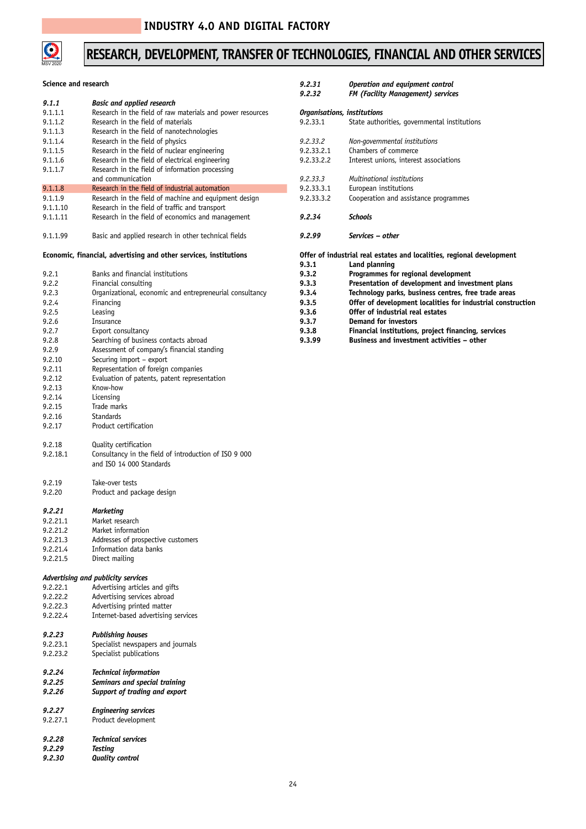

## **RESEARCH, DEVELOPMENT, TRANSFER OF TECHNOLOGIES, FINANCIAL AND OTHER SERVICES**

| Science and research |                                                                   | 9.2.31<br>9,2,32 | Operation and equipment control<br><b>FM (Facility Management) services</b> |
|----------------------|-------------------------------------------------------------------|------------------|-----------------------------------------------------------------------------|
| 9.1.1                | <b>Basic and applied research</b>                                 |                  |                                                                             |
| 9.1.1.1              | Research in the field of raw materials and power resources        |                  | Organisations, institutions                                                 |
| 9.1.1.2              | Research in the field of materials                                | 9.2.33.1         | State authorities, governmental institutions                                |
| 9.1.1.3              | Research in the field of nanotechnologies                         |                  |                                                                             |
| 9.1.1.4              | Research in the field of physics                                  | 9.2.33.2         | Non-governmental institutions                                               |
| 9.1.1.5              | Research in the field of nuclear engineering                      | 9.2.33.2.1       | Chambers of commerce                                                        |
| 9.1.1.6              | Research in the field of electrical engineering                   | 9.2.33.2.2       | Interest unions, interest associations                                      |
| 9.1.1.7              | Research in the field of information processing                   |                  |                                                                             |
|                      | and communication                                                 | 9.2.33.3         | Multinational institutions                                                  |
| 9.1.1.8              | Research in the field of industrial automation                    | 9.2.33.3.1       | European institutions                                                       |
| 9.1.1.9              | Research in the field of machine and equipment design             | 9.2.33.3.2       | Cooperation and assistance programmes                                       |
| 9.1.1.10             | Research in the field of traffic and transport                    |                  |                                                                             |
| 9.1.1.11             | Research in the field of economics and management                 | 9.2.34           | Schools                                                                     |
|                      |                                                                   |                  |                                                                             |
| 9.1.1.99             | Basic and applied research in other technical fields              | 9.2.99           | Services – other                                                            |
|                      | Economic, financial, advertising and other services, institutions |                  | Offer of industrial real estates and localities, regional development       |
|                      | Banks and financial institutions                                  | 9.3.1<br>9.3.2   | Land planning                                                               |
| 9.2.1                |                                                                   |                  | Programmes for regional development                                         |
| 9.2.2                | Financial consulting                                              | 9.3.3            | Presentation of development and investment plans                            |
| 9.2.3                | Organizational, economic and entrepreneurial consultancy          | 9.3.4            | Technology parks, business centres, free trade areas                        |
| 9.2.4                | Financing                                                         | 9.3.5            | Offer of development localities for industrial construction                 |
| 9.2.5                | Leasing                                                           | 9.3.6            | Offer of industrial real estates                                            |
| 9.2.6                | Insurance                                                         | 9.3.7            | <b>Demand for investors</b>                                                 |
| 9.2.7                | Export consultancy                                                | 9.3.8            | Financial institutions, project financing, services                         |
| 9.2.8                | Searching of business contacts abroad                             | 9.3.99           | Business and investment activities - other                                  |
| 9.2.9                | Assessment of company's financial standing                        |                  |                                                                             |
| 9.2.10               | Securing import - export                                          |                  |                                                                             |
| 9.2.11               | Representation of foreign companies                               |                  |                                                                             |
| 9.2.12               | Evaluation of patents, patent representation                      |                  |                                                                             |
| 9.2.13               | Know-how                                                          |                  |                                                                             |
| 9.2.14               | Licensing                                                         |                  |                                                                             |
| 9.2.15               | Trade marks                                                       |                  |                                                                             |
| 9.2.16               | <b>Standards</b>                                                  |                  |                                                                             |
| 9.2.17               | Product certification                                             |                  |                                                                             |
|                      |                                                                   |                  |                                                                             |
| 9.2.18               | Quality certification                                             |                  |                                                                             |
| 9.2.18.1             | Consultancy in the field of introduction of ISO 9 000             |                  |                                                                             |
|                      | and ISO 14 000 Standards                                          |                  |                                                                             |
| 9.2.19               | Take-over tests                                                   |                  |                                                                             |
| 9.2.20               | Product and package design                                        |                  |                                                                             |
|                      |                                                                   |                  |                                                                             |
| 9,2,21               | Marketing                                                         |                  |                                                                             |
| 9.2.21.1             | Market research                                                   |                  |                                                                             |
| 9.2.21.2             | Market information                                                |                  |                                                                             |
| 9.2.21.3             | Addresses of prospective customers                                |                  |                                                                             |
| 9.2.21.4             | Information data banks                                            |                  |                                                                             |
| 9.2.21.5             | Direct mailing                                                    |                  |                                                                             |
|                      |                                                                   |                  |                                                                             |
|                      | Advertising and publicity services                                |                  |                                                                             |
| 9.2.22.1             | Advertising articles and gifts                                    |                  |                                                                             |
| 9.2.22.2             | Advertising services abroad                                       |                  |                                                                             |
| 9.2.22.3             | Advertising printed matter                                        |                  |                                                                             |
| 9.2.22.4             | Internet-based advertising services                               |                  |                                                                             |
| 9.2.23               | <b>Publishing houses</b>                                          |                  |                                                                             |
| 9.2.23.1             | Specialist newspapers and journals                                |                  |                                                                             |
| 9.2.23.2             | Specialist publications                                           |                  |                                                                             |
|                      |                                                                   |                  |                                                                             |
| 9.2.24               | <b>Technical information</b>                                      |                  |                                                                             |
| 9.2.25               | Seminars and special training                                     |                  |                                                                             |
| 9.2.26               | Support of trading and export                                     |                  |                                                                             |
|                      |                                                                   |                  |                                                                             |
| 9.2.27               | <b>Engineering services</b>                                       |                  |                                                                             |
| 9.2.27.1             | Product development                                               |                  |                                                                             |
|                      |                                                                   |                  |                                                                             |
| 9.2.28<br>9.2.29     | <b>Technical services</b>                                         |                  |                                                                             |
|                      | Testing                                                           |                  |                                                                             |
| 9.2.30               | <b>Quality control</b>                                            |                  |                                                                             |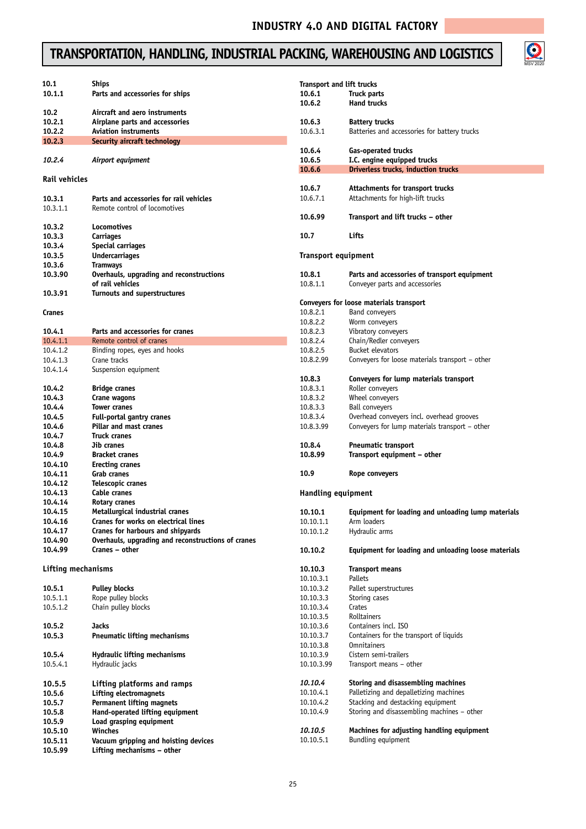$\bigodot$ <br>MSV 2020

## **TRANSPORTATION, HANDLING, INDUSTRIAL PACKING, WAREHOUSING AND LOGISTICS**

| 10.1                      | <b>Ships</b>                                                      | <b>Transport and lift trucks</b> |                                                                       |
|---------------------------|-------------------------------------------------------------------|----------------------------------|-----------------------------------------------------------------------|
| 10.1.1                    | Parts and accessories for ships                                   | 10.6.1                           | Truck parts                                                           |
|                           |                                                                   | 10.6.2                           | <b>Hand trucks</b>                                                    |
| 10.2<br>10.2.1            | Aircraft and aero instruments<br>Airplane parts and accessories   | 10.6.3                           |                                                                       |
| 10.2.2                    | <b>Aviation instruments</b>                                       | 10.6.3.1                         | <b>Battery trucks</b><br>Batteries and accessories for battery trucks |
| 10.2.3                    | Security aircraft technology                                      |                                  |                                                                       |
|                           |                                                                   | 10.6.4                           | Gas-operated trucks                                                   |
| 10.2.4                    | Airport equipment                                                 | 10.6.5                           | I.C. engine equipped trucks                                           |
|                           |                                                                   | 10.6.6                           | Driverless trucks, induction trucks                                   |
| <b>Rail vehicles</b>      |                                                                   |                                  |                                                                       |
|                           |                                                                   | 10.6.7                           | Attachments for transport trucks                                      |
| 10.3.1                    | Parts and accessories for rail vehicles                           | 10.6.7.1                         | Attachments for high-lift trucks                                      |
| 10.3.1.1                  | Remote control of locomotives                                     |                                  |                                                                       |
|                           |                                                                   | 10.6.99                          | Transport and lift trucks – other                                     |
| 10.3.2                    | Locomotives                                                       |                                  |                                                                       |
| 10.3.3                    | Carriages                                                         | 10.7                             | Lifts                                                                 |
| 10.3.4                    | Special carriages                                                 |                                  |                                                                       |
| 10.3.5                    | <b>Undercarriages</b>                                             | <b>Transport equipment</b>       |                                                                       |
| 10.3.6                    | <b>Tramways</b>                                                   |                                  |                                                                       |
| 10.3.90                   | Overhauls, upgrading and reconstructions                          | 10.8.1                           | Parts and accessories of transport equipment                          |
|                           | of rail vehicles                                                  | 10.8.1.1                         | Conveyer parts and accessories                                        |
| 10.3.91                   | Turnouts and superstructures                                      |                                  |                                                                       |
|                           |                                                                   |                                  | Conveyers for loose materials transport                               |
| Cranes                    |                                                                   | 10.8.2.1<br>10.8.2.2             | Band conveyers                                                        |
|                           | Parts and accessories for cranes                                  |                                  | Worm conveyers                                                        |
| 10.4.1<br>10.4.1.1        | Remote control of cranes                                          | 10.8.2.3<br>10.8.2.4             | Vibratory conveyers<br>Chain/Redler conveyers                         |
| 10.4.1.2                  |                                                                   | 10.8.2.5                         | Bucket elevators                                                      |
| 10.4.1.3                  | Binding ropes, eyes and hooks<br>Crane tracks                     | 10.8.2.99                        | Conveyers for loose materials transport - other                       |
| 10.4.1.4                  | Suspension equipment                                              |                                  |                                                                       |
|                           |                                                                   | 10.8.3                           | Conveyers for lump materials transport                                |
| 10.4.2                    | <b>Bridge cranes</b>                                              | 10.8.3.1                         | Roller conveyers                                                      |
| 10.4.3                    | Crane wagons                                                      | 10.8.3.2                         | Wheel conveyers                                                       |
| 10.4.4                    | <b>Tower cranes</b>                                               | 10.8.3.3                         | <b>Ball conveyers</b>                                                 |
| 10.4.5                    | <b>Full-portal gantry cranes</b>                                  | 10.8.3.4                         | Overhead conveyers incl. overhead grooves                             |
| 10.4.6                    | Pillar and mast cranes                                            | 10.8.3.99                        | Conveyers for lump materials transport - other                        |
| 10.4.7                    | <b>Truck cranes</b>                                               |                                  |                                                                       |
| 10.4.8                    | Jib cranes                                                        | 10.8.4                           | <b>Pneumatic transport</b>                                            |
| 10.4.9                    | <b>Bracket cranes</b>                                             | 10.8.99                          | Transport equipment - other                                           |
| 10.4.10                   | Erecting cranes                                                   |                                  |                                                                       |
| 10.4.11                   | <b>Grab cranes</b>                                                | 10.9                             | Rope conveyers                                                        |
| 10.4.12                   | Telescopic cranes                                                 |                                  |                                                                       |
| 10.4.13                   | Cable cranes                                                      | Handling equipment               |                                                                       |
| 10.4.14                   | Rotary cranes                                                     |                                  |                                                                       |
| 10.4.15                   | Metallurgical industrial cranes                                   | 10.10.1                          | Equipment for loading and unloading lump materials                    |
| 10.4.16                   | Cranes for works on electrical lines                              | 10.10.1.1                        | Arm loaders                                                           |
| 10.4.17                   | Cranes for harbours and shipvards                                 | 10.10.1.2                        | Hydraulic arms                                                        |
| 10.4.90                   | Overhauls, upgrading and reconstructions of cranes                |                                  |                                                                       |
| 10.4.99                   | Cranes - other                                                    | 10.10.2                          | Equipment for loading and unloading loose materials                   |
|                           |                                                                   |                                  |                                                                       |
| <b>Lifting mechanisms</b> |                                                                   | 10.10.3                          | <b>Transport means</b>                                                |
|                           |                                                                   | 10.10.3.1                        | Pallets                                                               |
| 10.5.1                    | <b>Pulley blocks</b>                                              | 10.10.3.2                        | Pallet superstructures                                                |
| 10.5.1.1                  | Rope pulley blocks                                                | 10.10.3.3                        | Storing cases                                                         |
| 10.5.1.2                  | Chain pulley blocks                                               | 10.10.3.4                        | Crates                                                                |
|                           |                                                                   | 10.10.3.5                        | Rolltainers                                                           |
| 10.5.2                    | Jacks                                                             | 10.10.3.6                        | Containers incl. ISO                                                  |
| 10.5.3                    | <b>Pneumatic lifting mechanisms</b>                               | 10.10.3.7                        | Containers for the transport of liquids                               |
| 10.5.4                    | <b>Hydraulic lifting mechanisms</b>                               | 10.10.3.8<br>10.10.3.9           | <b>Omnitainers</b><br>Cistern semi-trailers                           |
|                           |                                                                   |                                  |                                                                       |
| 10.5.4.1                  | Hydraulic jacks                                                   | 10.10.3.99                       | Transport means - other                                               |
|                           |                                                                   | 10.10.4                          | Storing and disassembling machines                                    |
| 10.5.5<br>10.5.6          | Lifting platforms and ramps                                       | 10.10.4.1                        | Palletizing and depalletizing machines                                |
|                           | <b>Lifting electromagnets</b><br><b>Permanent lifting magnets</b> | 10.10.4.2                        | Stacking and destacking equipment                                     |
| 10.5.7                    | Hand-operated lifting equipment                                   | 10.10.4.9                        | Storing and disassembling machines - other                            |
| 10.5.8<br>10.5.9          | Load grasping equipment                                           |                                  |                                                                       |
| 10.5.10                   | Winches                                                           | 10.10.5                          | Machines for adjusting handling equipment                             |
| 10.5.11                   | Vacuum gripping and hoisting devices                              | 10.10.5.1                        | Bundling equipment                                                    |
| 10.5.99                   | Lifting mechanisms - other                                        |                                  |                                                                       |
|                           |                                                                   |                                  |                                                                       |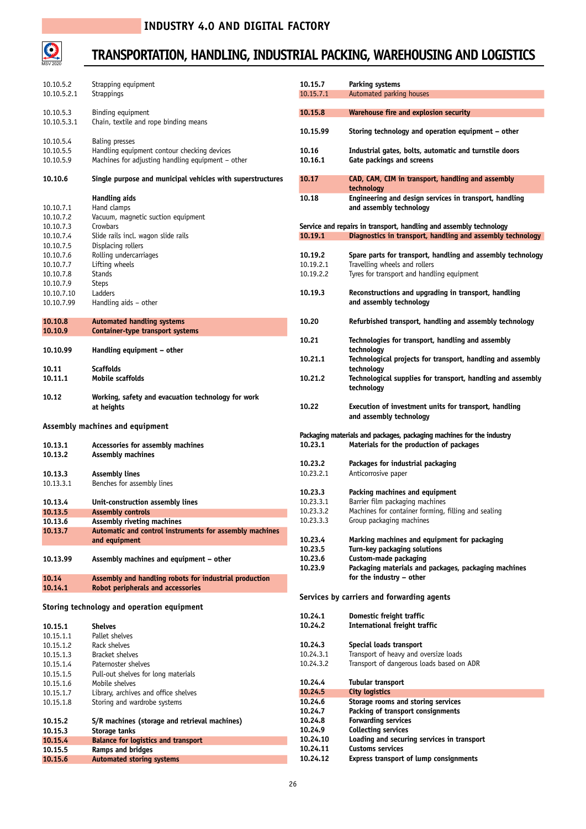

## **TRANSPORTATION, HANDLING, INDUSTRIAL PACKING, WAREHOUSING AND LOGISTICS**

| 10.10.5.2<br>10.10.5.2.1            | Strapping equipment<br>Strappings                                                                                  | 10.15.7<br>10.15.7.1 | Parking systems<br>Automated parking houses                                         |
|-------------------------------------|--------------------------------------------------------------------------------------------------------------------|----------------------|-------------------------------------------------------------------------------------|
| 10.10.5.3                           | Binding equipment                                                                                                  | 10.15.8              | Warehouse fire and explosion security                                               |
| 10.10.5.3.1                         | Chain, textile and rope binding means                                                                              | 10.15.99             | Storing technology and operation equipment - other                                  |
| 10.10.5.4<br>10.10.5.5<br>10.10.5.9 | Baling presses<br>Handling equipment contour checking devices<br>Machines for adjusting handling equipment - other | 10.16<br>10.16.1     | Industrial gates, bolts, automatic and turnstile doors<br>Gate packings and screens |
| 10.10.6                             | Single purpose and municipal vehicles with superstructures                                                         | 10.17                | CAD, CAM, CIM in transport, handling and assembly<br>technology                     |
|                                     | Handling aids                                                                                                      | 10.18                | Engineering and design services in transport, handling                              |
| 10.10.7.1                           | Hand clamps                                                                                                        |                      | and assembly technology                                                             |
| 10.10.7.2                           | Vacuum, magnetic suction equipment                                                                                 |                      |                                                                                     |
| 10.10.7.3                           | Crowbars                                                                                                           |                      | Service and repairs in transport, handling and assembly technology                  |
| 10.10.7.4                           | Slide rails incl. wagon slide rails                                                                                | 10.19.1              | Diagnostics in transport, handling and assembly technology                          |
| 10.10.7.5<br>10.10.7.6              | Displacing rollers<br>Rolling undercarriages                                                                       | 10.19.2              | Spare parts for transport, handling and assembly technology                         |
| 10.10.7.7                           | Lifting wheels                                                                                                     | 10.19.2.1            | Travelling wheels and rollers                                                       |
| 10.10.7.8                           | <b>Stands</b>                                                                                                      | 10.19.2.2            | Tyres for transport and handling equipment                                          |
| 10.10.7.9                           | <b>Steps</b>                                                                                                       |                      |                                                                                     |
| 10.10.7.10                          | Ladders                                                                                                            | 10.19.3              | Reconstructions and upgrading in transport, handling                                |
| 10.10.7.99                          | Handling aids - other                                                                                              |                      | and assembly technology                                                             |
| 10.10.8<br>10.10.9                  | <b>Automated handling systems</b><br><b>Container-type transport systems</b>                                       | 10.20                | Refurbished transport, handling and assembly technology                             |
| 10.10.99                            | Handling equipment - other                                                                                         | 10.21                | Technologies for transport, handling and assembly<br>technology                     |
|                                     |                                                                                                                    | 10.21.1              | Technological projects for transport, handling and assembly                         |
| 10.11<br>10.11.1                    | <b>Scaffolds</b><br>Mobile scaffolds                                                                               | 10.21.2              | technology<br>Technological supplies for transport, handling and assembly           |
|                                     |                                                                                                                    |                      | technology                                                                          |
| 10.12                               | Working, safety and evacuation technology for work                                                                 |                      |                                                                                     |
|                                     | at heights                                                                                                         | 10.22                | Execution of investment units for transport, handling                               |
|                                     |                                                                                                                    |                      | and assembly technology                                                             |
|                                     | Assembly machines and equipment                                                                                    |                      | Packaging materials and packages, packaging machines for the industry               |
| 10.13.1                             | Accessories for assembly machines                                                                                  | 10.23.1              | Materials for the production of packages                                            |
| 10.13.2                             | <b>Assembly machines</b>                                                                                           |                      |                                                                                     |
|                                     |                                                                                                                    | 10.23.2              | Packages for industrial packaging                                                   |
| 10.13.3                             | <b>Assembly lines</b>                                                                                              | 10.23.2.1            | Anticorrosive paper                                                                 |
| 10.13.3.1                           | Benches for assembly lines                                                                                         |                      |                                                                                     |
|                                     | Unit-construction assembly lines                                                                                   | 10.23.3<br>10.23.3.1 | Packing machines and equipment<br>Barrier film packaging machines                   |
| 10.13.4<br>10.13.5                  | <b>Assembly controls</b>                                                                                           | 10.23.3.2            | Machines for container forming, filling and sealing                                 |
| 10.13.6                             | Assembly riveting machines                                                                                         | 10.23.3.3            | Group packaging machines                                                            |
| 10.13.7                             | Automatic and control instruments for assembly machines                                                            |                      |                                                                                     |
|                                     | and equipment                                                                                                      | 10.23.4              | Marking machines and equipment for packaging                                        |
|                                     |                                                                                                                    | 10.23.5              | Turn-key packaging solutions                                                        |
| 10.13.99                            | Assembly machines and equipment - other                                                                            | 10.23.6              | Custom-made packaging                                                               |
|                                     |                                                                                                                    | 10.23.9              | Packaging materials and packages, packaging machines                                |
| 10.14<br>10.14.1                    | Assembly and handling robots for industrial production<br>Robot peripherals and accessories                        |                      | for the industry - other                                                            |
|                                     |                                                                                                                    |                      | Services by carriers and forwarding agents                                          |
|                                     | Storing technology and operation equipment                                                                         |                      |                                                                                     |
|                                     |                                                                                                                    | 10.24.1              | Domestic freight traffic                                                            |
| 10.15.1                             | <b>Shelves</b>                                                                                                     | 10.24.2              | International freight traffic                                                       |
| 10.15.1.1<br>10.15.1.2              | Pallet shelves<br>Rack shelves                                                                                     | 10.24.3              | Special loads transport                                                             |
| 10.15.1.3                           | Bracket shelves                                                                                                    | 10.24.3.1            | Transport of heavy and oversize loads                                               |
| 10.15.1.4                           | Paternoster shelves                                                                                                | 10.24.3.2            | Transport of dangerous loads based on ADR                                           |
| 10.15.1.5                           | Pull-out shelves for long materials                                                                                |                      |                                                                                     |
| 10.15.1.6                           | Mobile shelves                                                                                                     | 10.24.4              | Tubular transport                                                                   |
| 10.15.1.7                           | Library, archives and office shelves                                                                               | 10.24.5              | City logistics                                                                      |
| 10.15.1.8                           | Storing and wardrobe systems                                                                                       | 10.24.6              | Storage rooms and storing services                                                  |
|                                     |                                                                                                                    | 10.24.7              | Packing of transport consignments                                                   |
| 10.15.2                             | S/R machines (storage and retrieval machines)                                                                      | 10.24.8<br>10.24.9   | <b>Forwarding services</b><br><b>Collecting services</b>                            |
| 10.15.3<br>10.15.4                  | Storage tanks<br><b>Balance for logistics and transport</b>                                                        | 10.24.10             | Loading and securing services in transport                                          |
| 10.15.5                             | <b>Ramps and bridges</b>                                                                                           | 10.24.11             | <b>Customs services</b>                                                             |
| 10.15.6                             | <b>Automated storing systems</b>                                                                                   | 10.24.12             | Express transport of lump consignments                                              |
|                                     |                                                                                                                    |                      |                                                                                     |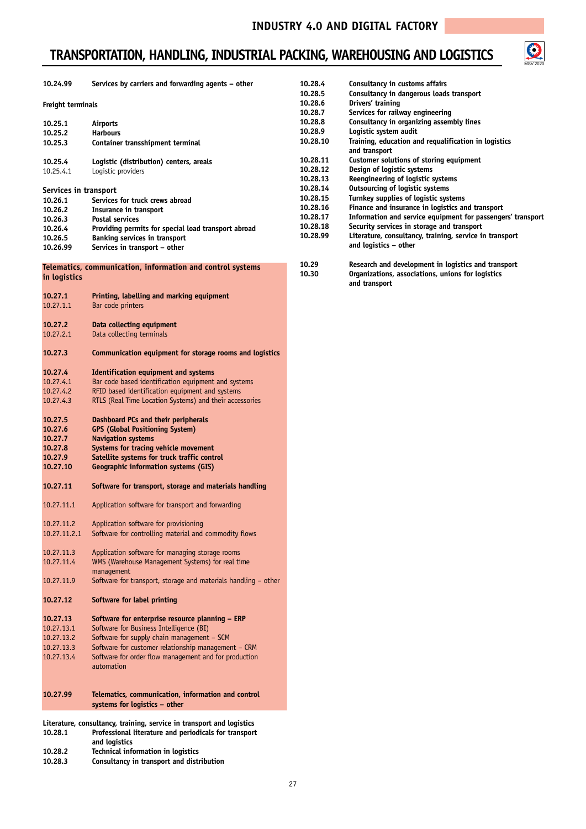## **TRANSPORTATION, HANDLING, INDUSTRIAL PACKING, WAREHOUSING AND LOGISTICS**



| 10.24.99                   | Services by carriers and forwarding agents - other                                                                             | 10.28.4<br>10.28.5   | Consultancy in customs affairs<br>Consultancy in dangerous loads transport                                                |
|----------------------------|--------------------------------------------------------------------------------------------------------------------------------|----------------------|---------------------------------------------------------------------------------------------------------------------------|
| Freight terminals          |                                                                                                                                | 10.28.6<br>10.28.7   | Drivers' training<br>Services for railway engineering                                                                     |
| 10.25.1                    | Airports                                                                                                                       | 10.28.8              | Consultancy in organizing assembly lines                                                                                  |
| 10.25.2                    | <b>Harbours</b>                                                                                                                | 10.28.9              | Logistic system audit                                                                                                     |
| 10.25.3                    | Container transshipment terminal                                                                                               | 10.28.10             | Training, education and requalification in logistics<br>and transport                                                     |
| 10.25.4                    | Logistic (distribution) centers, areals                                                                                        | 10.28.11             | Customer solutions of storing equipment                                                                                   |
| 10.25.4.1                  | Logistic providers                                                                                                             | 10.28.12             | Design of logistic systems                                                                                                |
|                            |                                                                                                                                | 10.28.13             | Reengineering of logistic systems                                                                                         |
| Services in transport      |                                                                                                                                | 10.28.14             | <b>Outsourcing of logistic systems</b>                                                                                    |
| 10.26.1                    | Services for truck crews abroad                                                                                                | 10.28.15             | Turnkey supplies of logistic systems                                                                                      |
| 10.26.2                    | Insurance in transport                                                                                                         | 10.28.16             | Finance and insurance in logistics and transport                                                                          |
| 10.26.3                    | Postal services                                                                                                                | 10.28.17<br>10.28.18 | Information and service equipment for passengers' transport<br>Security services in storage and transport                 |
| 10.26.4                    | Providing permits for special load transport abroad                                                                            | 10.28.99             | Literature, consultancy, training, service in transport                                                                   |
| 10.26.5<br>10.26.99        | Banking services in transport<br>Services in transport – other                                                                 |                      | and logistics - other                                                                                                     |
|                            |                                                                                                                                |                      |                                                                                                                           |
| in logistics               | Telematics, communication, information and control systems                                                                     | 10.29<br>10.30       | Research and development in logistics and transport<br>Organizations, associations, unions for logistics<br>and transport |
| 10.27.1<br>10.27.1.1       | Printing, labelling and marking equipment<br>Bar code printers                                                                 |                      |                                                                                                                           |
| 10.27.2<br>10.27.2.1       | Data collecting equipment<br>Data collecting terminals                                                                         |                      |                                                                                                                           |
| 10.27.3                    | Communication equipment for storage rooms and logistics                                                                        |                      |                                                                                                                           |
| 10.27.4                    | <b>Identification equipment and systems</b>                                                                                    |                      |                                                                                                                           |
| 10.27.4.1                  | Bar code based identification equipment and systems                                                                            |                      |                                                                                                                           |
| 10.27.4.2                  | RFID based identification equipment and systems                                                                                |                      |                                                                                                                           |
| 10.27.4.3                  | RTLS (Real Time Location Systems) and their accessories                                                                        |                      |                                                                                                                           |
| 10.27.5<br>10.27.6         | Dashboard PCs and their peripherals<br><b>GPS (Global Positioning System)</b>                                                  |                      |                                                                                                                           |
| 10.27.7                    | <b>Navigation systems</b>                                                                                                      |                      |                                                                                                                           |
| 10.27.8                    | Systems for tracing vehicle movement                                                                                           |                      |                                                                                                                           |
| 10.27.9                    | Satellite systems for truck traffic control                                                                                    |                      |                                                                                                                           |
| 10.27.10                   | <b>Geographic information systems (GIS)</b>                                                                                    |                      |                                                                                                                           |
| 10.27.11                   | Software for transport, storage and materials handling                                                                         |                      |                                                                                                                           |
| 10.27.11.1                 | Application software for transport and forwarding                                                                              |                      |                                                                                                                           |
| 10.27.11.2<br>10.27.11.2.1 | Application software for provisioning<br>Software for controlling material and commodity flows                                 |                      |                                                                                                                           |
| 10.27.11.3<br>10.27.11.4   | Application software for managing storage rooms<br>WMS (Warehouse Management Systems) for real time                            |                      |                                                                                                                           |
|                            | management                                                                                                                     |                      |                                                                                                                           |
| 10.27.11.9                 | Software for transport, storage and materials handling - other                                                                 |                      |                                                                                                                           |
| 10.27.12                   | Software for label printing                                                                                                    |                      |                                                                                                                           |
| 10.27.13                   | Software for enterprise resource planning - ERP                                                                                |                      |                                                                                                                           |
| 10.27.13.1                 | Software for Business Intelligence (BI)                                                                                        |                      |                                                                                                                           |
| 10.27.13.2                 | Software for supply chain management - SCM                                                                                     |                      |                                                                                                                           |
| 10.27.13.3                 | Software for customer relationship management - CRM                                                                            |                      |                                                                                                                           |
| 10.27.13.4                 | Software for order flow management and for production<br>automation                                                            |                      |                                                                                                                           |
|                            |                                                                                                                                |                      |                                                                                                                           |
| 10.27.99                   |                                                                                                                                |                      |                                                                                                                           |
|                            | Telematics, communication, information and control<br>systems for logistics – other                                            |                      |                                                                                                                           |
|                            |                                                                                                                                |                      |                                                                                                                           |
| 10.28.1                    | Literature, consultancy, training, service in transport and logistics<br>Professional literature and periodicals for transport |                      |                                                                                                                           |
|                            | and logistics                                                                                                                  |                      |                                                                                                                           |
| 10.28.2                    | <b>Technical information in logistics</b>                                                                                      |                      |                                                                                                                           |

**10.28.3 Consultancy in transport and distribution**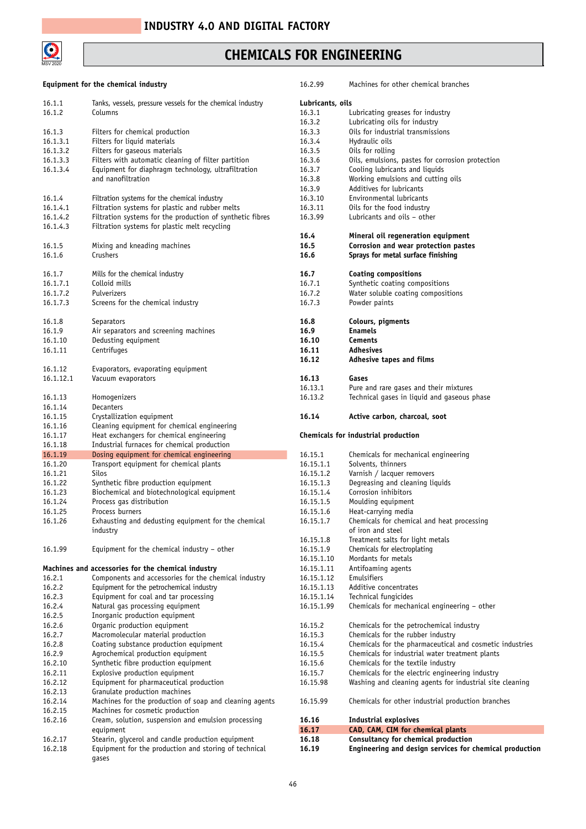

#### **CHEMICALS FOR ENGINEERING**

#### **Equipment for the chemical industry**

| 16.1.1<br>16.1.2     | Tanks, vessels, pressure vessels for the chemical industry<br>Columns                                      |
|----------------------|------------------------------------------------------------------------------------------------------------|
| 16.1.3               | Filters for chemical production                                                                            |
| 16.1.3.1             | Filters for liquid materials                                                                               |
| 16.1.3.2             | Filters for gaseous materials                                                                              |
| 16.1.3.3             | Filters with automatic cleaning of filter partition                                                        |
| 16.1.3.4             | Equipment for diaphragm technology, ultrafiltration                                                        |
|                      | and nanofiltration                                                                                         |
| 16.1.4               | Filtration systems for the chemical industry                                                               |
| 16.1.4.1             | Filtration systems for plastic and rubber melts                                                            |
| 16.1.4.2             | Filtration systems for the production of synthetic fibres                                                  |
| 16.1.4.3             | Filtration systems for plastic melt recycling                                                              |
| 16.1.5<br>16.1.6     | Mixing and kneading machines<br>Crushers                                                                   |
| 16.1.7               | Mills for the chemical industry                                                                            |
| 16.1.7.1             | Colloid mills                                                                                              |
| 16.1.7.2             | Pulverizers                                                                                                |
| 16.1.7.3             | Screens for the chemical industry                                                                          |
| 16.1.8               | Separators                                                                                                 |
| 16.1.9               | Air separators and screening machines                                                                      |
| 16.1.10              | Dedusting equipment                                                                                        |
| 16.1.11              | Centrifuges                                                                                                |
|                      |                                                                                                            |
| 16.1.12<br>16.1.12.1 | Evaporators, evaporating equipment<br>Vacuum evaporators                                                   |
|                      |                                                                                                            |
| 16.1.13              | Homogenizers                                                                                               |
| 16.1.14              | Decanters                                                                                                  |
| 16.1.15              | Crystallization equipment                                                                                  |
| 16.1.16              | Cleaning equipment for chemical engineering                                                                |
|                      |                                                                                                            |
| 16.1.17              | Heat exchangers for chemical engineering                                                                   |
| 16.1.18              | Industrial furnaces for chemical production                                                                |
| 16.1.19              | Dosing equipment for chemical engineering                                                                  |
| 16.1.20              | Transport equipment for chemical plants                                                                    |
| 16.1.21              | Silos                                                                                                      |
| 16.1.22              | Synthetic fibre production equipment                                                                       |
| 16.1.23              | Biochemical and biotechnological equipment                                                                 |
| 16.1.24              | Process gas distribution                                                                                   |
| 16.1.25              | Process burners                                                                                            |
| 16.1.26              | Exhausting and dedusting equipment for the chemical<br>industry                                            |
| 16.1.99              | Equipment for the chemical industry - other                                                                |
|                      | Machines and accessories for the chemical industry                                                         |
| 16.2.1               | Components and accessories for the chemical industry                                                       |
| 16.2.2               | Equipment for the petrochemical industry                                                                   |
| 16.2.3               | Equipment for coal and tar processing                                                                      |
| 16.2.4               | Natural gas processing equipment                                                                           |
| 16.2.5               | Inorganic production equipment                                                                             |
| 16.2.6               | Organic production equipment                                                                               |
| 16.2.7               | Macromolecular material production                                                                         |
| 16.2.8               | Coating substance production equipment                                                                     |
| 16.2.9               | Agrochemical production equipment                                                                          |
| 16.2.10              | Synthetic fibre production equipment                                                                       |
| 16.2.11              | Explosive production equipment                                                                             |
| 16.2.12              | Equipment for pharmaceutical production                                                                    |
| 16.2.13              | Granulate production machines                                                                              |
| 16.2.14              | Machines for the production of soap and cleaning agents                                                    |
| 16.2.15              | Machines for cosmetic production                                                                           |
| 16.2.16              | Cream, solution, suspension and emulsion processing                                                        |
| 16.2.17              | equipment                                                                                                  |
| 16.2.18              | Stearin, glycerol and candle production equipment<br>Equipment for the production and storing of technical |

| 16.2.99          | Machines for other chemical branches                     |
|------------------|----------------------------------------------------------|
|                  |                                                          |
| Lubricants, oils |                                                          |
| 16.3.1           | Lubricating greases for industry                         |
| 16.3.2           | Lubricating oils for industry                            |
| 16.3.3           | Oils for industrial transmissions                        |
| 16.3.4           | Hydraulic oils                                           |
| 16.3.5           | Oils for rolling                                         |
| 16.3.6           | Oils, emulsions, pastes for corrosion protection         |
| 16.3.7           | Cooling lubricants and liquids                           |
| 16.3.8           | Working emulsions and cutting oils                       |
| 16.3.9           | Additives for lubricants                                 |
| 16.3.10          | Environmental lubricants                                 |
| 16.3.11          | Oils for the food industry                               |
| 16.3.99          | Lubricants and oils - other                              |
|                  |                                                          |
| 16.4             | Mineral oil regeneration equipment                       |
| 16.5             | Corrosion and wear protection pastes                     |
| 16.6             | Sprays for metal surface finishing                       |
|                  |                                                          |
| 16.7             | <b>Coating compositions</b>                              |
| 16.7.1           | Synthetic coating compositions                           |
| 16.7.2           | Water soluble coating compositions                       |
|                  |                                                          |
| 16.7.3           | Powder paints                                            |
|                  |                                                          |
| 16.8             | Colours, pigments                                        |
| 16.9             | <b>Enamels</b>                                           |
| 16.10            | Cements                                                  |
| 16.11            | Adhesives                                                |
| 16.12            | Adhesive tapes and films                                 |
|                  |                                                          |
| 16.13            | Gases                                                    |
| 16.13.1          | Pure and rare gases and their mixtures                   |
| 16.13.2          | Technical gases in liquid and gaseous phase              |
|                  |                                                          |
| 16.14            | Active carbon, charcoal, soot                            |
|                  |                                                          |
|                  |                                                          |
|                  | Chemicals for industrial production                      |
|                  |                                                          |
| 16.15.1          | Chemicals for mechanical engineering                     |
| 16.15.1.1        | Solvents, thinners                                       |
| 16.15.1.2        |                                                          |
| 16.15.1.3        | Varnish / lacquer removers                               |
|                  | Degreasing and cleaning liquids                          |
| 16.15.1.4        | Corrosion inhibitors                                     |
| 16.15.1.5        | Moulding equipment                                       |
| 16.15.1.6        | Heat-carrying media                                      |
| 16.15.1.7        | Chemicals for chemical and heat processing               |
|                  | of iron and steel                                        |
| 16.15.1.8        | Treatment salts for light metals                         |
| 16.15.1.9        | Chemicals for electroplating                             |
| 16.15.1.10       | Mordants for metals                                      |
| 16.15.1.11       | Antifoaming agents                                       |
| 16.15.1.12       | Emulsifiers                                              |
| 16.15.1.13       | Additive concentrates                                    |
| 16.15.1.14       | Technical fungicides                                     |
| 16.15.1.99       | Chemicals for mechanical engineering - other             |
|                  |                                                          |
| 16.15.2          | Chemicals for the petrochemical industry                 |
| 16.15.3          | Chemicals for the rubber industry                        |
| 16.15.4          |                                                          |
| 16.15.5          | Chemicals for the pharmaceutical and cosmetic industries |
|                  | Chemicals for industrial water treatment plants          |
| 16.15.6          | Chemicals for the textile industry                       |
| 16.15.7          | Chemicals for the electric engineering industry          |
| 16.15.98         | Washing and cleaning agents for industrial site cleaning |
|                  |                                                          |
| 16.15.99         | Chemicals for other industrial production branches       |
| 16.16            | Industrial explosives                                    |

| 10.10 | Industrial explosives                                   |
|-------|---------------------------------------------------------|
| 16.17 | CAD, CAM, CIM for chemical plants                       |
| 16.18 | Consultancy for chemical production                     |
| 16.19 | Engineering and design services for chemical production |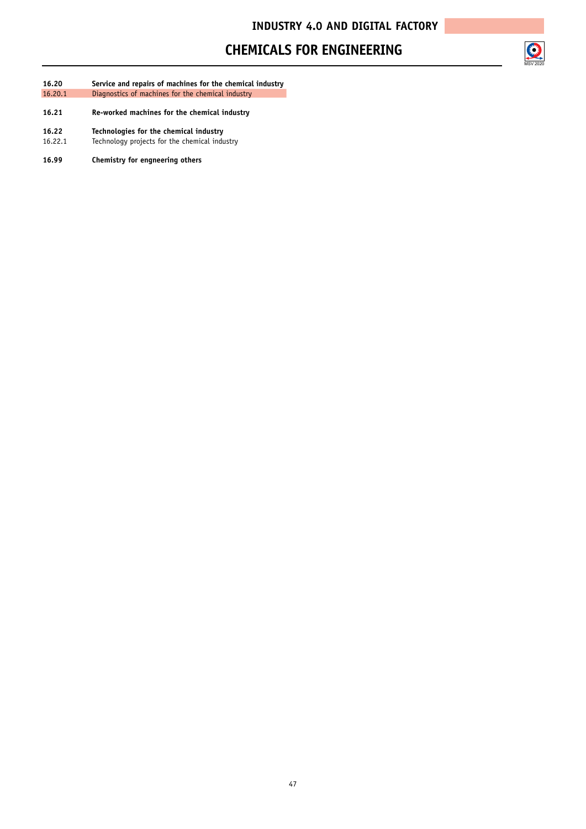#### **CHEMICALS FOR ENGINEERING**



- **16.20 Service and repairs of machines for the chemical industry** 16.20.1 Diagnostics of machines for the chemical industry
- **16.21 Re-worked machines for the chemical industry**
- **16.22 Technologies for the chemical industry**
- Technology projects for the chemical industry
- **16.99 Chemistry for engneering others**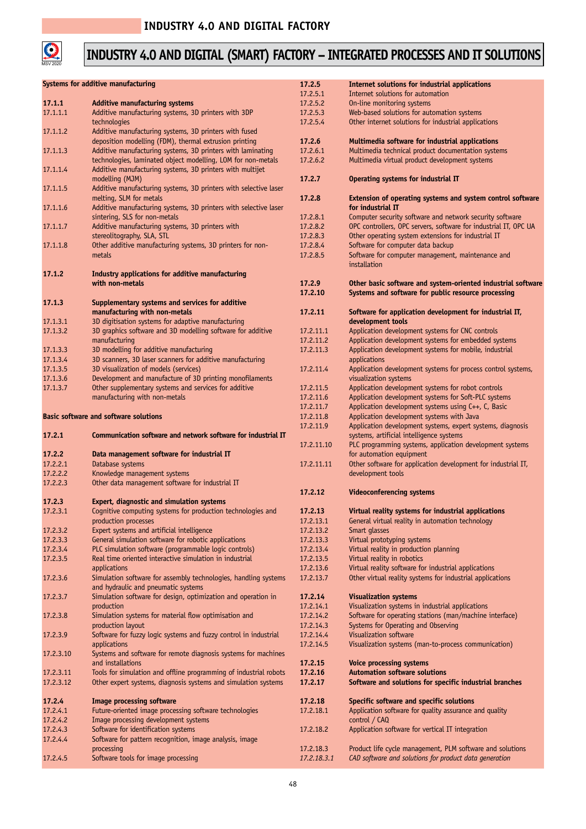

# **INDUSTRY 4.0 AND DIGITAL (SMART) FACTORY – INTEGRATED PROCESSES AND IT SOLUTIONS**

|           |                                                                   | 17.2.5      |                                                                  |
|-----------|-------------------------------------------------------------------|-------------|------------------------------------------------------------------|
|           | Systems for additive manufacturing                                |             | Internet solutions for industrial applications                   |
|           |                                                                   | 17.2.5.1    | Internet solutions for automation                                |
| 17.1.1    | <b>Additive manufacturing systems</b>                             | 17.2.5.2    | On-line monitoring systems                                       |
| 17.1.1.1  | Additive manufacturing systems, 3D printers with 3DP              | 17.2.5.3    | Web-based solutions for automation systems                       |
|           |                                                                   |             |                                                                  |
|           | technologies                                                      | 17.2.5.4    | Other internet solutions for industrial applications             |
| 17.1.1.2  | Additive manufacturing systems, 3D printers with fused            |             |                                                                  |
|           | deposition modelling (FDM), thermal extrusion printing            | 17.2.6      | Multimedia software for industrial applications                  |
| 17.1.1.3  | Additive manufacturing systems, 3D printers with laminating       | 17.2.6.1    | Multimedia technical product documentation systems               |
|           |                                                                   |             |                                                                  |
|           | technologies, laminated object modelling, LOM for non-metals      | 17.2.6.2    | Multimedia virtual product development systems                   |
| 17.1.1.4  | Additive manufacturing systems, 3D printers with multijet         |             |                                                                  |
|           |                                                                   | 17.2.7      | Operating systems for industrial IT                              |
|           | modelling (MJM)                                                   |             |                                                                  |
| 17.1.1.5  | Additive manufacturing systems, 3D printers with selective laser  |             |                                                                  |
|           | melting, SLM for metals                                           | 17.2.8      | Extension of operating systems and system control software       |
| 17.1.1.6  | Additive manufacturing systems, 3D printers with selective laser  |             | for industrial IT                                                |
|           |                                                                   |             |                                                                  |
|           | sintering, SLS for non-metals                                     | 17.2.8.1    | Computer security software and network security software         |
| 17.1.1.7  | Additive manufacturing systems, 3D printers with                  | 17.2.8.2    | OPC controllers, OPC servers, software for industrial IT, OPC UA |
|           | stereolitography, SLA, STL                                        | 17.2.8.3    | Other operating system extensions for industrial IT              |
|           |                                                                   |             |                                                                  |
| 17.1.1.8  | Other additive manufacturing systems, 3D printers for non-        | 17.2.8.4    | Software for computer data backup                                |
|           | metals                                                            | 17.2.8.5    | Software for computer management, maintenance and                |
|           |                                                                   |             | installation                                                     |
|           |                                                                   |             |                                                                  |
| 17.1.2    | Industry applications for additive manufacturing                  |             |                                                                  |
|           | with non-metals                                                   | 17.2.9      | Other basic software and system-oriented industrial software     |
|           |                                                                   | 17.2.10     | Systems and software for public resource processing              |
|           |                                                                   |             |                                                                  |
| 17.1.3    | Supplementary systems and services for additive                   |             |                                                                  |
|           | manufacturing with non-metals                                     | 17.2.11     | Software for application development for industrial IT,          |
| 17.1.3.1  | 3D digitisation systems for adaptive manufacturing                |             | development tools                                                |
|           |                                                                   |             |                                                                  |
| 17.1.3.2  | 3D graphics software and 3D modelling software for additive       | 17.2.11.1   | Application development systems for CNC controls                 |
|           | manufacturing                                                     | 17.2.11.2   | Application development systems for embedded systems             |
| 17.1.3.3  | 3D modelling for additive manufacturing                           | 17.2.11.3   | Application development systems for mobile, industrial           |
| 17.1.3.4  | 3D scanners, 3D laser scanners for additive manufacturing         |             | applications                                                     |
|           |                                                                   |             |                                                                  |
| 17.1.3.5  | 3D visualization of models (services)                             | 17.2.11.4   | Application development systems for process control systems,     |
| 17.1.3.6  | Development and manufacture of 3D printing monofilaments          |             | visualization systems                                            |
| 17.1.3.7  | Other supplementary systems and services for additive             | 17.2.11.5   | Application development systems for robot controls               |
|           |                                                                   |             |                                                                  |
|           | manufacturing with non-metals                                     | 17.2.11.6   | Application development systems for Soft-PLC systems             |
|           |                                                                   | 17.2.11.7   | Application development systems using C++, C, Basic              |
|           | <b>Basic software and software solutions</b>                      | 17.2.11.8   | Application development systems with Java                        |
|           |                                                                   |             |                                                                  |
|           |                                                                   | 17.2.11.9   | Application development systems, expert systems, diagnosis       |
| 17.2.1    | Communication software and network software for industrial IT     |             | systems, artificial intelligence systems                         |
|           |                                                                   | 17.2.11.10  | PLC programming systems, application development systems         |
|           |                                                                   |             |                                                                  |
| 17.2.2    | Data management software for industrial IT                        |             | for automation equipment                                         |
| 17.2.2.1  | Database systems                                                  | 17.2.11.11  | Other software for application development for industrial IT,    |
| 17.2.2.2  | Knowledge management systems                                      |             | development tools                                                |
|           |                                                                   |             |                                                                  |
| 17.2.2.3  | Other data management software for industrial IT                  |             |                                                                  |
|           |                                                                   | 17.2.12     | <b>Videoconferencing systems</b>                                 |
| 17.2.3    | Expert, diagnostic and simulation systems                         |             |                                                                  |
|           |                                                                   | 17.2.13     |                                                                  |
| 17.2.3.1  | Cognitive computing systems for production technologies and       |             | Virtual reality systems for industrial applications              |
|           | production processes                                              | 17.2.13.1   | General virtual reality in automation technology                 |
| 17.2.3.2  | Expert systems and artificial intelligence                        | 17.2.13.2   | Smart glasses                                                    |
|           |                                                                   |             |                                                                  |
| 17.2.3.3  | General simulation software for robotic applications              | 17.2.13.3   | Virtual prototyping systems                                      |
| 17.2.3.4  | PLC simulation software (programmable logic controls)             | 17.2.13.4   | Virtual reality in production planning                           |
| 17.2.3.5  | Real time oriented interactive simulation in industrial           | 17.2.13.5   | Virtual reality in robotics                                      |
|           |                                                                   |             | Virtual reality software for industrial applications             |
|           | applications                                                      | 17.2.13.6   |                                                                  |
| 17.2.3.6  | Simulation software for assembly technologies, handling systems   | 17.2.13.7   | Other virtual reality systems for industrial applications        |
|           | and hydraulic and pneumatic systems                               |             |                                                                  |
| 17.2.3.7  | Simulation software for design, optimization and operation in     | 17.2.14     | <b>Visualization systems</b>                                     |
|           |                                                                   |             |                                                                  |
|           | production                                                        | 17.2.14.1   | Visualization systems in industrial applications                 |
| 17.2.3.8  | Simulation systems for material flow optimisation and             | 17.2.14.2   | Software for operating stations (man/machine interface)          |
|           | production layout                                                 | 17.2.14.3   | Systems for Operating and Observing                              |
|           |                                                                   |             |                                                                  |
| 17.2.3.9  | Software for fuzzy logic systems and fuzzy control in industrial  | 17.2.14.4   | Visualization software                                           |
|           | applications                                                      | 17.2.14.5   | Visualization systems (man-to-process communication)             |
| 17.2.3.10 | Systems and software for remote diagnosis systems for machines    |             |                                                                  |
|           |                                                                   |             |                                                                  |
|           | and installations                                                 | 17.2.15     | <b>Voice processing systems</b>                                  |
| 17.2.3.11 | Tools for simulation and offline programming of industrial robots | 17.2.16     | <b>Automation software solutions</b>                             |
| 17.2.3.12 | Other expert systems, diagnosis systems and simulation systems    | 17.2.17     | Software and solutions for specific industrial branches          |
|           |                                                                   |             |                                                                  |
|           |                                                                   |             |                                                                  |
| 17.2.4    | <b>Image processing software</b>                                  | 17.2.18     | Specific software and specific solutions                         |
| 17.2.4.1  | Future-oriented image processing software technologies            | 17.2.18.1   | Application software for quality assurance and quality           |
|           |                                                                   |             |                                                                  |
| 17.2.4.2  | Image processing development systems                              |             | control / CAQ                                                    |
| 17.2.4.3  | Software for identification systems                               | 17.2.18.2   | Application software for vertical IT integration                 |
| 17.2.4.4  | Software for pattern recognition, image analysis, image           |             |                                                                  |
|           |                                                                   |             |                                                                  |
|           | processing                                                        | 17.2.18.3   | Product life cycle management, PLM software and solutions        |
| 17.2.4.5  | Software tools for image processing                               | 17.2.18.3.1 | CAD software and solutions for product data generation           |
|           |                                                                   |             |                                                                  |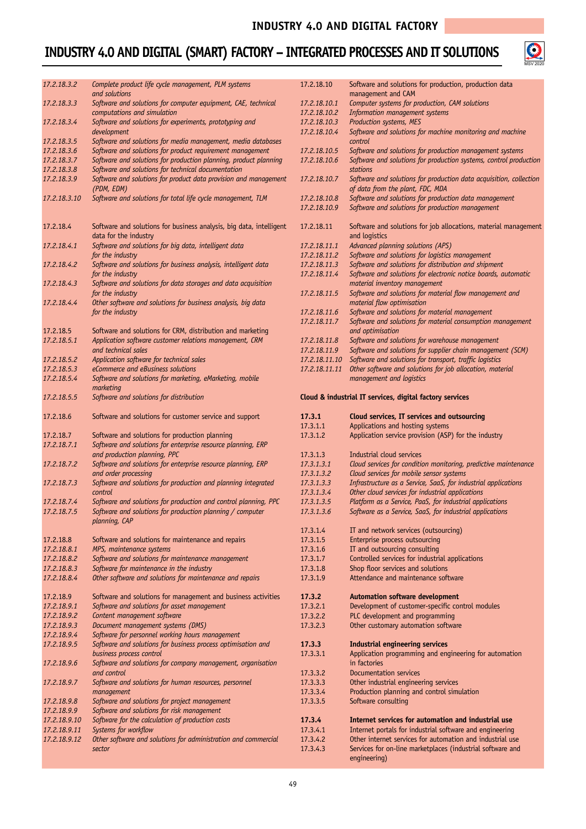## **INDUSTRY 4.0 AND DIGITAL (SMART) FACTORY – INTEGRATED PROCESSES AND IT SOLUTIONS**



| 17.2.18.3.2  | Complete product life cycle management, PLM systems<br>and solutions                                 | 17.2.18.10                   | Software and solutions for production, production data<br>management and CAM                                            |
|--------------|------------------------------------------------------------------------------------------------------|------------------------------|-------------------------------------------------------------------------------------------------------------------------|
| 17.2.18.3.3  | Software and solutions for computer equipment, CAE, technical                                        | 17.2.18.10.1                 | Computer systems for production, CAM solutions                                                                          |
|              | computations and simulation                                                                          | 17.2.18.10.2                 | Information management systems                                                                                          |
| 17.2.18.3.4  | Software and solutions for experiments, prototyping and                                              | 17.2.18.10.3                 | Production systems, MES                                                                                                 |
|              | development                                                                                          | 17.2.18.10.4                 | Software and solutions for machine monitoring and machine                                                               |
| 17.2.18.3.5  | Software and solutions for media management, media databases                                         |                              | control                                                                                                                 |
| 17.2.18.3.6  | Software and solutions for product requirement management                                            | 17.2.18.10.5                 | Software and solutions for production management systems                                                                |
| 17.2.18.3.7  | Software and solutions for production planning, product planning                                     | 17.2.18.10.6                 | Software and solutions for production systems, control production                                                       |
| 17.2.18.3.8  | Software and solutions for technical documentation                                                   |                              | <b>stations</b>                                                                                                         |
| 17.2.18.3.9  | Software and solutions for product data provision and management                                     | 17.2.18.10.7                 | Software and solutions for production data acquisition, collection                                                      |
|              | (PDM, EDM)                                                                                           |                              | of data from the plant, FDC, MDA                                                                                        |
| 17.2.18.3.10 | Software and solutions for total life cycle management, TLM                                          | 17.2.18.10.8<br>17.2.18.10.9 | Software and solutions for production data management<br>Software and solutions for production management               |
|              |                                                                                                      |                              |                                                                                                                         |
| 17.2.18.4    | Software and solutions for business analysis, big data, intelligent                                  | 17.2.18.11                   | Software and solutions for job allocations, material management                                                         |
|              |                                                                                                      |                              |                                                                                                                         |
|              | data for the industry                                                                                |                              | and logistics                                                                                                           |
| 17.2.18.4.1  | Software and solutions for big data, intelligent data                                                | 17.2.18.11.1                 | Advanced planning solutions (APS)                                                                                       |
|              | for the industry                                                                                     | 17.2.18.11.2                 | Software and solutions for logistics management                                                                         |
| 17.2.18.4.2  | Software and solutions for business analysis, intelligent data                                       | 17.2.18.11.3                 | Software and solutions for distribution and shipment                                                                    |
|              | for the industry                                                                                     | 17.2.18.11.4                 | Software and solutions for electronic notice boards, automatic                                                          |
|              |                                                                                                      |                              |                                                                                                                         |
| 17.2.18.4.3  | Software and solutions for data storages and data acquisition                                        |                              | material inventory management                                                                                           |
|              | for the industry                                                                                     | 17.2.18.11.5                 | Software and solutions for material flow management and                                                                 |
| 17.2.18.4.4  | Other software and solutions for business analysis, big data                                         |                              | material flow optimisation                                                                                              |
|              | for the industry                                                                                     | 17.2.18.11.6                 | Software and solutions for material management                                                                          |
|              |                                                                                                      |                              |                                                                                                                         |
|              |                                                                                                      | 17.2.18.11.7                 | Software and solutions for material consumption management                                                              |
| 17.2.18.5    | Software and solutions for CRM, distribution and marketing                                           |                              | and optimisation                                                                                                        |
| 17.2.18.5.1  | Application software customer relations management, CRM                                              | 17.2.18.11.8                 | Software and solutions for warehouse management                                                                         |
|              | and technical sales                                                                                  | 17.2.18.11.9                 | Software and solutions for supplier chain management (SCM)                                                              |
|              |                                                                                                      |                              |                                                                                                                         |
| 17.2.18.5.2  | Application software for technical sales                                                             | 17.2.18.11.10                | Software and solutions for transport, traffic logistics                                                                 |
| 17.2.18.5.3  | eCommerce and eBusiness solutions                                                                    | 17.2.18.11.11                | Other software and solutions for job allocation, material                                                               |
| 17.2.18.5.4  | Software and solutions for marketing, eMarketing, mobile                                             |                              | management and logistics                                                                                                |
| 17.2.18.5.5  | marketing<br>Software and solutions for distribution                                                 |                              | Cloud & industrial IT services, digital factory services                                                                |
|              |                                                                                                      |                              |                                                                                                                         |
| 17.2.18.6    | Software and solutions for customer service and support                                              | 17.3.1                       | Cloud services, IT services and outsourcing                                                                             |
|              |                                                                                                      | 17.3.1.1                     | Applications and hosting systems                                                                                        |
| 17.2.18.7    | Software and solutions for production planning                                                       | 17.3.1.2                     | Application service provision (ASP) for the industry                                                                    |
|              |                                                                                                      |                              |                                                                                                                         |
| 17.2.18.7.1  | Software and solutions for enterprise resource planning, ERP                                         |                              |                                                                                                                         |
|              | and production planning, PPC                                                                         | 17.3.1.3                     | Industrial cloud services                                                                                               |
| 17.2.18.7.2  | Software and solutions for enterprise resource planning, ERP                                         | 17.3.1.3.1                   | Cloud services for condition monitoring, predictive maintenance                                                         |
|              | and order processing                                                                                 | 17.3.1.3.2                   | Cloud services for mobile sensor systems                                                                                |
|              |                                                                                                      |                              |                                                                                                                         |
|              |                                                                                                      |                              |                                                                                                                         |
| 17.2.18.7.3  | Software and solutions for production and planning integrated                                        | 17.3.1.3.3                   | Infrastructure as a Service, SaaS, for industrial applications                                                          |
|              | control                                                                                              | 17.3.1.3.4                   | Other cloud services for industrial applications                                                                        |
| 17.2.18.7.4  | Software and solutions for production and control planning, PPC                                      | 17.3.1.3.5                   | Platform as a Service, PaaS, for industrial applications                                                                |
| 17.2.18.7.5  |                                                                                                      |                              |                                                                                                                         |
|              | Software and solutions for production planning / computer<br>planning, CAP                           | 17.3.1.3.6                   | Software as a Service, SaaS, for industrial applications                                                                |
|              |                                                                                                      | 17.3.1.4                     |                                                                                                                         |
|              |                                                                                                      |                              | IT and network services (outsourcing)                                                                                   |
| 17.2.18.8    | Software and solutions for maintenance and repairs                                                   | 17.3.1.5                     | Enterprise process outsourcing                                                                                          |
| 17.2.18.8.1  | MPS, maintenance systems                                                                             | 17.3.1.6                     | IT and outsourcing consulting                                                                                           |
| 17.2.18.8.2  | Software and solutions for maintenance management                                                    | 17.3.1.7                     | Controlled services for industrial applications                                                                         |
| 17.2.18.8.3  |                                                                                                      | 17.3.1.8                     | Shop floor services and solutions                                                                                       |
| 17.2.18.8.4  | Software for maintenance in the industry<br>Other software and solutions for maintenance and repairs | 17.3.1.9                     | Attendance and maintenance software                                                                                     |
|              |                                                                                                      |                              |                                                                                                                         |
|              |                                                                                                      |                              |                                                                                                                         |
| 17.2.18.9    | Software and solutions for management and business activities                                        | 17.3.2                       | Automation software development                                                                                         |
| 17.2.18.9.1  | Software and solutions for asset management                                                          | 17.3.2.1                     | Development of customer-specific control modules                                                                        |
| 17.2.18.9.2  | Content management software                                                                          | 17.3.2.2                     | PLC development and programming                                                                                         |
| 17.2.18.9.3  |                                                                                                      | 17.3.2.3                     |                                                                                                                         |
|              | Document management systems (DMS)                                                                    |                              | Other customary automation software                                                                                     |
| 17.2.18.9.4  | Software for personnel working hours management                                                      |                              |                                                                                                                         |
| 17.2.18.9.5  | Software and solutions for business process optimisation and                                         | 17.3.3                       | <b>Industrial engineering services</b>                                                                                  |
|              | business process control                                                                             | 17.3.3.1                     | Application programming and engineering for automation                                                                  |
| 17.2.18.9.6  | Software and solutions for company management, organisation                                          |                              | in factories                                                                                                            |
|              | and control                                                                                          |                              | Documentation services                                                                                                  |
|              |                                                                                                      | 17.3.3.2                     |                                                                                                                         |
| 17.2.18.9.7  | Software and solutions for human resources, personnel                                                | 17.3.3.3                     | Other industrial engineering services                                                                                   |
|              | management                                                                                           | 17.3.3.4                     | Production planning and control simulation                                                                              |
| 17.2.18.9.8  | Software and solutions for project management                                                        | 17.3.3.5                     | Software consulting                                                                                                     |
| 17.2.18.9.9  |                                                                                                      |                              |                                                                                                                         |
|              | Software and solutions for risk management                                                           |                              |                                                                                                                         |
| 17.2.18.9.10 | Software for the calculation of production costs                                                     | 17.3.4                       | Internet services for automation and industrial use                                                                     |
| 17.2.18.9.11 | Systems for workflow                                                                                 | 17.3.4.1                     | Internet portals for industrial software and engineering                                                                |
| 17.2.18.9.12 | Other software and solutions for administration and commercial                                       | 17.3.4.2                     | Other internet services for automation and industrial use<br>Services for on-line marketplaces (industrial software and |